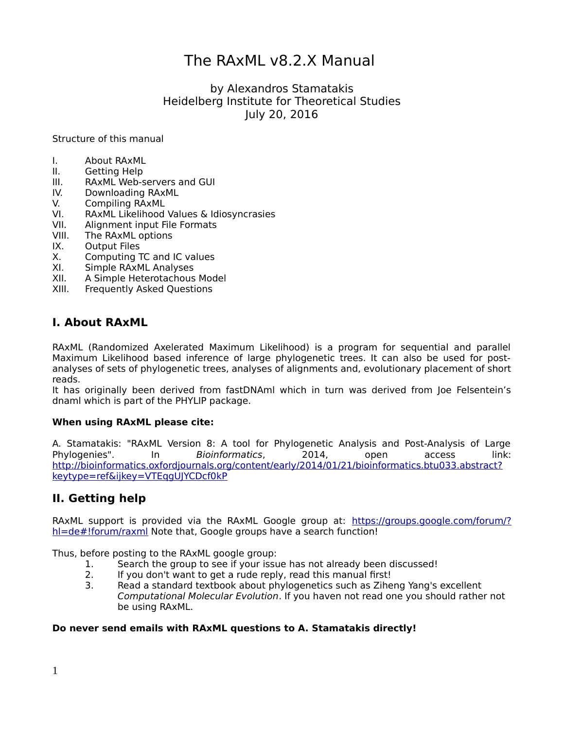# The RAxML v8.2.X Manual

by Alexandros Stamatakis Heidelberg Institute for Theoretical Studies July 20, 2016

Structure of this manual

- I. About RAxML
- II. Getting Help
- III. RAxML Web-servers and GUI
- IV. Downloading RAxML
- V. Compiling RAxML
- VI. RAxML Likelihood Values & Idiosyncrasies
- VII. Alignment input File Formats
- VIII. The RAxML options
- IX. Output Files
- X. Computing TC and IC values
- XI. Simple RAxML Analyses
- XII. A Simple Heterotachous Model
- XIII. Frequently Asked Questions

# **I. About RAxML**

RAxML (Randomized Axelerated Maximum Likelihood) is a program for sequential and parallel Maximum Likelihood based inference of large phylogenetic trees. It can also be used for postanalyses of sets of phylogenetic trees, analyses of alignments and, evolutionary placement of short reads.

It has originally been derived from fastDNAml which in turn was derived from Joe Felsentein's dnaml which is part of the PHYLIP package.

#### **When using RAxML please cite:**

A. Stamatakis: "RAxML Version 8: A tool for Phylogenetic Analysis and Post-Analysis of Large Phylogenies". In Bioinformatics, 2014, open access link: [http://bioinformatics.oxfordjournals.org/content/early/2014/01/21/bioinformatics.btu033.abstract?](http://bioinformatics.oxfordjournals.org/content/early/2014/01/21/bioinformatics.btu033.abstract?keytype=ref&ijkey=VTEqgUJYCDcf0kP) [keytype=ref&ijkey=VTEqgUJYCDcf0kP](http://bioinformatics.oxfordjournals.org/content/early/2014/01/21/bioinformatics.btu033.abstract?keytype=ref&ijkey=VTEqgUJYCDcf0kP)

# **II. Getting help**

RAxML support is provided via the RAxML Google group at: [https://groups.google.com/forum/?](https://groups.google.com/forum/?hl=de#!forum/raxml) h=de#!forum/raxml Note that, Google groups have a search function!

Thus, before posting to the RAxML google group:

- 1. Search the group to see if your issue has not already been discussed!
- 2. If you don't want to get a rude reply, read this manual first!
- 3. Read a standard textbook about phylogenetics such as Ziheng Yang's excellent Computational Molecular Evolution. If you haven not read one you should rather not be using RAxML.

### **Do never send emails with RAxML questions to A. Stamatakis directly!**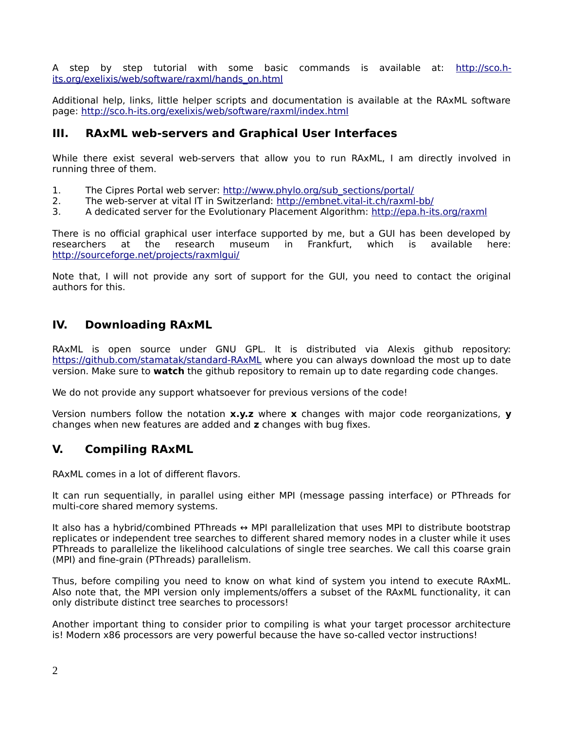A step by step tutorial with some basic commands is available at: [http://sco.h](http://sco.h-its.org/exelixis/web/software/raxml/hands_on.html)[its.org/exelixis/web/software/raxml/hands\\_on.html](http://sco.h-its.org/exelixis/web/software/raxml/hands_on.html)

Additional help, links, little helper scripts and documentation is available at the RAxML software page:<http://sco.h-its.org/exelixis/web/software/raxml/index.html>

# **III. RAxML web-servers and Graphical User Interfaces**

While there exist several web-servers that allow you to run RAxML, I am directly involved in running three of them.

- 1. The Cipres Portal web server: [http://www.phylo.org/sub\\_sections/portal/](http://www.phylo.org/sub_sections/portal/)
- 2. The web-server at vital IT in Switzerland:<http://embnet.vital-it.ch/raxml-bb/>
- 3. A dedicated server for the Evolutionary Placement Algorithm:<http://epa.h-its.org/raxml>

There is no official graphical user interface supported by me, but a GUI has been developed by research museum in Frankfurt, which is available here: researchers at the research museum in Frankfurt, which is available here: <http://sourceforge.net/projects/raxmlgui/>

Note that, I will not provide any sort of support for the GUI, you need to contact the original authors for this.

# **IV. Downloading RAxML**

RAxML is open source under GNU GPL. It is distributed via Alexis github repository: <https://github.com/stamatak/standard-RAxML>where you can always download the most up to date version. Make sure to **watch** the github repository to remain up to date regarding code changes.

We do not provide any support whatsoever for previous versions of the code!

Version numbers follow the notation **x.y.z** where **x** changes with major code reorganizations, **y** changes when new features are added and **z** changes with bug fixes.

# **V. Compiling RAxML**

RAxML comes in a lot of different flavors.

It can run sequentially, in parallel using either MPI (message passing interface) or PThreads for multi-core shared memory systems.

It also has a hybrid/combined PThreads  $\leftrightarrow$  MPI parallelization that uses MPI to distribute bootstrap replicates or independent tree searches to different shared memory nodes in a cluster while it uses PThreads to parallelize the likelihood calculations of single tree searches. We call this coarse grain (MPI) and fine-grain (PThreads) parallelism.

Thus, before compiling you need to know on what kind of system you intend to execute RAxML. Also note that, the MPI version only implements/offers a subset of the RAxML functionality, it can only distribute distinct tree searches to processors!

Another important thing to consider prior to compiling is what your target processor architecture is! Modern x86 processors are very powerful because the have so-called vector instructions!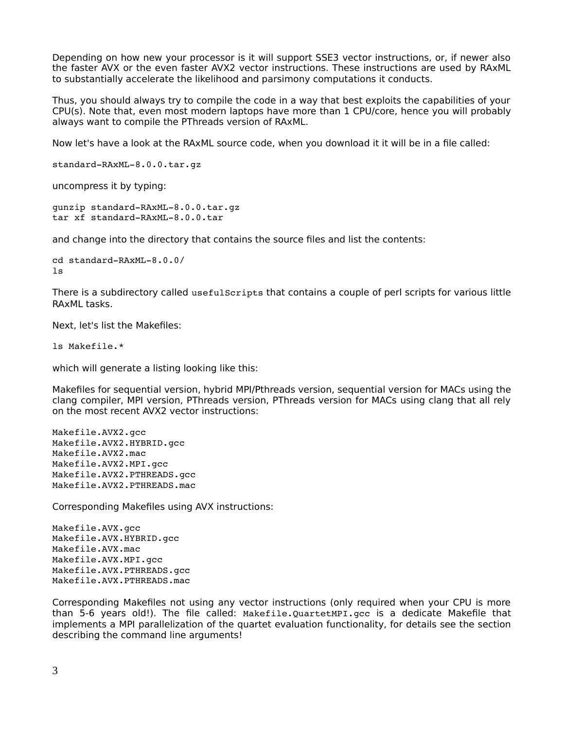Depending on how new your processor is it will support SSE3 vector instructions, or, if newer also the faster AVX or the even faster AVX2 vector instructions. These instructions are used by RAxML to substantially accelerate the likelihood and parsimony computations it conducts.

Thus, you should always try to compile the code in a way that best exploits the capabilities of your CPU(s). Note that, even most modern laptops have more than 1 CPU/core, hence you will probably always want to compile the PThreads version of RAxML.

Now let's have a look at the RAxML source code, when you download it it will be in a file called:

```
standard-RAxML-8.0.0.tar.gz
```
uncompress it by typing:

```
gunzip standard-RAxML-8.0.0.tar.gz
tar xf standard-RAxML-8.0.0.tar
```
and change into the directory that contains the source files and list the contents:

```
cd standard-RAxML-8.0.0/
ls
```
There is a subdirectory called usefulScripts that contains a couple of perl scripts for various little RAxML tasks.

Next, let's list the Makefiles:

ls Makefile.\*

which will generate a listing looking like this:

Makefiles for sequential version, hybrid MPI/Pthreads version, sequential version for MACs using the clang compiler, MPI version, PThreads version, PThreads version for MACs using clang that all rely on the most recent AVX2 vector instructions:

Makefile.AVX2.gcc Makefile.AVX2.HYBRID.gcc Makefile.AVX2.mac Makefile.AVX2.MPI.gcc Makefile.AVX2.PTHREADS.gcc Makefile.AVX2.PTHREADS.mac

Corresponding Makefiles using AVX instructions:

Makefile.AVX.gcc Makefile.AVX.HYBRID.gcc Makefile.AVX.mac Makefile.AVX.MPI.gcc Makefile.AVX.PTHREADS.gcc Makefile.AVX.PTHREADS.mac

Corresponding Makefiles not using any vector instructions (only required when your CPU is more than 5-6 years old!). The file called: Makefile.QuartetMPI.gcc is a dedicate Makefile that implements a MPI parallelization of the quartet evaluation functionality, for details see the section describing the command line arguments!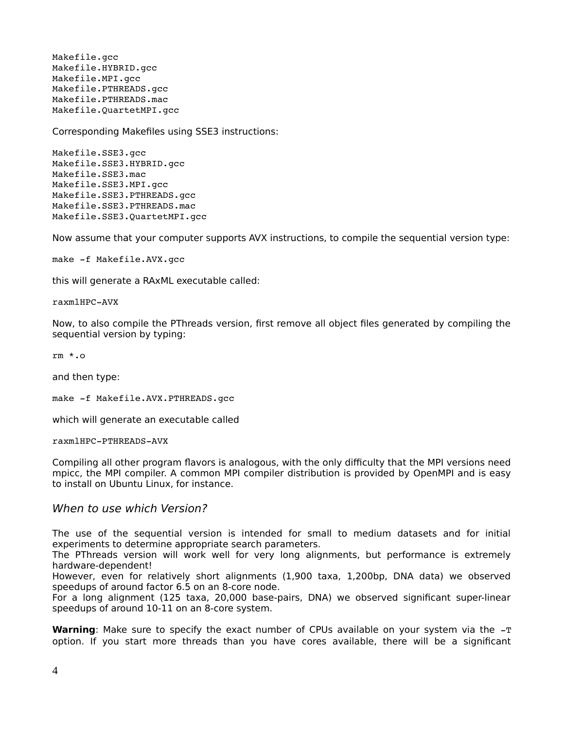Makefile.gcc Makefile.HYBRID.gcc Makefile.MPI.gcc Makefile.PTHREADS.gcc Makefile.PTHREADS.mac Makefile.QuartetMPI.gcc

Corresponding Makefiles using SSE3 instructions:

Makefile.SSE3.gcc Makefile.SSE3.HYBRID.gcc Makefile.SSE3.mac Makefile.SSE3.MPI.gcc Makefile.SSE3.PTHREADS.gcc Makefile.SSE3.PTHREADS.mac Makefile.SSE3.QuartetMPI.gcc

Now assume that your computer supports AVX instructions, to compile the sequential version type:

make -f Makefile.AVX.gcc

this will generate a RAxML executable called:

raxmlHPC-AVX

Now, to also compile the PThreads version, first remove all object files generated by compiling the sequential version by typing:

rm \*.o

and then type:

make -f Makefile.AVX.PTHREADS.gcc

which will generate an executable called

raxmlHPC-PTHREADS-AVX

Compiling all other program flavors is analogous, with the only difficulty that the MPI versions need mpicc, the MPI compiler. A common MPI compiler distribution is provided by OpenMPI and is easy to install on Ubuntu Linux, for instance.

### When to use which Version?

The use of the sequential version is intended for small to medium datasets and for initial experiments to determine appropriate search parameters.

The PThreads version will work well for very long alignments, but performance is extremely hardware-dependent!

However, even for relatively short alignments (1,900 taxa, 1,200bp, DNA data) we observed speedups of around factor 6.5 on an 8-core node.

For a long alignment (125 taxa, 20,000 base-pairs, DNA) we observed significant super-linear speedups of around 10-11 on an 8-core system.

**Warning**: Make sure to specify the exact number of CPUs available on your system via the -T option. If you start more threads than you have cores available, there will be a significant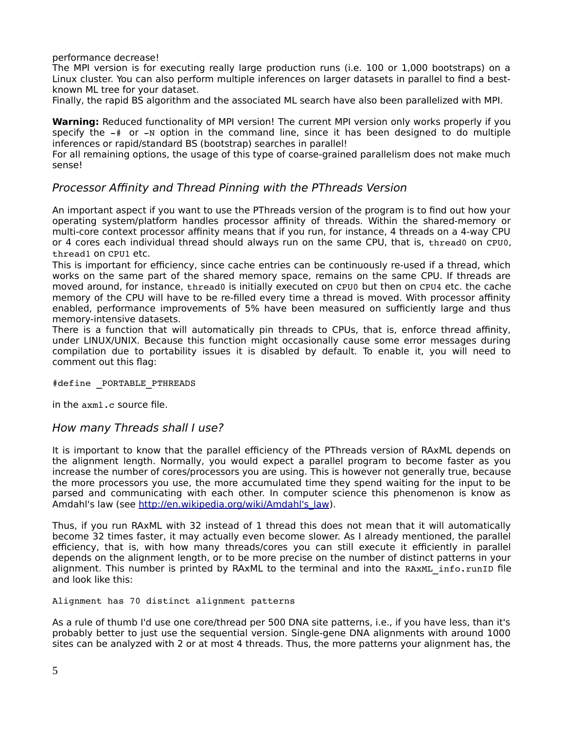performance decrease!

The MPI version is for executing really large production runs (i.e. 100 or 1,000 bootstraps) on a Linux cluster. You can also perform multiple inferences on larger datasets in parallel to find a bestknown ML tree for your dataset.

Finally, the rapid BS algorithm and the associated ML search have also been parallelized with MPI.

**Warning:** Reduced functionality of MPI version! The current MPI version only works properly if you specify the  $-\#$  or  $-N$  option in the command line, since it has been designed to do multiple inferences or rapid/standard BS (bootstrap) searches in parallel!

For all remaining options, the usage of this type of coarse-grained parallelism does not make much sense!

# Processor Affinity and Thread Pinning with the PThreads Version

An important aspect if you want to use the PThreads version of the program is to find out how your operating system/platform handles processor affinity of threads. Within the shared-memory or multi-core context processor affinity means that if you run, for instance, 4 threads on a 4-way CPU or 4 cores each individual thread should always run on the same CPU, that is, thread0 on CPU0, thread1 on CPU1 etc.

This is important for efficiency, since cache entries can be continuously re-used if a thread, which works on the same part of the shared memory space, remains on the same CPU. If threads are moved around, for instance, thread0 is initially executed on CPU0 but then on CPU4 etc. the cache memory of the CPU will have to be re-filled every time a thread is moved. With processor affinity enabled, performance improvements of 5% have been measured on sufficiently large and thus memory-intensive datasets.

There is a function that will automatically pin threads to CPUs, that is, enforce thread affinity, under LINUX/UNIX. Because this function might occasionally cause some error messages during compilation due to portability issues it is disabled by default. To enable it, you will need to comment out this flag:

#define PORTABLE PTHREADS

in the axml.c source file.

### How many Threads shall I use?

It is important to know that the parallel efficiency of the PThreads version of RAxML depends on the alignment length. Normally, you would expect a parallel program to become faster as you increase the number of cores/processors you are using. This is however not generally true, because the more processors you use, the more accumulated time they spend waiting for the input to be parsed and communicating with each other. In computer science this phenomenon is know as Amdahl's law (see http://en.wikipedia.org/wiki/Amdahl's law).

Thus, if you run RAxML with 32 instead of 1 thread this does not mean that it will automatically become 32 times faster, it may actually even become slower. As I already mentioned, the parallel efficiency, that is, with how many threads/cores you can still execute it efficiently in parallel depends on the alignment length, or to be more precise on the number of distinct patterns in your alignment. This number is printed by RAxML to the terminal and into the RAxML info.runID file and look like this:

Alignment has 70 distinct alignment patterns

As a rule of thumb I'd use one core/thread per 500 DNA site patterns, i.e., if you have less, than it's probably better to just use the sequential version. Single-gene DNA alignments with around 1000 sites can be analyzed with 2 or at most 4 threads. Thus, the more patterns your alignment has, the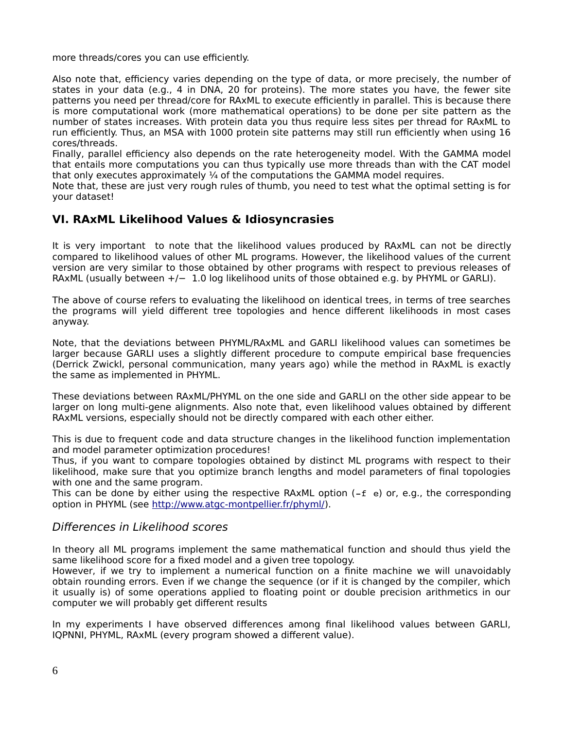more threads/cores you can use efficiently.

Also note that, efficiency varies depending on the type of data, or more precisely, the number of states in your data (e.g., 4 in DNA, 20 for proteins). The more states you have, the fewer site patterns you need per thread/core for RAxML to execute efficiently in parallel. This is because there is more computational work (more mathematical operations) to be done per site pattern as the number of states increases. With protein data you thus require less sites per thread for RAxML to run efficiently. Thus, an MSA with 1000 protein site patterns may still run efficiently when using 16 cores/threads.

Finally, parallel efficiency also depends on the rate heterogeneity model. With the GAMMA model that entails more computations you can thus typically use more threads than with the CAT model that only executes approximately  $\frac{1}{4}$  of the computations the GAMMA model requires.

Note that, these are just very rough rules of thumb, you need to test what the optimal setting is for your dataset!

# **VI. RAxML Likelihood Values & Idiosyncrasies**

It is very important to note that the likelihood values produced by RAxML can not be directly compared to likelihood values of other ML programs. However, the likelihood values of the current version are very similar to those obtained by other programs with respect to previous releases of RAxML (usually between +/- 1.0 log likelihood units of those obtained e.g. by PHYML or GARLI).

The above of course refers to evaluating the likelihood on identical trees, in terms of tree searches the programs will yield different tree topologies and hence different likelihoods in most cases anyway.

Note, that the deviations between PHYML/RAxML and GARLI likelihood values can sometimes be larger because GARLI uses a slightly different procedure to compute empirical base frequencies (Derrick Zwickl, personal communication, many years ago) while the method in RAxML is exactly the same as implemented in PHYML.

These deviations between RAxML/PHYML on the one side and GARLI on the other side appear to be larger on long multi-gene alignments. Also note that, even likelihood values obtained by different RAxML versions, especially should not be directly compared with each other either.

This is due to frequent code and data structure changes in the likelihood function implementation and model parameter optimization procedures!

Thus, if you want to compare topologies obtained by distinct ML programs with respect to their likelihood, make sure that you optimize branch lengths and model parameters of final topologies with one and the same program.

This can be done by either using the respective RAxML option  $(-f e)$  or, e.g., the corresponding option in PHYML (see [http://www.atgc-montpellier.fr/phyml/\)](http://www.atgc-montpellier.fr/phyml/).

# Differences in Likelihood scores

In theory all ML programs implement the same mathematical function and should thus yield the same likelihood score for a fixed model and a given tree topology.

However, if we try to implement a numerical function on a finite machine we will unavoidably obtain rounding errors. Even if we change the sequence (or if it is changed by the compiler, which it usually is) of some operations applied to floating point or double precision arithmetics in our computer we will probably get different results

In my experiments I have observed differences among final likelihood values between GARLI, IQPNNI, PHYML, RAxML (every program showed a different value).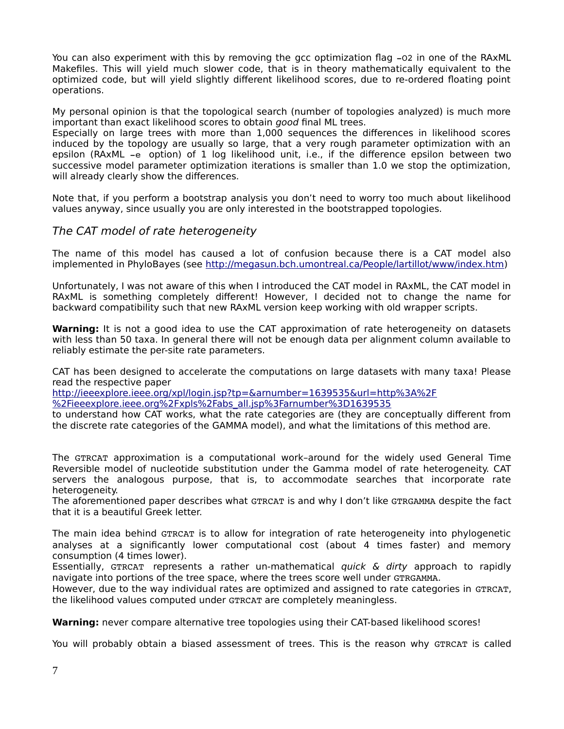You can also experiment with this by removing the gcc optimization flag -02 in one of the RAxML Makefiles. This will yield much slower code, that is in theory mathematically equivalent to the optimized code, but will yield slightly different likelihood scores, due to re-ordered floating point operations.

My personal opinion is that the topological search (number of topologies analyzed) is much more important than exact likelihood scores to obtain good final ML trees.

Especially on large trees with more than 1,000 sequences the differences in likelihood scores induced by the topology are usually so large, that a very rough parameter optimization with an epsilon (RAxML -e option) of 1 log likelihood unit, i.e., if the difference epsilon between two successive model parameter optimization iterations is smaller than 1.0 we stop the optimization, will already clearly show the differences.

Note that, if you perform a bootstrap analysis you don't need to worry too much about likelihood values anyway, since usually you are only interested in the bootstrapped topologies.

### The CAT model of rate heterogeneity

The name of this model has caused a lot of confusion because there is a CAT model also implemented in PhyloBayes (see [http://megasun.bch.umontreal.ca/People/lartillot/www/index.htm\)](http://megasun.bch.umontreal.ca/People/lartillot/www/index.htm)

Unfortunately, I was not aware of this when I introduced the CAT model in RAxML, the CAT model in RAxML is something completely different! However, I decided not to change the name for backward compatibility such that new RAxML version keep working with old wrapper scripts.

**Warning:** It is not a good idea to use the CAT approximation of rate heterogeneity on datasets with less than 50 taxa. In general there will not be enough data per alignment column available to reliably estimate the per-site rate parameters.

CAT has been designed to accelerate the computations on large datasets with many taxa! Please read the respective paper

[http://ieeexplore.ieee.org/xpl/login.jsp?tp=&arnumber=1639535&url=http%3A%2F](http://ieeexplore.ieee.org/xpl/login.jsp?tp=&arnumber=1639535&url=http%3A%2F%2Fieeexplore.ieee.org%2Fxpls%2Fabs_all.jsp%3Farnumber%3D1639535) [%2Fieeexplore.ieee.org%2Fxpls%2Fabs\\_all.jsp%3Farnumber%3D1639535](http://ieeexplore.ieee.org/xpl/login.jsp?tp=&arnumber=1639535&url=http%3A%2F%2Fieeexplore.ieee.org%2Fxpls%2Fabs_all.jsp%3Farnumber%3D1639535) 

to understand how CAT works, what the rate categories are (they are conceptually different from the discrete rate categories of the GAMMA model), and what the limitations of this method are.

The GTRCAT approximation is a computational work–around for the widely used General Time Reversible model of nucleotide substitution under the Gamma model of rate heterogeneity. CAT servers the analogous purpose, that is, to accommodate searches that incorporate rate heterogeneity.

The aforementioned paper describes what GTRCAT is and why I don't like GTRGAMMA despite the fact that it is a beautiful Greek letter.

The main idea behind GTRCAT is to allow for integration of rate heterogeneity into phylogenetic analyses at a significantly lower computational cost (about 4 times faster) and memory consumption (4 times lower).

Essentially, GTRCAT represents a rather un-mathematical quick  $\&$  dirty approach to rapidly navigate into portions of the tree space, where the trees score well under GTRGAMMA.

However, due to the way individual rates are optimized and assigned to rate categories in GTRCAT, the likelihood values computed under GTRCAT are completely meaningless.

**Warning:** never compare alternative tree topologies using their CAT-based likelihood scores!

You will probably obtain a biased assessment of trees. This is the reason why GTRCAT is called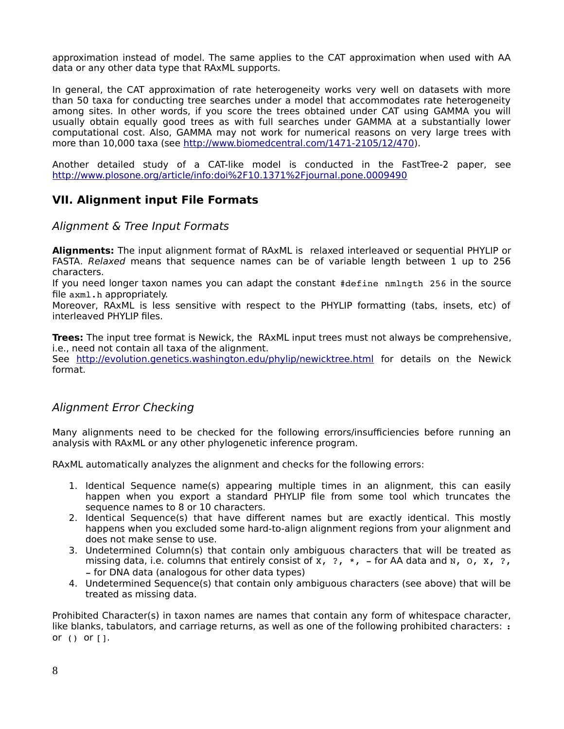approximation instead of model. The same applies to the CAT approximation when used with AA data or any other data type that RAxML supports.

In general, the CAT approximation of rate heterogeneity works very well on datasets with more than 50 taxa for conducting tree searches under a model that accommodates rate heterogeneity among sites. In other words, if you score the trees obtained under CAT using GAMMA you will usually obtain equally good trees as with full searches under GAMMA at a substantially lower computational cost. Also, GAMMA may not work for numerical reasons on very large trees with more than 10,000 taxa (see [http://www.biomedcentral.com/1471-2105/12/470\)](http://www.biomedcentral.com/1471-2105/12/470).

Another detailed study of a CAT-like model is conducted in the FastTree-2 paper, see <http://www.plosone.org/article/info:doi%2F10.1371%2Fjournal.pone.0009490>

# **VII. Alignment input File Formats**

### Alignment & Tree Input Formats

**Alignments:** The input alignment format of RAxML is relaxed interleaved or sequential PHYLIP or FASTA. Relaxed means that sequence names can be of variable length between 1 up to 256 characters.

If you need longer taxon names you can adapt the constant #define nmlngth 256 in the source file axml.h appropriately.

Moreover, RAxML is less sensitive with respect to the PHYLIP formatting (tabs, insets, etc) of interleaved PHYLIP files.

**Trees:** The input tree format is Newick, the RAxML input trees must not always be comprehensive, i.e., need not contain all taxa of the alignment.

See<http://evolution.genetics.washington.edu/phylip/newicktree.html> for details on the Newick format.

### Alignment Error Checking

Many alignments need to be checked for the following errors/insufficiencies before running an analysis with RAxML or any other phylogenetic inference program.

RAxML automatically analyzes the alignment and checks for the following errors:

- 1. Identical Sequence name(s) appearing multiple times in an alignment, this can easily happen when you export a standard PHYLIP file from some tool which truncates the sequence names to 8 or 10 characters.
- 2. Identical Sequence(s) that have different names but are exactly identical. This mostly happens when you excluded some hard-to-align alignment regions from your alignment and does not make sense to use.
- 3. Undetermined Column(s) that contain only ambiguous characters that will be treated as missing data, i.e. columns that entirely consist of x,  $\overline{?}$ ,  $\overline{?}$ ,  $\overline{?}$  for AA data and N, O, X,  $\overline{?}$ , - for DNA data (analogous for other data types)
- 4. Undetermined Sequence(s) that contain only ambiguous characters (see above) that will be treated as missing data.

Prohibited Character(s) in taxon names are names that contain any form of whitespace character, like blanks, tabulators, and carriage returns, as well as one of the following prohibited characters: : or () or [].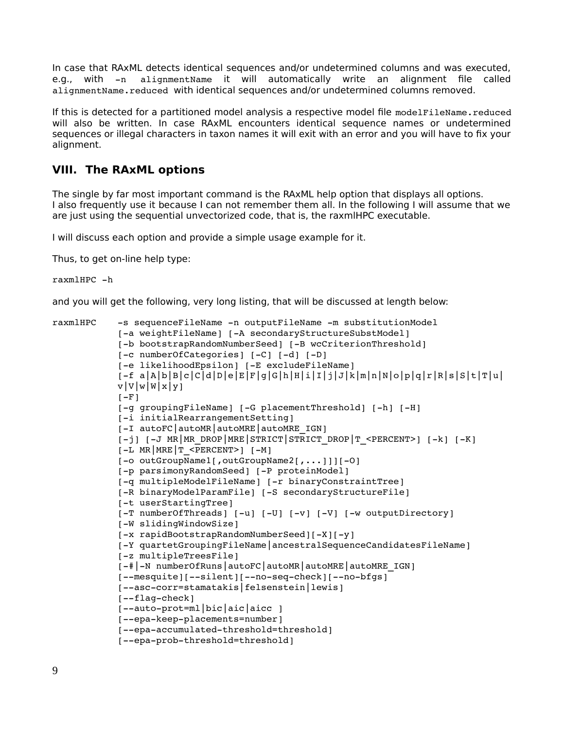In case that RAxML detects identical sequences and/or undetermined columns and was executed, e.g., with -n alignmentName it will automatically write an alignment file called alignmentName.reduced with identical sequences and/or undetermined columns removed.

If this is detected for a partitioned model analysis a respective model file modelFileName.reduced will also be written. In case RAxML encounters identical sequence names or undetermined sequences or illegal characters in taxon names it will exit with an error and you will have to fix your alignment.

# **VIII. The RAxML options**

The single by far most important command is the RAxML help option that displays all options. I also frequently use it because I can not remember them all. In the following I will assume that we are just using the sequential unvectorized code, that is, the raxmlHPC executable.

I will discuss each option and provide a simple usage example for it.

Thus, to get on-line help type:

```
raxmlHPC -h
```
and you will get the following, very long listing, that will be discussed at length below:

```
raxmlHPC -s sequenceFileName -n outputFileName -m substitutionModel
            [-a weightFileName] [-A secondaryStructureSubstModel]
           [-b bootstrapRandomNumberSeed] [-B wcCriterionThreshold]
           [-c numberOfCategories] [-C] [-d] [-D]
            [-e likelihoodEpsilon] [-E excludeFileName]
            [-f a]A[b]B[c]C[d]D]e[E]F]q[G]h[H]i[T]j[J]k[m]n[N]o]p[q]r[R]s[S]t[T]u]v|V|w|W|x|y|[-F][-g groupingFileName] [-G placementThreshold] [-h] [-H]
            [-i initialRearrangementSetting]
            [-I autoFC|autoMR|autoMRE|autoMRE IGN]
            [-1] [-J MR MR DROP MRE STRICT STRICT DROP T <PERCENT>[ [-k] [-K][-L MR | MRE | T < PERCENT> ] [-M][-o outGroupName1[, outGroupName2[,...]]][-0]
            [-p parsimonyRandomSeed] [-P proteinModel]
            [-q multipleModelFileName] [-r binaryConstraintTree]
            [-R binaryModelParamFile] [-S secondaryStructureFile]
            [-t userStartingTree]
            [-T numberOfThreads] [-u] [-U] [-v] [-V] [-w outputDirectory]
            [-W slidingWindowSize]
            [-x rapidBootstrapRandomNumberSeed][-X][-y]
           [Y quartetGroupingFileName|ancestralSequenceCandidatesFileName] 
            [-z multipleTreesFile]
            [-#|-N numberOfRuns|autoFC|autoMR|autoMRE|autoMRE_IGN]
            [--mesquite][--silent][--no-seq-check][--no-bfgs]
            [--asc-corr=stamatakis|felsenstein|lewis]
            [--flaq-check][--auto-prot=ml|bic|aic|aicc][--epa-keep-placements=number]
            [--epa-accumulated-threshold=threshold]
            [--epa-prob-threshold=threshold]
```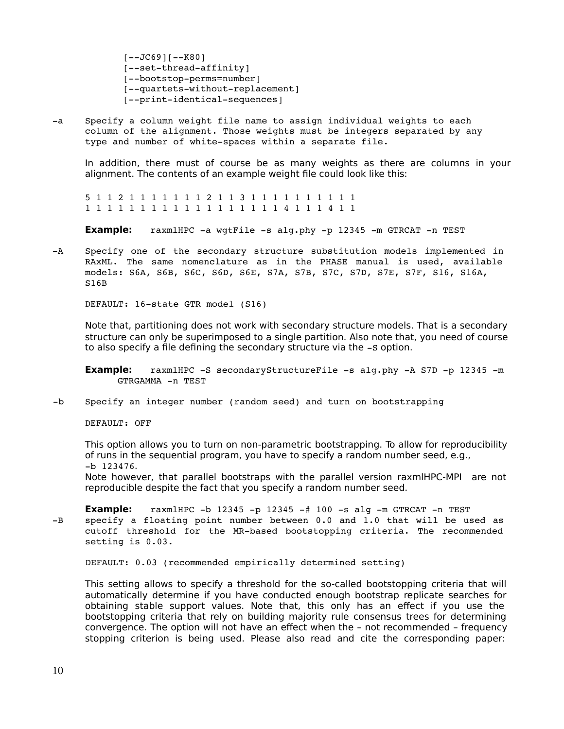$[--JC69]$ [ $-K80]$ ] [--set-thread-affinity] [--bootstop-perms=number] [--quartets-without-replacement] [--print-identical-sequences]

-a Specify a column weight file name to assign individual weights to each column of the alignment. Those weights must be integers separated by any type and number of white-spaces within a separate file.

In addition, there must of course be as many weights as there are columns in your alignment. The contents of an example weight file could look like this:

5 1 1 2 1 1 1 1 1 1 1 2 1 1 3 1 1 1 1 1 1 1 1 1 1 1 1 1 1 1 1 1 1 1 1 1 1 1 1 1 1 1 1 4 1 1 1 4 1 1

**Example:** raxmlHPC -a wgtFile -s alg.phy -p 12345 -m GTRCAT -n TEST

-A Specify one of the secondary structure substitution models implemented in RAxML. The same nomenclature as in the PHASE manual is used, available models: S6A, S6B, S6C, S6D, S6E, S7A, S7B, S7C, S7D, S7E, S7F, S16, S16A, S16B

DEFAULT: 16-state GTR model (S16)

Note that, partitioning does not work with secondary structure models. That is a secondary structure can only be superimposed to a single partition. Also note that, you need of course to also specify a file defining the secondary structure via the  $-$ s option.

**Example:** raxmlHPC -S secondaryStructureFile -s alg.phy -A S7D -p 12345 -m GTRGAMMA -n TEST

-b Specify an integer number (random seed) and turn on bootstrapping

DEFAULT: OFF

This option allows you to turn on non-parametric bootstrapping. To allow for reproducibility of runs in the sequential program, you have to specify a random number seed, e.g., b 123476.

Note however, that parallel bootstraps with the parallel version raxmlHPC-MPI are not reproducible despite the fact that you specify a random number seed.

**Example:** raxmlHPC  $-b$  12345  $-p$  12345  $-#$  100  $-s$  alg  $-m$  GTRCAT  $-n$  TEST -B specify a floating point number between 0.0 and 1.0 that will be used as cutoff threshold for the MR-based bootstopping criteria. The recommended setting is 0.03.

DEFAULT: 0.03 (recommended empirically determined setting)

This setting allows to specify a threshold for the so-called bootstopping criteria that will automatically determine if you have conducted enough bootstrap replicate searches for obtaining stable support values. Note that, this only has an effect if you use the bootstopping criteria that rely on building majority rule consensus trees for determining convergence. The option will not have an effect when the – not recommended – frequency stopping criterion is being used. Please also read and cite the corresponding paper: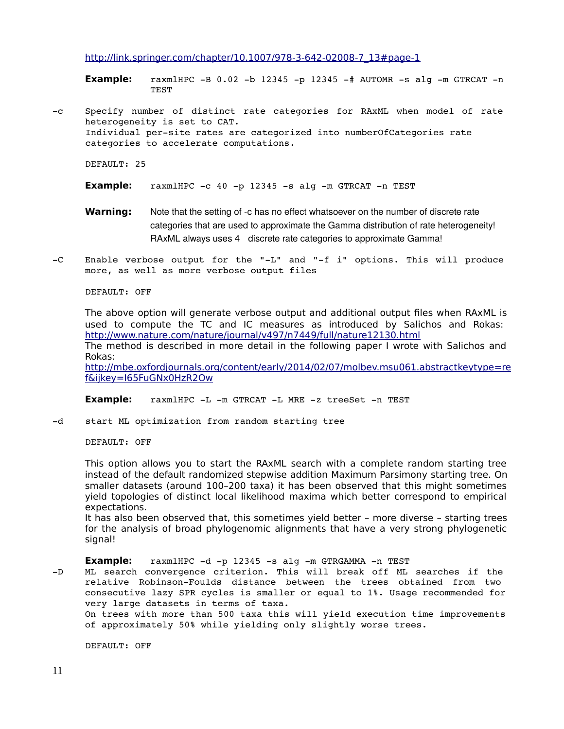[http://link.springer.com/chapter/10.1007/978-3-642-02008-7\\_13#page-1](http://link.springer.com/chapter/10.1007/978-3-642-02008-7_13#page-1)

**Example:** raxmlHPC  $-B$  0.02  $-b$  12345  $-p$  12345  $-\#$  AUTOMR  $-s$  alg  $-m$  GTRCAT  $-n$ **TEST** 

-c Specify number of distinct rate categories for RAxML when model of rate heterogeneity is set to CAT. Individual persite rates are categorized into numberOfCategories rate categories to accelerate computations.

DEFAULT: 25

- **Example:** raxmlHPC -c 40 -p 12345 -s alg -m GTRCAT -n TEST
- **Warning:** Note that the setting of -c has no effect whatsoever on the number of discrete rate categories that are used to approximate the Gamma distribution of rate heterogeneity! RAxML always uses 4 discrete rate categories to approximate Gamma!
- -C Enable verbose output for the "-L" and "-f i" options. This will produce more, as well as more verbose output files

#### DEFAULT: OFF

The above option will generate verbose output and additional output files when RAxML is used to compute the TC and IC measures as introduced by Salichos and Rokas: <http://www.nature.com/nature/journal/v497/n7449/full/nature12130.html> The method is described in more detail in the following paper I wrote with Salichos and Rokas: <http://mbe.oxfordjournals.org/content/early/2014/02/07/molbev.msu061.abstract>[keytype=re](http://mbe.oxfordjournals.org/content/early/2014/02/07/molbev.msu061.abstract?keytype=ref&ijkey=I65FuGNx0HzR2Ow) [f&ijkey=I65FuGNx0HzR2Ow](http://mbe.oxfordjournals.org/content/early/2014/02/07/molbev.msu061.abstract?keytype=ref&ijkey=I65FuGNx0HzR2Ow)

**Example:** raxmlHPC -L -m GTRCAT -L MRE -z treeSet -n TEST

-d start ML optimization from random starting tree

DEFAULT: OFF

This option allows you to start the RAxML search with a complete random starting tree instead of the default randomized stepwise addition Maximum Parsimony starting tree. On smaller datasets (around 100–200 taxa) it has been observed that this might sometimes yield topologies of distinct local likelihood maxima which better correspond to empirical expectations.

It has also been observed that, this sometimes yield better – more diverse – starting trees for the analysis of broad phylogenomic alignments that have a very strong phylogenetic signal!

**Example:** raxmlHPC -d -p 12345 -s alg -m GTRGAMMA -n TEST

-D ML search convergence criterion. This will break off ML searches if the relative Robinson-Foulds distance between the trees obtained from two consecutive lazy SPR cycles is smaller or equal to 1%. Usage recommended for very large datasets in terms of taxa.

 On trees with more than 500 taxa this will yield execution time improvements of approximately 50% while yielding only slightly worse trees.

DEFAULT: OFF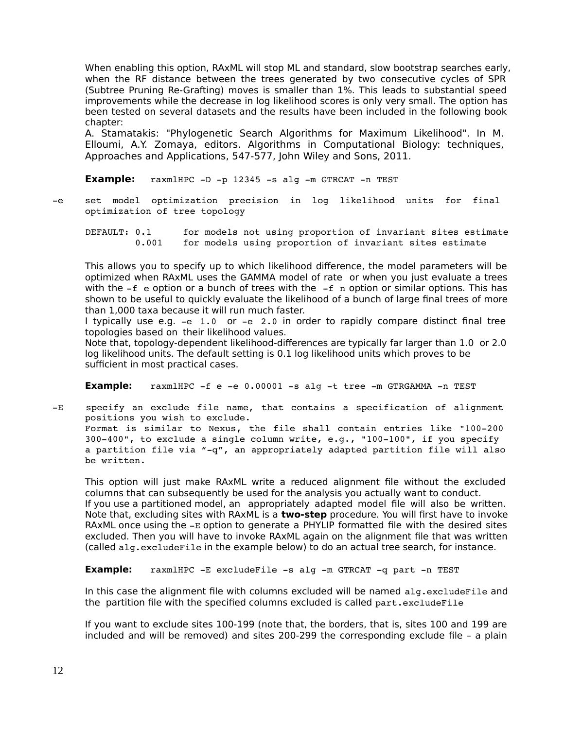When enabling this option, RAxML will stop ML and standard, slow bootstrap searches early, when the RF distance between the trees generated by two consecutive cycles of SPR (Subtree Pruning Re-Grafting) moves is smaller than 1%. This leads to substantial speed improvements while the decrease in log likelihood scores is only very small. The option has been tested on several datasets and the results have been included in the following book chapter:

A. Stamatakis: "Phylogenetic Search Algorithms for Maximum Likelihood". In M. Elloumi, A.Y. Zomaya, editors. Algorithms in Computational Biology: techniques, Approaches and Applications, 547-577, John Wiley and Sons, 2011.

**Example:**  $raxm1HPC -D -p 12345 -s$  alg  $-m$  GTRCAT  $-n$  TEST

-e set model optimization precision in log likelihood units for final optimization of tree topology

DEFAULT: 0.1 for models not using proportion of invariant sites estimate 0.001 for models using proportion of invariant sites estimate

This allows you to specify up to which likelihood difference, the model parameters will be optimized when RAxML uses the GAMMA model of rate or when you just evaluate a trees with the  $-f$  e option or a bunch of trees with the  $-f$  n option or similar options. This has shown to be useful to quickly evaluate the likelihood of a bunch of large final trees of more than 1,000 taxa because it will run much faster.

I typically use e.g. -e 1.0 or -e 2.0 in order to rapidly compare distinct final tree topologies based on their likelihood values.

Note that, topology-dependent likelihood-differences are typically far larger than 1.0 or 2.0 log likelihood units. The default setting is 0.1 log likelihood units which proves to be sufficient in most practical cases.

**Example:** raxmlHPC -f e -e 0.00001 -s alg -t tree -m GTRGAMMA -n TEST

-E specify an exclude file name, that contains a specification of alignment positions you wish to exclude. Format is similar to Nexus, the file shall contain entries like "100-200  $300-400$ ", to exclude a single column write, e.g., " $100-100$ ", if you specify a partition file via "-q", an appropriately adapted partition file will also be written.

This option will just make RAxML write a reduced alignment file without the excluded columns that can subsequently be used for the analysis you actually want to conduct. If you use a partitioned model, an appropriately adapted model file will also be written. Note that, excluding sites with RAxML is a **two-step** procedure. You will first have to invoke RAxML once using the -E option to generate a PHYLIP formatted file with the desired sites excluded. Then you will have to invoke RAxML again on the alignment file that was written (called alg.excludeFile in the example below) to do an actual tree search, for instance.

**Example:** raxmlHPC -E excludeFile -s alg -m GTRCAT -q part -n TEST

In this case the alignment file with columns excluded will be named alg.excludeFile and the partition file with the specified columns excluded is called part.excludeFile

If you want to exclude sites 100-199 (note that, the borders, that is, sites 100 and 199 are included and will be removed) and sites 200-299 the corresponding exclude file – a plain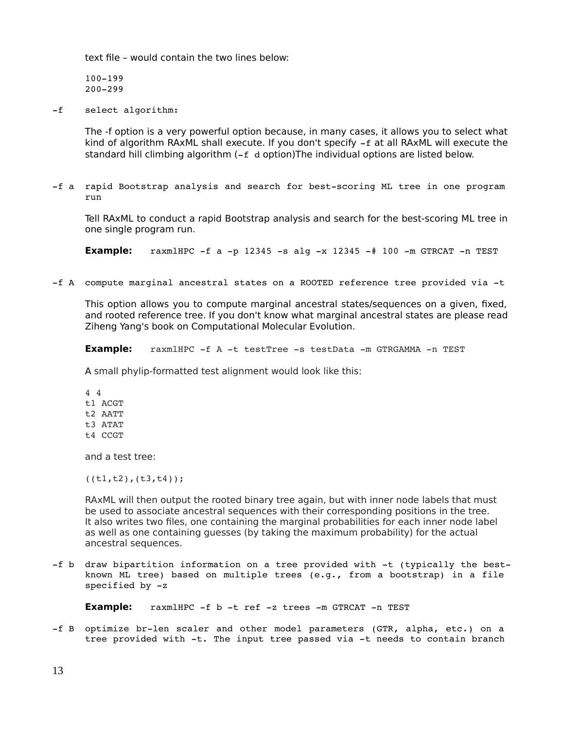text file – would contain the two lines below:

100-199 200299

-f select algorithm:

The -f option is a very powerful option because, in many cases, it allows you to select what kind of algorithm RAxML shall execute. If you don't specify  $-f$  at all RAxML will execute the standard hill climbing algorithm  $(-f \, d \, \text{option})$ The individual options are listed below.

-f a rapid Bootstrap analysis and search for best-scoring ML tree in one program run

Tell RAxML to conduct a rapid Bootstrap analysis and search for the best-scoring ML tree in one single program run.

**Example:** raxmlHPC  $-F$  a  $-p$  12345  $-s$  alg  $-x$  12345  $-\#$  100  $-m$  GTRCAT  $-n$  TEST

-f A compute marginal ancestral states on a ROOTED reference tree provided via -t

This option allows you to compute marginal ancestral states/sequences on a given, fixed, and rooted reference tree. If you don't know what marginal ancestral states are please read Ziheng Yang's book on Computational Molecular Evolution.

**Example:** raxmlHPC -f A -t testTree -s testData -m GTRGAMMA -n TEST

A small phylip-formatted test alignment would look like this:

4 4 t1 ACGT t2 AATT t3 ATAT t4 CCGT

and a test tree:

 $((t1,t2),(t3,t4));$ 

RAxML will then output the rooted binary tree again, but with inner node labels that must be used to associate ancestral sequences with their corresponding positions in the tree. It also writes two files, one containing the marginal probabilities for each inner node label as well as one containing guesses (by taking the maximum probability) for the actual ancestral sequences.

-f b draw bipartition information on a tree provided with -t (typically the bestknown ML tree) based on multiple trees (e.g., from a bootstrap) in a file specified by  $-z$ 

**Example:** raxmlHPC -f b -t ref -z trees -m GTRCAT -n TEST

-f B optimize br-len scaler and other model parameters (GTR, alpha, etc.) on a tree provided with -t. The input tree passed via -t needs to contain branch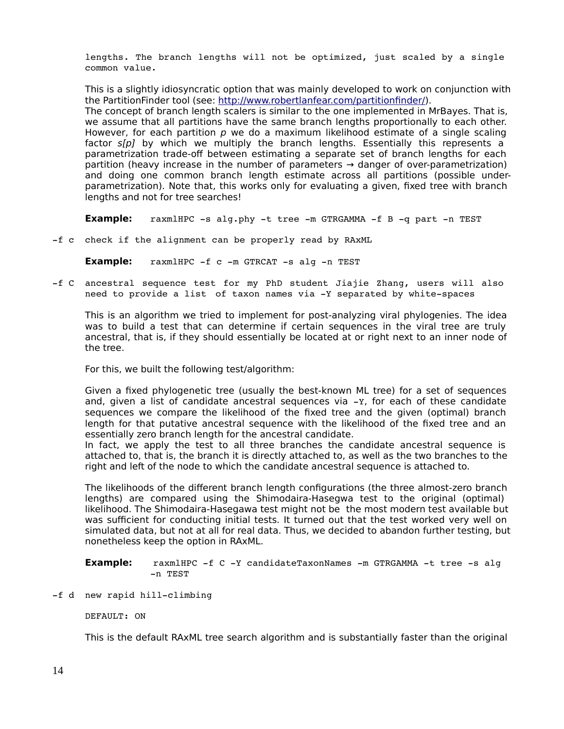lengths. The branch lengths will not be optimized, just scaled by a single common value.

This is a slightly idiosyncratic option that was mainly developed to work on conjunction with the PartitionFinder tool (see: [http://www.robertlanfear.com/partitionfinder/\)](http://www.robertlanfear.com/partitionfinder/).

The concept of branch length scalers is similar to the one implemented in MrBayes. That is, we assume that all partitions have the same branch lengths proportionally to each other. However, for each partition  $p$  we do a maximum likelihood estimate of a single scaling factor  $s[c]$  by which we multiply the branch lengths. Essentially this represents a parametrization trade-off between estimating a separate set of branch lengths for each partition (heavy increase in the number of parameters  $\rightarrow$  danger of over-parametrization) and doing one common branch length estimate across all partitions (possible underparametrization). Note that, this works only for evaluating a given, fixed tree with branch lengths and not for tree searches!

**Example:** raxmlHPC -s alg.phy -t tree -m GTRGAMMA -f B -q part -n TEST

f c check if the alignment can be properly read by RAxML

**Example:** raxmlHPC -f c -m GTRCAT -s alg -n TEST

f C ancestral sequence test for my PhD student Jiajie Zhang, users will also need to provide a list of taxon names via -Y separated by white-spaces

This is an algorithm we tried to implement for post-analyzing viral phylogenies. The idea was to build a test that can determine if certain sequences in the viral tree are truly ancestral, that is, if they should essentially be located at or right next to an inner node of the tree.

For this, we built the following test/algorithm:

Given a fixed phylogenetic tree (usually the best-known ML tree) for a set of sequences and, given a list of candidate ancestral sequences via  $-x$ , for each of these candidate sequences we compare the likelihood of the fixed tree and the given (optimal) branch length for that putative ancestral sequence with the likelihood of the fixed tree and an essentially zero branch length for the ancestral candidate.

In fact, we apply the test to all three branches the candidate ancestral sequence is attached to, that is, the branch it is directly attached to, as well as the two branches to the right and left of the node to which the candidate ancestral sequence is attached to.

The likelihoods of the different branch length configurations (the three almost-zero branch lengths) are compared using the Shimodaira-Hasegwa test to the original (optimal) likelihood. The Shimodaira-Hasegawa test might not be the most modern test available but was sufficient for conducting initial tests. It turned out that the test worked very well on simulated data, but not at all for real data. Thus, we decided to abandon further testing, but nonetheless keep the option in RAxML.

**Example:** raxmlHPC -f C -Y candidateTaxonNames -m GTRGAMMA -t tree -s alg n TEST

-f d new rapid hill-climbing

DEFAULT: ON

This is the default RAxML tree search algorithm and is substantially faster than the original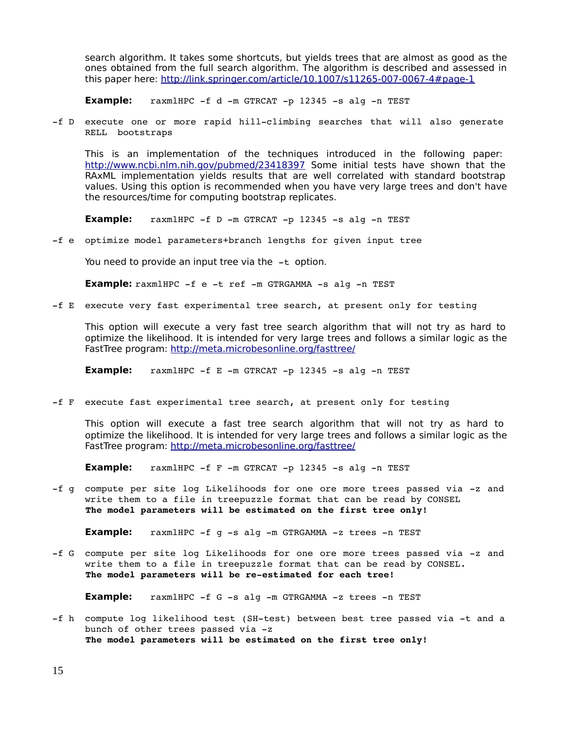search algorithm. It takes some shortcuts, but yields trees that are almost as good as the ones obtained from the full search algorithm. The algorithm is described and assessed in this paper here:<http://link.springer.com/article/10.1007/s11265-007-0067-4#page-1>

**Example:** raxmlHPC -f d -m GTRCAT -p 12345 -s alg -n TEST

-f D execute one or more rapid hill-climbing searches that will also generate RELL bootstraps

This is an implementation of the techniques introduced in the following paper: <http://www.ncbi.nlm.nih.gov/pubmed/23418397>Some initial tests have shown that the RAxML implementation yields results that are well correlated with standard bootstrap values. Using this option is recommended when you have very large trees and don't have the resources/time for computing bootstrap replicates.

**Example:**  $raxm1HPC -f D -m GTRCAT -p 12345 -s alq -n TEST$ 

f e optimize model parameters+branch lengths for given input tree

You need to provide an input tree via the  $-t$  option.

**Example:** raxmlHPC -f e -t ref -m GTRGAMMA -s alg -n TEST

-f E execute very fast experimental tree search, at present only for testing

This option will execute a very fast tree search algorithm that will not try as hard to optimize the likelihood. It is intended for very large trees and follows a similar logic as the FastTree program:<http://meta.microbesonline.org/fasttree/>

**Example:**  $raxmHPC -f E -m GTRCAT -p 12345 -s alq -n TEST$ 

-f F execute fast experimental tree search, at present only for testing

This option will execute a fast tree search algorithm that will not try as hard to optimize the likelihood. It is intended for very large trees and follows a similar logic as the FastTree program:<http://meta.microbesonline.org/fasttree/>

**Example:** raxmlHPC -f F -m GTRCAT -p 12345 -s alg -n TEST

-f g compute per site log Likelihoods for one ore more trees passed via -z and write them to a file in treepuzzle format that can be read by CONSEL **The model parameters will be estimated on the first tree only!** 

**Example:** raxmlHPC -f g -s alg -m GTRGAMMA -z trees -n TEST

-f G compute per site log Likelihoods for one ore more trees passed via -z and write them to a file in treepuzzle format that can be read by CONSEL. The model parameters will be re-estimated for each tree!

**Example:** raxmlHPC -f G -s alg -m GTRGAMMA -z trees -n TEST

-f h compute log likelihood test (SH-test) between best tree passed via -t and a bunch of other trees passed via -z **The model parameters will be estimated on the first tree only!**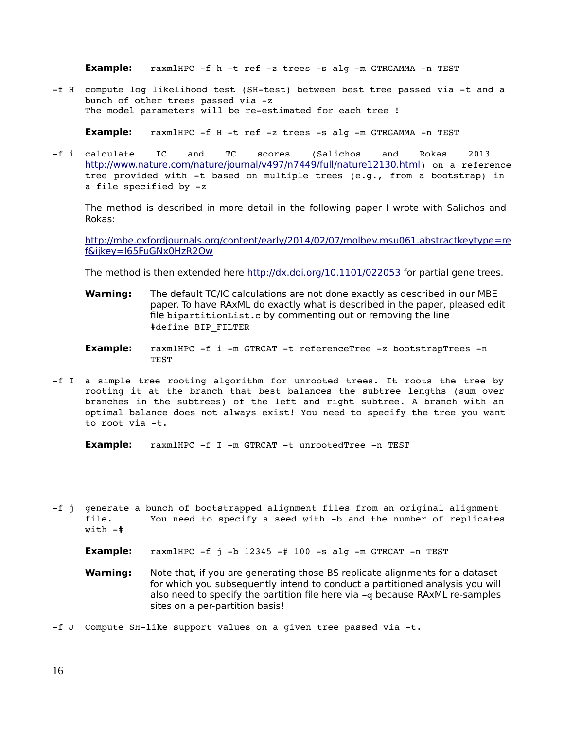**Example:** raxmlHPC -f h -t ref -z trees -s alg -m GTRGAMMA -n TEST

-f H compute log likelihood test (SH-test) between best tree passed via -t and a bunch of other trees passed via -z The model parameters will be re-estimated for each tree !

**Example:** raxmlHPC -f H -t ref -z trees -s alg -m GTRGAMMA -n TEST

f i calculate IC and TC scores (Salichos and Rokas 2013 <http://www.nature.com/nature/journal/v497/n7449/full/nature12130.html>) on a reference tree provided with -t based on multiple trees (e.g., from a bootstrap) in a file specified by  $-z$ 

The method is described in more detail in the following paper I wrote with Salichos and Rokas:

<http://mbe.oxfordjournals.org/content/early/2014/02/07/molbev.msu061.abstract>[keytype=re](http://mbe.oxfordjournals.org/content/early/2014/02/07/molbev.msu061.abstract?keytype=ref&ijkey=I65FuGNx0HzR2Ow) [f&ijkey=I65FuGNx0HzR2Ow](http://mbe.oxfordjournals.org/content/early/2014/02/07/molbev.msu061.abstract?keytype=ref&ijkey=I65FuGNx0HzR2Ow)

The method is then extended here<http://dx.doi.org/10.1101/022053>for partial gene trees.

- **Warning:** The default TC/IC calculations are not done exactly as described in our MBE paper. To have RAxML do exactly what is described in the paper, pleased edit file bipartitionList.c by commenting out or removing the line #define BIP\_FILTER
- **Example:** raxmlHPC -f i -m GTRCAT -t referenceTree -z bootstrapTrees -n TEST
- -f I a simple tree rooting algorithm for unrooted trees. It roots the tree by rooting it at the branch that best balances the subtree lengths (sum over branches in the subtrees) of the left and right subtree. A branch with an optimal balance does not always exist! You need to specify the tree you want to root via -t.

**Example:** raxmlHPC -f I -m GTRCAT -t unrootedTree -n TEST

- f j generate a bunch of bootstrapped alignment files from an original alignment file. You need to specify a seed with -b and the number of replicates with  $-$ #
	- **Example:**  $raxm1HPC -f j -b 12345 -# 100 -s alg -m GTRCAT -n TEST$
	- **Warning:** Note that, if you are generating those BS replicate alignments for a dataset for which you subsequently intend to conduct a partitioned analysis you will also need to specify the partition file here via  $-q$  because RAxML re-samples sites on a per-partition basis!
- -f J Compute SH-like support values on a given tree passed via  $-t$ .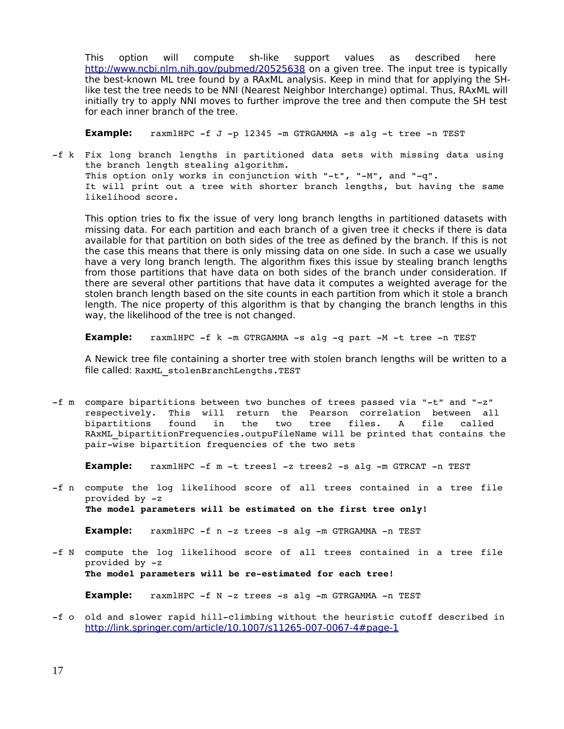This option will compute sh-like support values as described here <http://www.ncbi.nlm.nih.gov/pubmed/20525638>on a given tree. The input tree is typically the best-known ML tree found by a RAxML analysis. Keep in mind that for applying the SHlike test the tree needs to be NNI (Nearest Neighbor Interchange) optimal. Thus, RAxML will initially try to apply NNI moves to further improve the tree and then compute the SH test for each inner branch of the tree.

**Example:**  $raxmHPC -f J -p 12345 -m GTRGAMMA -s alq -t tree -n TEST$ 

-f k Fix long branch lengths in partitioned data sets with missing data using the branch length stealing algorithm. This option only works in conjunction with "-t", "-M", and "-q". It will print out a tree with shorter branch lengths, but having the same likelihood score.

This option tries to fix the issue of very long branch lengths in partitioned datasets with missing data. For each partition and each branch of a given tree it checks if there is data available for that partition on both sides of the tree as defined by the branch. If this is not the case this means that there is only missing data on one side. In such a case we usually have a very long branch length. The algorithm fixes this issue by stealing branch lengths from those partitions that have data on both sides of the branch under consideration. If there are several other partitions that have data it computes a weighted average for the stolen branch length based on the site counts in each partition from which it stole a branch length. The nice property of this algorithm is that by changing the branch lengths in this way, the likelihood of the tree is not changed.

**Example:** raxmlHPC -f k -m GTRGAMMA -s alg -q part -M -t tree -n TEST

A Newick tree file containing a shorter tree with stolen branch lengths will be written to a file called: RaxML\_stolenBranchLengths.TEST

-f m compare bipartitions between two bunches of trees passed via "-t" and "-z" respectively. This will return the Pearson correlation between all bipartitions found in the two tree files. A file called RAxML\_bipartitionFrequencies.outpuFileName will be printed that contains the pair-wise bipartition frequencies of the two sets

**Example:** raxmlHPC -f m -t trees1 -z trees2 -s alg -m GTRCAT -n TEST

-f n compute the log likelihood score of all trees contained in a tree file provided by  $-z$ **The model parameters will be estimated on the first tree only!** 

**Example:** raxmlHPC -f n -z trees -s alg -m GTRGAMMA -n TEST

-f N compute the log likelihood score of all trees contained in a tree file provided by  $-z$ The model parameters will be re-estimated for each tree!

**Example:** raxmlHPC -f N -z trees -s alg -m GTRGAMMA -n TEST

-f o old and slower rapid hill-climbing without the heuristic cutoff described in <http://link.springer.com/article/10.1007/s11265-007-0067-4#page-1>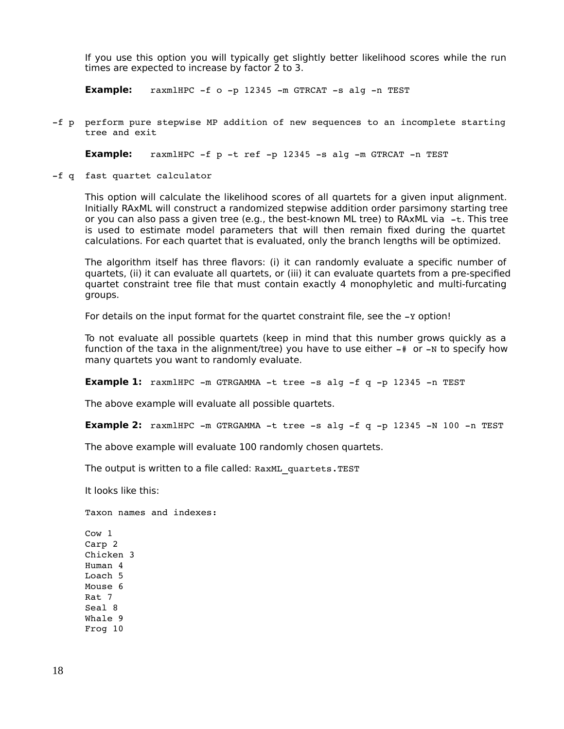If you use this option you will typically get slightly better likelihood scores while the run times are expected to increase by factor 2 to 3.

**Example:** raxmlHPC -f o -p 12345 -m GTRCAT -s alg -n TEST

f p perform pure stepwise MP addition of new sequences to an incomplete starting tree and exit

**Example:**  $raxm1HPC -f p -t ref -p 12345 -s alg -m GTRCAT -n TEST$ 

-f q fast quartet calculator

This option will calculate the likelihood scores of all quartets for a given input alignment. Initially RAxML will construct a randomized stepwise addition order parsimony starting tree or you can also pass a given tree (e.g., the best-known ML tree) to RA $x$ ML via  $-t$ . This tree is used to estimate model parameters that will then remain fixed during the quartet calculations. For each quartet that is evaluated, only the branch lengths will be optimized.

The algorithm itself has three flavors: (i) it can randomly evaluate a specific number of quartets, (ii) it can evaluate all quartets, or (iii) it can evaluate quartets from a pre-specified quartet constraint tree file that must contain exactly 4 monophyletic and multi-furcating groups.

For details on the input format for the quartet constraint file, see the -y option!

To not evaluate all possible quartets (keep in mind that this number grows quickly as a function of the taxa in the alignment/tree) you have to use either  $-$ # or  $-N$  to specify how many quartets you want to randomly evaluate.

**Example 1:** raxmlHPC -m GTRGAMMA -t tree -s alg -f q -p 12345 -n TEST

The above example will evaluate all possible quartets.

**Example 2:** raxmlHPC  $-m$  GTRGAMMA  $-t$  tree  $-s$  alg  $-f$  q  $-p$  12345  $-N$  100  $-n$  TEST

The above example will evaluate 100 randomly chosen quartets.

The output is written to a file called: RaxML quartets.TEST

It looks like this:

Taxon names and indexes:

Cow 1 Carp 2 Chicken 3 Human 4 Loach 5 Mouse 6 Rat 7 Seal 8 Whale 9 Frog 10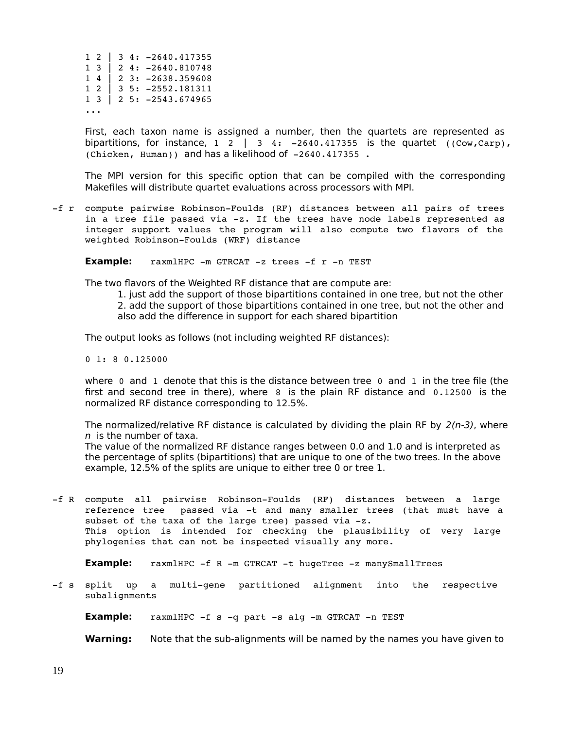|  | $1 2 \mid 3 4: -2640.417355$                   |  |
|--|------------------------------------------------|--|
|  | $1 \quad 3 \mid 2 \quad 4: -2640.810748$       |  |
|  | $1 4$   2 3: -2638.359608                      |  |
|  | $1 2 \mid 3 5: -2552.181311$                   |  |
|  | $1 \quad 3 \mid 2 \quad 5: \quad -2543.674965$ |  |
|  |                                                |  |

First, each taxon name is assigned a number, then the quartets are represented as bipartitions, for instance,  $1 \ 2 \ 3 \ 4: -2640.417355$  is the quartet  $((\text{Cow}, \text{Carp}),$ (Chicken, Human)) and has a likelihood of 2640.417355 .

The MPI version for this specific option that can be compiled with the corresponding Makefiles will distribute quartet evaluations across processors with MPI.

-f r compute pairwise Robinson-Foulds (RF) distances between all pairs of trees in a tree file passed via -z. If the trees have node labels represented as integer support values the program will also compute two flavors of the weighted Robinson-Foulds (WRF) distance

**Example:** raxmlHPC -m GTRCAT -z trees -f r -n TEST

The two flavors of the Weighted RF distance that are compute are:

1. just add the support of those bipartitions contained in one tree, but not the other 2. add the support of those bipartitions contained in one tree, but not the other and also add the difference in support for each shared bipartition

The output looks as follows (not including weighted RF distances):

0 1: 8 0.125000

where 0 and 1 denote that this is the distance between tree 0 and 1 in the tree file (the first and second tree in there), where 8 is the plain RF distance and 0.12500 is the normalized RF distance corresponding to 12.5%.

The normalized/relative RF distance is calculated by dividing the plain RF by  $2(n-3)$ , where  $n$  is the number of taxa.

The value of the normalized RF distance ranges between 0.0 and 1.0 and is interpreted as the percentage of splits (bipartitions) that are unique to one of the two trees. In the above example, 12.5% of the splits are unique to either tree 0 or tree 1.

-f R compute all pairwise Robinson-Foulds (RF) distances between a large reference tree passed via -t and many smaller trees (that must have a subset of the taxa of the large tree) passed via  $-z$ . This option is intended for checking the plausibility of very large phylogenies that can not be inspected visually any more.

**Example:** raxmlHPC -f R -m GTRCAT -t hugeTree -z manySmallTrees

-f s split up a multi-gene partitioned alignment into the respective subalignments

**Example:** raxmlHPC -f s -q part -s alg -m GTRCAT -n TEST

**Warning:** Note that the sub-alignments will be named by the names you have given to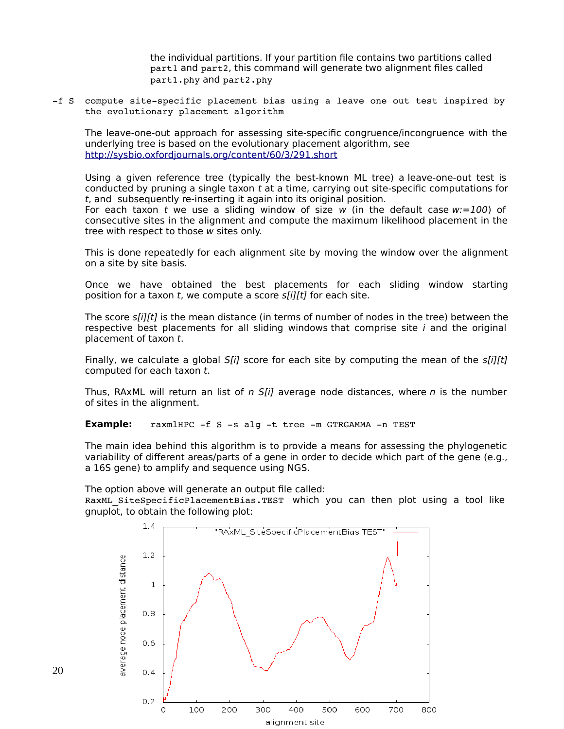the individual partitions. If your partition file contains two partitions called part1 and part2, this command will generate two alignment files called part1.phy and part2.phy

-f S compute site-specific placement bias using a leave one out test inspired by the evolutionary placement algorithm

The leave-one-out approach for assessing site-specific congruence/incongruence with the underlying tree is based on the evolutionary placement algorithm, see <http://sysbio.oxfordjournals.org/content/60/3/291.short>

Using a given reference tree (typically the best-known ML tree) a leave-one-out test is conducted by pruning a single taxon  $t$  at a time, carrying out site-specific computations for t, and subsequently re-inserting it again into its original position.

For each taxon t we use a sliding window of size w (in the default case  $w:=100$ ) of consecutive sites in the alignment and compute the maximum likelihood placement in the tree with respect to those w sites only.

This is done repeatedly for each alignment site by moving the window over the alignment on a site by site basis.

Once we have obtained the best placements for each sliding window starting position for a taxon  $t$ , we compute a score  $s[i][t]$  for each site.

The score s[i][t] is the mean distance (in terms of number of nodes in the tree) between the respective best placements for all sliding windows that comprise site  $i$  and the original placement of taxon t.

Finally, we calculate a global  $S[i]$  score for each site by computing the mean of the  $s[i][t]$ computed for each taxon t.

Thus, RAxML will return an list of n  $S[i]$  average node distances, where n is the number of sites in the alignment.

**Example:** raxmlHPC -f S -s alg -t tree -m GTRGAMMA -n TEST

The main idea behind this algorithm is to provide a means for assessing the phylogenetic variability of different areas/parts of a gene in order to decide which part of the gene (e.g., a 16S gene) to amplify and sequence using NGS.

The option above will generate an output file called:

RaxML SiteSpecificPlacementBias.TEST which you can then plot using a tool like gnuplot, to obtain the following plot:

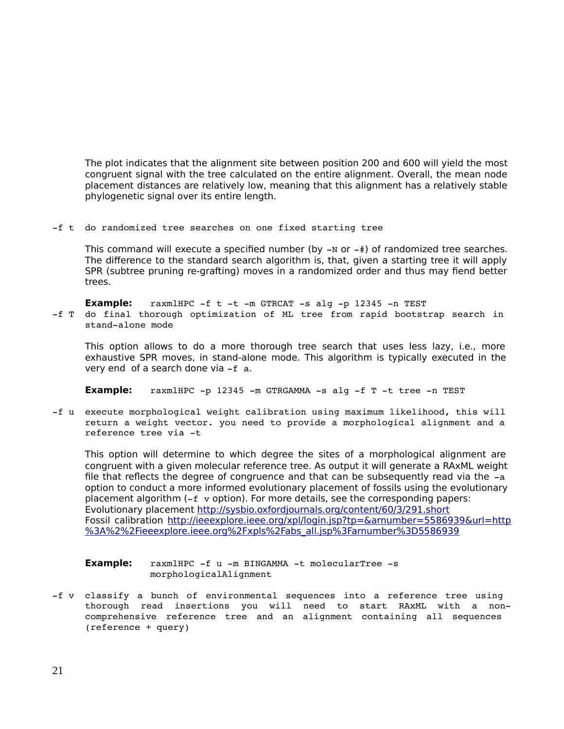The plot indicates that the alignment site between position 200 and 600 will yield the most congruent signal with the tree calculated on the entire alignment. Overall, the mean node placement distances are relatively low, meaning that this alignment has a relatively stable phylogenetic signal over its entire length.

f t do randomized tree searches on one fixed starting tree

This command will execute a specified number (by  $-N$  or  $-\#$ ) of randomized tree searches. The difference to the standard search algorithm is, that, given a starting tree it will apply SPR (subtree pruning re-grafting) moves in a randomized order and thus may fiend better trees.

**Example:**  $raxmHPC -f t -t -m GTRCAT -s alg -p 12345 -n TEST$ 

-f T do final thorough optimization of ML tree from rapid bootstrap search in stand-alone mode

This option allows to do a more thorough tree search that uses less lazy, i.e., more exhaustive SPR moves, in stand-alone mode. This algorithm is typically executed in the very end of a search done via  $-f$  a.

**Example:** raxmlHPC -p 12345 -m GTRGAMMA -s alg -f T -t tree -n TEST

-f u execute morphological weight calibration using maximum likelihood, this will return a weight vector. you need to provide a morphological alignment and a reference tree via -t

This option will determine to which degree the sites of a morphological alignment are congruent with a given molecular reference tree. As output it will generate a RAxML weight file that reflects the degree of congruence and that can be subsequently read via the  $-a$ option to conduct a more informed evolutionary placement of fossils using the evolutionary placement algorithm  $(-f \text{ v option})$ . For more details, see the corresponding papers: Evolutionary placement<http://sysbio.oxfordjournals.org/content/60/3/291.short> Fossil calibration [http://ieeexplore.ieee.org/xpl/login.jsp?tp=&arnumber=5586939&url=http](http://ieeexplore.ieee.org/xpl/login.jsp?tp=&arnumber=5586939&url=http%3A) %3A[%2%2Fieeexplore.ieee.org%2Fxpls%2Fabs\\_all.jsp%3Farnumber%3D5586939](http://ieeexplore.ieee.org/xpl/login.jsp?tp=&arnumber=5586939&url=http%3A%252%2Fieeexplore.ieee.org%2Fxpls%2Fabs_all.jsp%3Farnumber%3D5586939)

| <b>Example:</b> | raxmlHPC -f u -m BINGAMMA -t molecularTree -s |  |
|-----------------|-----------------------------------------------|--|
|                 | morphologicalAlignment                        |  |

-f v classify a bunch of environmental sequences into a reference tree using thorough read insertions you will need to start RAxML with a noncomprehensive reference tree and an alignment containing all sequences (reference + query)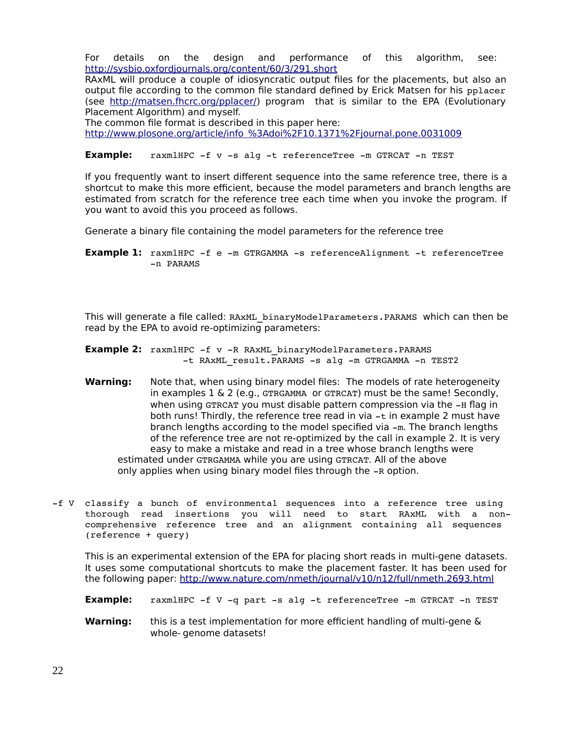For details on the design and performance of this algorithm, see: <http://sysbio.oxfordjournals.org/content/60/3/291.short>

RAxML will produce a couple of idiosyncratic output files for the placements, but also an output file according to the common file standard defined by Erick Matsen for his pplacer (see [http://matsen.fhcrc.org/pplacer/\)](http://matsen.fhcrc.org/pplacer/) program that is similar to the EPA (Evolutionary Placement Algorithm) and myself.

The common file format is described in this paper here: <http://www.plosone.org/article/info> [%3Adoi%2F10.1371%2Fjournal.pone.0031009](http://www.plosone.org/article/info%3Adoi%2F10.1371%2Fjournal.pone.0031009)

**Example:** raxmlHPC -f v -s alg -t referenceTree -m GTRCAT -n TEST

If you frequently want to insert different sequence into the same reference tree, there is a shortcut to make this more efficient, because the model parameters and branch lengths are estimated from scratch for the reference tree each time when you invoke the program. If you want to avoid this you proceed as follows.

Generate a binary file containing the model parameters for the reference tree

**Example 1:** raxmlHPC -f e -m GTRGAMMA -s referenceAlignment -t referenceTree n PARAMS

This will generate a file called: RAxML\_binaryModelParameters.PARAMS which can then be read by the EPA to avoid re-optimizing parameters:

- **Example 2:** raxmlHPC -f v -R RAxML binaryModelParameters.PARAMS -t RAxML result. PARAMS -s alg -m GTRGAMMA -n TEST2
- **Warning:** Note that, when using binary model files: The models of rate heterogeneity in examples  $1 \& 2$  (e.g., GTRGAMMA or GTRCAT) must be the same! Secondly, when using GTRCAT you must disable pattern compression via the -H flag in both runs! Thirdly, the reference tree read in via -t in example 2 must have branch lengths according to the model specified via  $-m$ . The branch lengths of the reference tree are not re-optimized by the call in example 2. It is very easy to make a mistake and read in a tree whose branch lengths were estimated under GTRGAMMA while you are using GTRCAT. All of the above only applies when using binary model files through the -R option.
- -f V classify a bunch of environmental sequences into a reference tree using thorough read insertions you will need to start RAxML with a noncomprehensive reference tree and an alignment containing all sequences (reference + query)

This is an experimental extension of the EPA for placing short reads in multi-gene datasets. It uses some computational shortcuts to make the placement faster. It has been used for the following paper:<http://www.nature.com/nmeth/journal/v10/n12/full/nmeth.2693.html>

- **Example:** raxmlHPC -f V -q part -s alg -t referenceTree -m GTRCAT -n TEST
- **Warning:** this is a test implementation for more efficient handling of multi-gene & whole- genome datasets!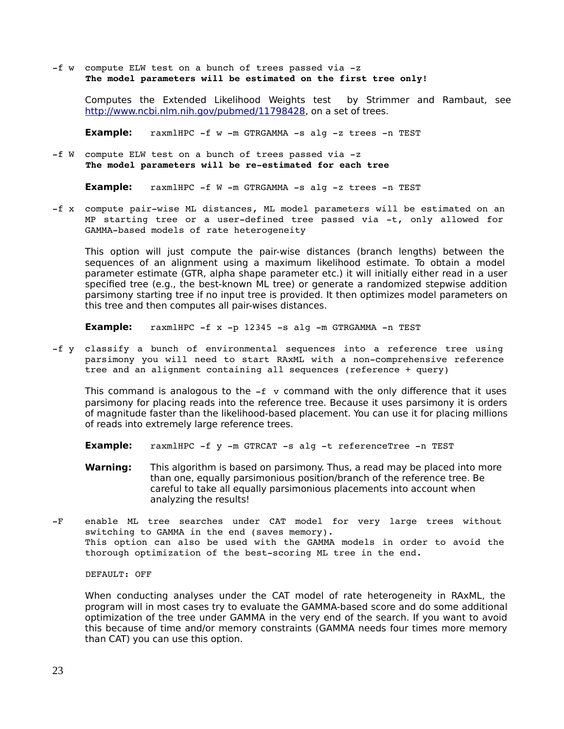$-f$  w compute ELW test on a bunch of trees passed via  $-z$ **The model parameters will be estimated on the first tree only!** 

Computes the Extended Likelihood Weights test by Strimmer and Rambaut, see [http://www.ncbi.nlm.nih.gov/pubmed/11798428,](http://www.ncbi.nlm.nih.gov/pubmed/11798428) on a set of trees.

**Example:** raxmlHPC -f w -m GTRGAMMA -s alg -z trees -n TEST

-f W compute ELW test on a bunch of trees passed via -z The model parameters will be re-estimated for each tree

**Example:** raxmlHPC -f W -m GTRGAMMA -s alg -z trees -n TEST

-f x compute pair-wise ML distances, ML model parameters will be estimated on an MP starting tree or a user-defined tree passed via  $-t$ , only allowed for GAMMA-based models of rate heterogeneity

This option will just compute the pair-wise distances (branch lengths) between the sequences of an alignment using a maximum likelihood estimate. To obtain a model parameter estimate (GTR, alpha shape parameter etc.) it will initially either read in a user specified tree (e.g., the best-known ML tree) or generate a randomized stepwise addition parsimony starting tree if no input tree is provided. It then optimizes model parameters on this tree and then computes all pair-wises distances.

**Example:**  $raxm1HPC -f x -p 12345 -s a1g -m GTRGAMMA -n TEST$ 

-f y classify a bunch of environmental sequences into a reference tree using parsimony you will need to start RAxML with a non-comprehensive reference tree and an alignment containing all sequences (reference + query)

This command is analogous to the  $-f$  v command with the only difference that it uses parsimony for placing reads into the reference tree. Because it uses parsimony it is orders of magnitude faster than the likelihood-based placement. You can use it for placing millions of reads into extremely large reference trees.

- **Example:** raxmlHPC -f y -m GTRCAT -s alg -t referenceTree -n TEST
- **Warning:** This algorithm is based on parsimony. Thus, a read may be placed into more than one, equally parsimonious position/branch of the reference tree. Be careful to take all equally parsimonious placements into account when analyzing the results!
- -F enable ML tree searches under CAT model for very large trees without switching to GAMMA in the end (saves memory). This option can also be used with the GAMMA models in order to avoid the thorough optimization of the best-scoring ML tree in the end.

#### DEFAULT: OFF

When conducting analyses under the CAT model of rate heterogeneity in RAxML, the program will in most cases try to evaluate the GAMMA-based score and do some additional optimization of the tree under GAMMA in the very end of the search. If you want to avoid this because of time and/or memory constraints (GAMMA needs four times more memory than CAT) you can use this option.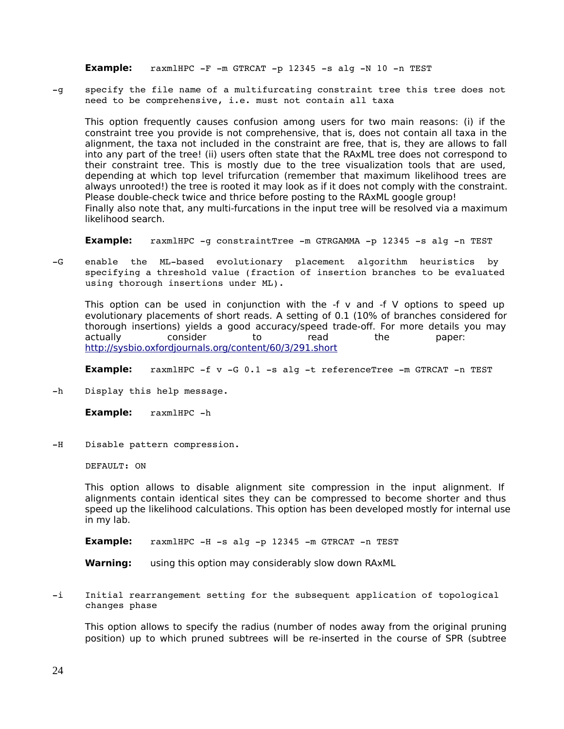**Example:** raxmlHPC  $-F$   $-m$  GTRCAT  $-p$  12345  $-s$  alg  $-N$  10  $-n$  TEST

-q specify the file name of a multifurcating constraint tree this tree does not need to be comprehensive, i.e. must not contain all taxa

This option frequently causes confusion among users for two main reasons: (i) if the constraint tree you provide is not comprehensive, that is, does not contain all taxa in the alignment, the taxa not included in the constraint are free, that is, they are allows to fall into any part of the tree! (ii) users often state that the RAxML tree does not correspond to their constraint tree. This is mostly due to the tree visualization tools that are used, depending at which top level trifurcation (remember that maximum likelihood trees are always unrooted!) the tree is rooted it may look as if it does not comply with the constraint. Please double-check twice and thrice before posting to the RAxML google group! Finally also note that, any multi-furcations in the input tree will be resolved via a maximum likelihood search.

**Example:** raxmlHPC -q constraintTree -m GTRGAMMA -p 12345 -s alg -n TEST

-G enable the ML-based evolutionary placement algorithm heuristics by specifying a threshold value (fraction of insertion branches to be evaluated using thorough insertions under ML).

This option can be used in conjunction with the  $-f$  v and  $-f$  V options to speed up evolutionary placements of short reads. A setting of 0.1 (10% of branches considered for thorough insertions) yields a good accuracy/speed trade-off. For more details you may actually consider to read the paper: <http://sysbio.oxfordjournals.org/content/60/3/291.short>

**Example:** raxmlHPC -f v -G 0.1 -s alg -t referenceTree -m GTRCAT -n TEST

-h Display this help message.

**Example:** raxmlHPC -h

-H Disable pattern compression.

DEFAULT: ON

This option allows to disable alignment site compression in the input alignment. If alignments contain identical sites they can be compressed to become shorter and thus speed up the likelihood calculations. This option has been developed mostly for internal use in my lab.

**Example:** raxmlHPC -H -s alg -p 12345 -m GTRCAT -n TEST

**Warning:** using this option may considerably slow down RAxML

-i Initial rearrangement setting for the subsequent application of topological changes phase

This option allows to specify the radius (number of nodes away from the original pruning position) up to which pruned subtrees will be re-inserted in the course of SPR (subtree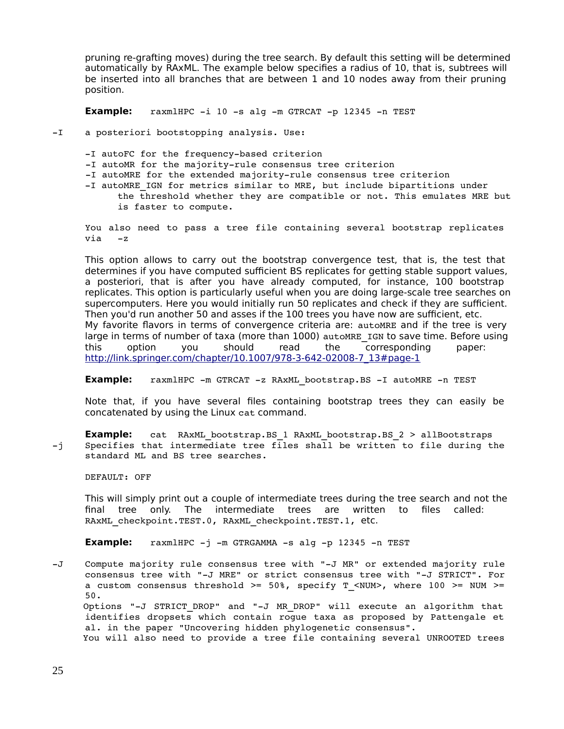pruning re-grafting moves) during the tree search. By default this setting will be determined automatically by RAxML. The example below specifies a radius of 10, that is, subtrees will be inserted into all branches that are between 1 and 10 nodes away from their pruning position.

**Example:** raxmlHPC -i 10 -s alg -m GTRCAT -p 12345 -n TEST

-I a posteriori bootstopping analysis. Use:

- -I autoFC for the frequency-based criterion
- -I autoMR for the majority-rule consensus tree criterion
- -I autoMRE for the extended majority-rule consensus tree criterion
- -I autoMRE IGN for metrics similar to MRE, but include bipartitions under the threshold whether they are compatible or not. This emulates MRE but is faster to compute.

You also need to pass a tree file containing several bootstrap replicates via z

This option allows to carry out the bootstrap convergence test, that is, the test that determines if you have computed sufficient BS replicates for getting stable support values, a posteriori, that is after you have already computed, for instance, 100 bootstrap replicates. This option is particularly useful when you are doing large-scale tree searches on supercomputers. Here you would initially run 50 replicates and check if they are sufficient. Then you'd run another 50 and asses if the 100 trees you have now are sufficient, etc. My favorite flavors in terms of convergence criteria are: autoMRE and if the tree is very large in terms of number of taxa (more than 1000) autoMRE IGN to save time. Before using this option you should read the corresponding paper: [http://link.springer.com/chapter/10.1007/978-3-642-02008-7\\_13#page-1](http://link.springer.com/chapter/10.1007/978-3-642-02008-7_13#page-1)

**Example:** raxmlHPC -m GTRCAT -z RAxML bootstrap.BS -I autoMRE -n TEST

Note that, if you have several files containing bootstrap trees they can easily be concatenated by using the Linux cat command.

**Example:** cat RAxML bootstrap.BS 1 RAxML bootstrap.BS 2 > allBootstraps  $-j$  Specifies that intermediate tree files shall be written to file during the standard ML and BS tree searches.

DEFAULT: OFF

This will simply print out a couple of intermediate trees during the tree search and not the final tree only. The intermediate trees are written to files called: RAxML checkpoint.TEST.0, RAxML checkpoint.TEST.1, etc.

**Example:**  $raxm1HPC -j -m$  GTRGAMMA  $-s$  alg  $-p$  12345  $-n$  TEST

-J Compute majority rule consensus tree with "-J MR" or extended majority rule consensus tree with "-J MRE" or strict consensus tree with "-J STRICT". For a custom consensus threshold >= 50%, specify T <NUM>, where 100 >= NUM >= 50.

Options "-J STRICT DROP" and "-J MR DROP" will execute an algorithm that identifies dropsets which contain rogue taxa as proposed by Pattengale et al. in the paper "Uncovering hidden phylogenetic consensus".

You will also need to provide a tree file containing several UNROOTED trees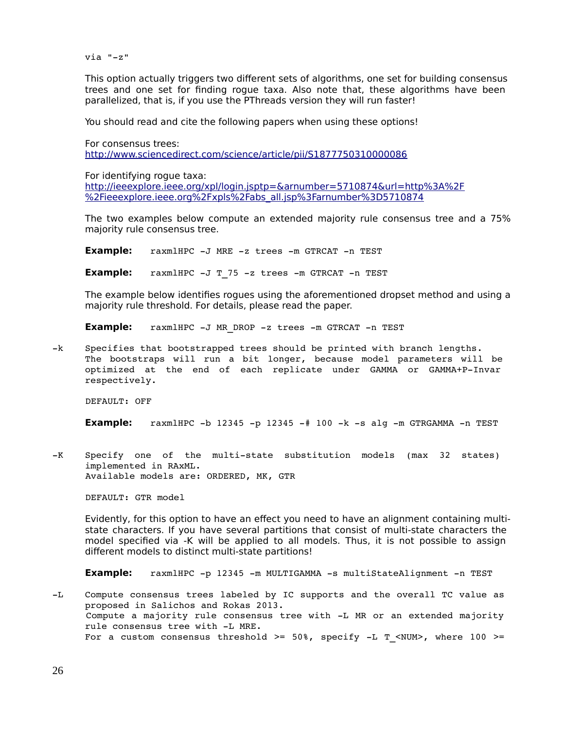$via "-z"$ 

This option actually triggers two different sets of algorithms, one set for building consensus trees and one set for finding rogue taxa. Also note that, these algorithms have been parallelized, that is, if you use the PThreads version they will run faster!

You should read and cite the following papers when using these options!

For consensus trees: <http://www.sciencedirect.com/science/article/pii/S1877750310000086>

For identifying rogue taxa:

<http://ieeexplore.ieee.org/xpl/login.jsptp=&arnumber=5710874&url=http%3A%2F> [%2Fieeexplore.ieee.org%2Fxpls%2Fabs\\_all.jsp%3Farnumber%3D5710874](http://ieeexplore.ieee.org/xpl/login.jsptp=&arnumber=5710874&url=http%3A%2F%2Fieeexplore.ieee.org%2Fxpls%2Fabs_all.jsp%3Farnumber%3D5710874)

The two examples below compute an extended majority rule consensus tree and a 75% majority rule consensus tree.

**Example:** raxmlHPC -J MRE -z trees -m GTRCAT -n TEST

**Example:** raxmlHPC -J T 75 -z trees -m GTRCAT -n TEST

The example below identifies rogues using the aforementioned dropset method and using a majority rule threshold. For details, please read the paper.

**Example:** raxmlHPC -J MR DROP -z trees -m GTRCAT -n TEST

-k Specifies that bootstrapped trees should be printed with branch lengths. The bootstraps will run a bit longer, because model parameters will be optimized at the end of each replicate under GAMMA or GAMMA+P-Invar respectively.

DEFAULT: OFF

**Example:** raxmlHPC  $-b$  12345  $-p$  12345  $-\#$  100  $-k$   $-s$  alg  $-m$  GTRGAMMA  $-n$  TEST

-K Specify one of the multi-state substitution models (max 32 states) implemented in RAxML. Available models are: ORDERED, MK, GTR

DEFAULT: GTR model

Evidently, for this option to have an effect you need to have an alignment containing multistate characters. If you have several partitions that consist of multi-state characters the model specified via -K will be applied to all models. Thus, it is not possible to assign different models to distinct multi-state partitions!

**Example:** raxmlHPC -p 12345 -m MULTIGAMMA -s multiStateAlignment -n TEST

-L Compute consensus trees labeled by IC supports and the overall TC value as proposed in Salichos and Rokas 2013. Compute a majority rule consensus tree with -L MR or an extended majority rule consensus tree with -L MRE. For a custom consensus threshold >=  $50\%$ , specify -L T\_<NUM>, where 100 >=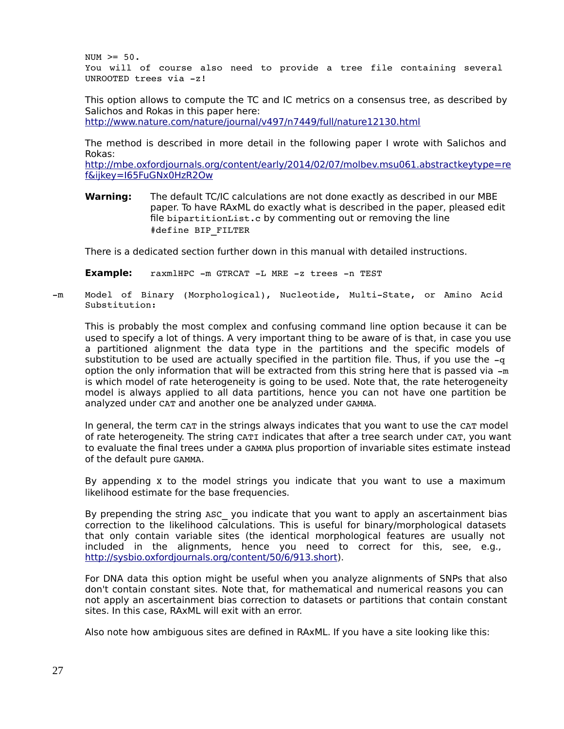$NUM \ge 50.$ You will of course also need to provide a tree file containing several UNROOTED trees via  $-z!$ 

This option allows to compute the TC and IC metrics on a consensus tree, as described by Salichos and Rokas in this paper here:

<http://www.nature.com/nature/journal/v497/n7449/full/nature12130.html>

The method is described in more detail in the following paper I wrote with Salichos and Rokas:

<http://mbe.oxfordjournals.org/content/early/2014/02/07/molbev.msu061.abstract>[keytype=re](http://mbe.oxfordjournals.org/content/early/2014/02/07/molbev.msu061.abstract?keytype=ref&ijkey=I65FuGNx0HzR2Ow) [f&ijkey=I65FuGNx0HzR2Ow](http://mbe.oxfordjournals.org/content/early/2014/02/07/molbev.msu061.abstract?keytype=ref&ijkey=I65FuGNx0HzR2Ow)

**Warning:** The default TC/IC calculations are not done exactly as described in our MBE paper. To have RAxML do exactly what is described in the paper, pleased edit file bipartitionList.c by commenting out or removing the line #define BIP\_FILTER

There is a dedicated section further down in this manual with detailed instructions.

**Example:** raxmlHPC -m GTRCAT -L MRE -z trees -n TEST

-m Model of Binary (Morphological), Nucleotide, Multi-State, or Amino Acid Substitution:

This is probably the most complex and confusing command line option because it can be used to specify a lot of things. A very important thing to be aware of is that, in case you use a partitioned alignment the data type in the partitions and the specific models of substitution to be used are actually specified in the partition file. Thus, if you use the  $-q$ option the only information that will be extracted from this string here that is passed via  $-m$ is which model of rate heterogeneity is going to be used. Note that, the rate heterogeneity model is always applied to all data partitions, hence you can not have one partition be analyzed under CAT and another one be analyzed under GAMMA.

In general, the term CAT in the strings always indicates that you want to use the CAT model of rate heterogeneity. The string CATI indicates that after a tree search under CAT, you want to evaluate the final trees under a GAMMA plus proportion of invariable sites estimate instead of the default pure GAMMA.

By appending x to the model strings you indicate that you want to use a maximum likelihood estimate for the base frequencies.

By prepending the string ASC you indicate that you want to apply an ascertainment bias correction to the likelihood calculations. This is useful for binary/morphological datasets that only contain variable sites (the identical morphological features are usually not included in the alignments, hence you need to correct for this, see, e.g., [http://sysbio.oxfordjournals.org/content/50/6/913.short\)](http://sysbio.oxfordjournals.org/content/50/6/913.short).

For DNA data this option might be useful when you analyze alignments of SNPs that also don't contain constant sites. Note that, for mathematical and numerical reasons you can not apply an ascertainment bias correction to datasets or partitions that contain constant sites. In this case, RAxML will exit with an error.

Also note how ambiguous sites are defined in RAxML. If you have a site looking like this: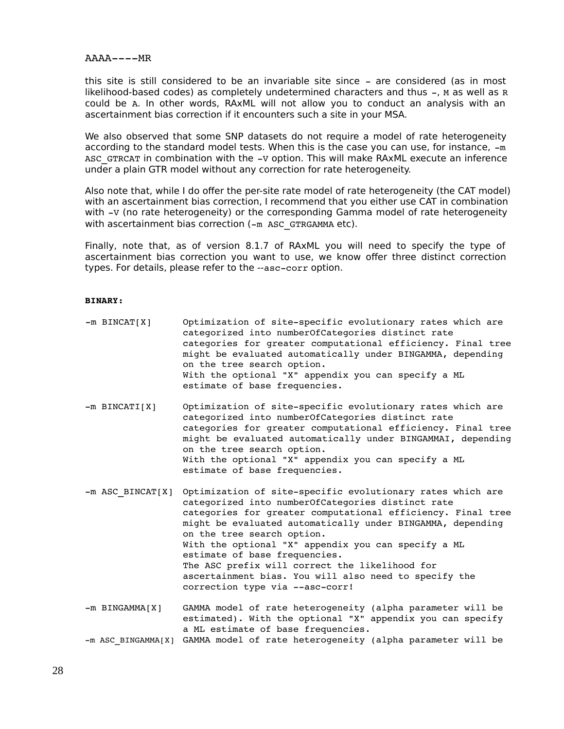#### $AAA---MR$

this site is still considered to be an invariable site since - are considered (as in most likelihood-based codes) as completely undetermined characters and thus  $-$ , M as well as R could be A. In other words, RAxML will not allow you to conduct an analysis with an ascertainment bias correction if it encounters such a site in your MSA.

We also observed that some SNP datasets do not require a model of rate heterogeneity according to the standard model tests. When this is the case you can use, for instance,  $-m$ ASC GTRCAT in combination with the -v option. This will make RAxML execute an inference under a plain GTR model without any correction for rate heterogeneity.

Also note that, while I do offer the per-site rate model of rate heterogeneity (the CAT model) with an ascertainment bias correction, I recommend that you either use CAT in combination with -v (no rate heterogeneity) or the corresponding Gamma model of rate heterogeneity with ascertainment bias correction  $(-m)$  ASC GTRGAMMA etc).

Finally, note that, as of version 8.1.7 of RAxML you will need to specify the type of ascertainment bias correction you want to use, we know offer three distinct correction types. For details, please refer to the --asc-corr option.

#### **BINARY:**

| $-m$ BINCAT[X]      | Optimization of site-specific evolutionary rates which are<br>categorized into numberOfCategories distinct rate<br>categories for greater computational efficiency. Final tree<br>might be evaluated automatically under BINGAMMA, depending<br>on the tree search option.<br>With the optional "X" appendix you can specify a ML<br>estimate of base frequencies.                                                                                                                                               |
|---------------------|------------------------------------------------------------------------------------------------------------------------------------------------------------------------------------------------------------------------------------------------------------------------------------------------------------------------------------------------------------------------------------------------------------------------------------------------------------------------------------------------------------------|
| $-m$ BINCATI $[X]$  | Optimization of site-specific evolutionary rates which are<br>categorized into numberOfCategories distinct rate<br>categories for greater computational efficiency. Final tree<br>might be evaluated automatically under BINGAMMAI, depending<br>on the tree search option.<br>With the optional "X" appendix you can specify a ML<br>estimate of base frequencies.                                                                                                                                              |
| -m ASC BINCAT[X]    | Optimization of site-specific evolutionary rates which are<br>categorized into numberOfCategories distinct rate<br>categories for greater computational efficiency. Final tree<br>might be evaluated automatically under BINGAMMA, depending<br>on the tree search option.<br>With the optional "X" appendix you can specify a ML<br>estimate of base frequencies.<br>The ASC prefix will correct the likelihood for<br>ascertainment bias. You will also need to specify the<br>correction type via --asc-corr! |
| $-m$ BINGAMMA $[X]$ | GAMMA model of rate heterogeneity (alpha parameter will be<br>estimated). With the optional "X" appendix you can specify<br>a ML estimate of base frequencies.                                                                                                                                                                                                                                                                                                                                                   |

```
-m ASC BINGAMMA[X] GAMMA model of rate heterogeneity (alpha parameter will be
```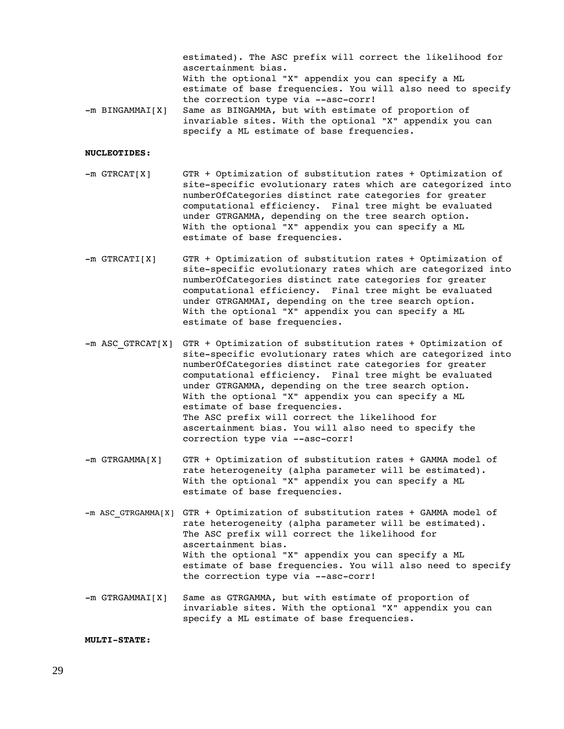estimated). The ASC prefix will correct the likelihood for ascertainment bias. With the optional "X" appendix you can specify a ML estimate of base frequencies. You will also need to specify the correction type via --asc-corr! -m BINGAMMAI[X] Same as BINGAMMA, but with estimate of proportion of invariable sites. With the optional "X" appendix you can specify a ML estimate of base frequencies.

#### **NUCLEOTIDES:**

- m GTRCAT[X] GTR + Optimization of substitution rates + Optimization of site-specific evolutionary rates which are categorized into numberOfCategories distinct rate categories for greater computational efficiency. Final tree might be evaluated under GTRGAMMA, depending on the tree search option. With the optional "X" appendix you can specify a ML estimate of base frequencies.
- m GTRCATI[X] GTR + Optimization of substitution rates + Optimization of site-specific evolutionary rates which are categorized into numberOfCategories distinct rate categories for greater computational efficiency. Final tree might be evaluated under GTRGAMMAI, depending on the tree search option. With the optional "X" appendix you can specify a ML estimate of base frequencies.
- $-m$  ASC GTRCAT[X] GTR + Optimization of substitution rates + Optimization of site-specific evolutionary rates which are categorized into numberOfCategories distinct rate categories for greater computational efficiency. Final tree might be evaluated under GTRGAMMA, depending on the tree search option. With the optional "X" appendix you can specify a ML estimate of base frequencies. The ASC prefix will correct the likelihood for ascertainment bias. You will also need to specify the correction type via --asc-corr!
- m GTRGAMMA[X] GTR + Optimization of substitution rates + GAMMA model of rate heterogeneity (alpha parameter will be estimated). With the optional "X" appendix you can specify a ML estimate of base frequencies.
- $-m$  ASC GTRGAMMA[X] GTR + Optimization of substitution rates + GAMMA model of rate heterogeneity (alpha parameter will be estimated). The ASC prefix will correct the likelihood for ascertainment bias. With the optional "X" appendix you can specify a ML estimate of base frequencies. You will also need to specify the correction type via --asc-corr!
- -m GTRGAMMAI[X] Same as GTRGAMMA, but with estimate of proportion of invariable sites. With the optional "X" appendix you can specify a ML estimate of base frequencies.

**MULTI-STATE:**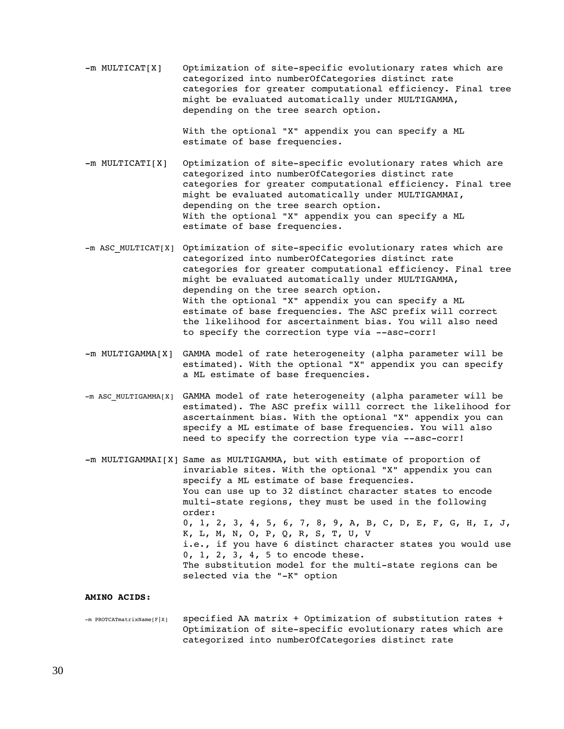$-m$  MULTICAT[X] Optimization of site-specific evolutionary rates which are categorized into numberOfCategories distinct rate categories for greater computational efficiency. Final tree might be evaluated automatically under MULTIGAMMA, depending on the tree search option.

> With the optional "X" appendix you can specify a ML estimate of base frequencies.

- -m MULTICATI[X] Optimization of site-specific evolutionary rates which are categorized into numberOfCategories distinct rate categories for greater computational efficiency. Final tree might be evaluated automatically under MULTIGAMMAI, depending on the tree search option. With the optional "X" appendix you can specify a ML estimate of base frequencies.
- -m ASC MULTICAT[X] Optimization of site-specific evolutionary rates which are categorized into numberOfCategories distinct rate categories for greater computational efficiency. Final tree might be evaluated automatically under MULTIGAMMA, depending on the tree search option. With the optional "X" appendix you can specify a ML estimate of base frequencies. The ASC prefix will correct the likelihood for ascertainment bias. You will also need to specify the correction type via --asc-corr!
- m MULTIGAMMA[X] GAMMA model of rate heterogeneity (alpha parameter will be estimated). With the optional "X" appendix you can specify a ML estimate of base frequencies.
- m ASC\_MULTIGAMMA[X] GAMMA model of rate heterogeneity (alpha parameter will be estimated). The ASC prefix willl correct the likelihood for ascertainment bias. With the optional "X" appendix you can specify a ML estimate of base frequencies. You will also need to specify the correction type via --asc-corr!
- -m MULTIGAMMAI[X] Same as MULTIGAMMA, but with estimate of proportion of invariable sites. With the optional "X" appendix you can specify a ML estimate of base frequencies. You can use up to 32 distinct character states to encode multi-state regions, they must be used in the following order: 0, 1, 2, 3, 4, 5, 6, 7, 8, 9, A, B, C, D, E, F, G, H, I, J, K, L, M, N, O, P, Q, R, S, T, U, V i.e., if you have 6 distinct character states you would use 0, 1, 2, 3, 4, 5 to encode these. The substitution model for the multi-state regions can be selected via the "-K" option

#### **AMINO ACIDS:**

 $-m$  PROTCATmatrixName[F|X] specified AA matrix + Optimization of substitution rates + Optimization of site-specific evolutionary rates which are categorized into numberOfCategories distinct rate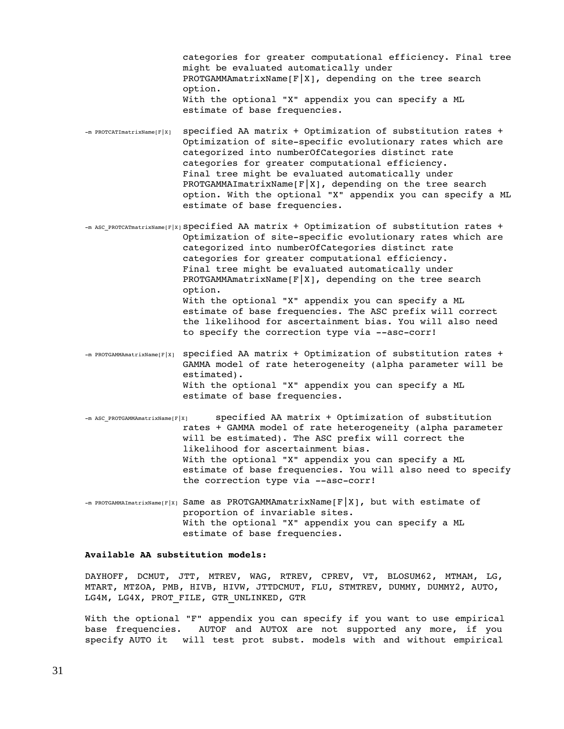categories for greater computational efficiency. Final tree might be evaluated automatically under PROTGAMMAmatrixName $[F|X]$ , depending on the tree search option. With the optional "X" appendix you can specify a ML estimate of base frequencies.

- $-m$  PROTCATImatrixName[F|X] specified AA matrix + Optimization of substitution rates + Optimization of site-specific evolutionary rates which are categorized into numberOfCategories distinct rate categories for greater computational efficiency. Final tree might be evaluated automatically under PROTGAMMAImatrixName[ $F|X$ ], depending on the tree search option. With the optional "X" appendix you can specify a ML estimate of base frequencies.
- $-m$  ASC PROTCATmatrixName[F|X]  $Specified$  AA matrix + Optimization of substitution rates + Optimization of site-specific evolutionary rates which are categorized into numberOfCategories distinct rate categories for greater computational efficiency. Final tree might be evaluated automatically under PROTGAMMAmatrixName $[F|X]$ , depending on the tree search option. With the optional "X" appendix you can specify a ML estimate of base frequencies. The ASC prefix will correct the likelihood for ascertainment bias. You will also need to specify the correction type via --asc-corr!
- $-m$  PROTGAMMAmatrixName[F|X] specified AA matrix + Optimization of substitution rates + GAMMA model of rate heterogeneity (alpha parameter will be estimated). With the optional "X" appendix you can specify a ML estimate of base frequencies.
- m ASC\_PROTGAMMAmatrixName[F|X] specified AA matrix + Optimization of substitution rates + GAMMA model of rate heterogeneity (alpha parameter will be estimated). The ASC prefix will correct the likelihood for ascertainment bias. With the optional "X" appendix you can specify a ML estimate of base frequencies. You will also need to specify the correction type via --asc-corr!
- $-m$  PROTGAMMAImatrixName[F|X] Same as PROTGAMMAmatrixName[F|X], but with estimate of proportion of invariable sites. With the optional "X" appendix you can specify a ML estimate of base frequencies.

#### **Available AA substitution models:**

DAYHOFF, DCMUT, JTT, MTREV, WAG, RTREV, CPREV, VT, BLOSUM62, MTMAM, LG, MTART, MTZOA, PMB, HIVB, HIVW, JTTDCMUT, FLU, STMTREV, DUMMY, DUMMY2, AUTO, LG4M, LG4X, PROT FILE, GTR UNLINKED, GTR

With the optional "F" appendix you can specify if you want to use empirical base frequencies. AUTOF and AUTOX are not supported any more, if you specify AUTO it will test prot subst. models with and without empirical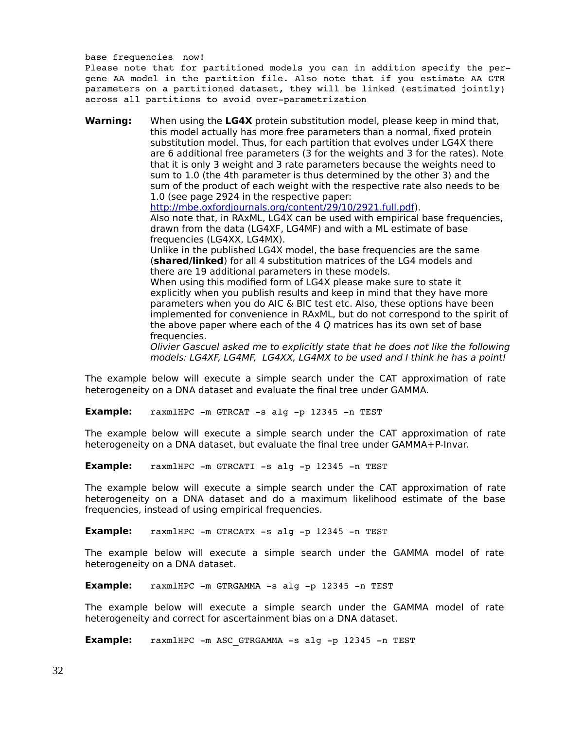base frequencies now!

 Please note that for partitioned models you can in addition specify the pergene AA model in the partition file. Also note that if you estimate AA GTR parameters on a partitioned dataset, they will be linked (estimated jointly) across all partitions to avoid over-parametrization

**Warning:** When using the **LG4X** protein substitution model, please keep in mind that, this model actually has more free parameters than a normal, fixed protein substitution model. Thus, for each partition that evolves under LG4X there are 6 additional free parameters (3 for the weights and 3 for the rates). Note that it is only 3 weight and 3 rate parameters because the weights need to sum to 1.0 (the 4th parameter is thus determined by the other 3) and the sum of the product of each weight with the respective rate also needs to be 1.0 (see page 2924 in the respective paper: [http://mbe.oxfordjournals.org/content/29/10/2921.full.pdf\)](http://mbe.oxfordjournals.org/content/29/10/2921.full.pdf). Also note that, in RAxML, LG4X can be used with empirical base frequencies, drawn from the data (LG4XF, LG4MF) and with a ML estimate of base frequencies (LG4XX, LG4MX). Unlike in the published LG4X model, the base frequencies are the same (**shared/linked**) for all 4 substitution matrices of the LG4 models and there are 19 additional parameters in these models. When using this modified form of LG4X please make sure to state it

explicitly when you publish results and keep in mind that they have more parameters when you do AIC & BIC test etc. Also, these options have been implemented for convenience in RAxML, but do not correspond to the spirit of the above paper where each of the 4 Q matrices has its own set of base frequencies.

Olivier Gascuel asked me to explicitly state that he does not like the following models: LG4XF, LG4MF, LG4XX, LG4MX to be used and I think he has a point!

The example below will execute a simple search under the CAT approximation of rate heterogeneity on a DNA dataset and evaluate the final tree under GAMMA.

**Example:** raxmlHPC -m GTRCAT -s alg -p 12345 -n TEST

The example below will execute a simple search under the CAT approximation of rate heterogeneity on a DNA dataset, but evaluate the final tree under GAMMA+P-Invar.

**Example:** raxmlHPC -m GTRCATI -s alg -p 12345 -n TEST

The example below will execute a simple search under the CAT approximation of rate heterogeneity on a DNA dataset and do a maximum likelihood estimate of the base frequencies, instead of using empirical frequencies.

**Example:** raxmlHPC -m GTRCATX -s alg -p 12345 -n TEST

The example below will execute a simple search under the GAMMA model of rate heterogeneity on a DNA dataset.

**Example:** raxmlHPC -m GTRGAMMA -s alg -p 12345 -n TEST

The example below will execute a simple search under the GAMMA model of rate heterogeneity and correct for ascertainment bias on a DNA dataset.

Example: raxmlHPC -m ASC\_GTRGAMMA -s alg -p 12345 -n TEST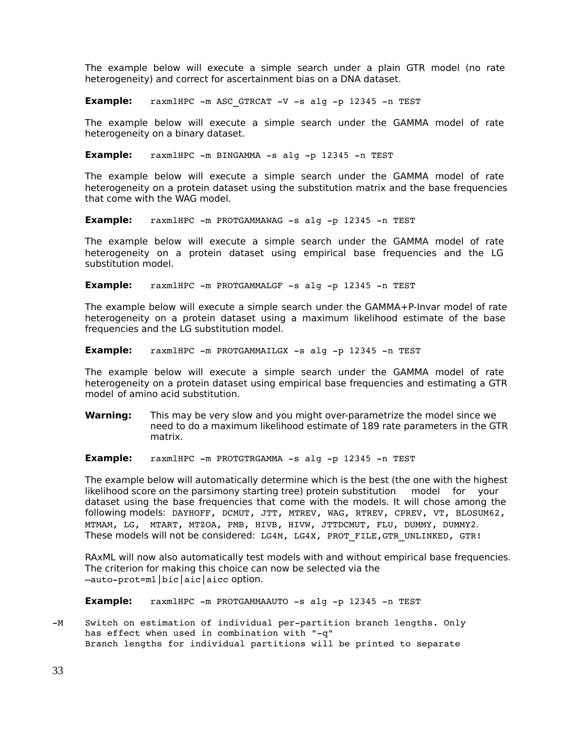The example below will execute a simple search under a plain GTR model (no rate heterogeneity) and correct for ascertainment bias on a DNA dataset.

**Example:** raxmlHPC -m ASC GTRCAT -V -s alg -p 12345 -n TEST

The example below will execute a simple search under the GAMMA model of rate heterogeneity on a binary dataset.

**Example:**  $raxmHPC -m BINGAMMA -s alq -p 12345 -n TEST$ 

The example below will execute a simple search under the GAMMA model of rate heterogeneity on a protein dataset using the substitution matrix and the base frequencies that come with the WAG model.

**Example:** raxmlHPC -m PROTGAMMAWAG -s alg -p 12345 -n TEST

The example below will execute a simple search under the GAMMA model of rate heterogeneity on a protein dataset using empirical base frequencies and the LG substitution model.

**Example:** raxmlHPC -m PROTGAMMALGF -s alg -p 12345 -n TEST

The example below will execute a simple search under the GAMMA+P-Invar model of rate heterogeneity on a protein dataset using a maximum likelihood estimate of the base frequencies and the LG substitution model.

**Example:** raxmlHPC -m PROTGAMMAILGX -s alg -p 12345 -n TEST

The example below will execute a simple search under the GAMMA model of rate heterogeneity on a protein dataset using empirical base frequencies and estimating a GTR model of amino acid substitution.

**Warning:** This may be very slow and you might over-parametrize the model since we need to do a maximum likelihood estimate of 189 rate parameters in the GTR matrix.

**Example:** raxmlHPC -m PROTGTRGAMMA -s alg -p 12345 -n TEST

The example below will automatically determine which is the best (the one with the highest likelihood score on the parsimony starting tree) protein substitution model for your dataset using the base frequencies that come with the models. It will chose among the following models: DAYHOFF, DCMUT, JTT, MTREV, WAG, RTREV, CPREV, VT, BLOSUM62, MTMAM, LG, MTART, MTZOA, PMB, HIVB, HIVW, JTTDCMUT, FLU, DUMMY, DUMMY2. These models will not be considered: LG4M, LG4X, PROT FILE, GTR UNLINKED, GTR!

RAxML will now also automatically test models with and without empirical base frequencies. The criterion for making this choice can now be selected via the –autoprot=ml|bic|aic|aicc option.

**Example:** raxmlHPC -m PROTGAMMAAUTO -s alg -p 12345 -n TEST

-M Switch on estimation of individual per-partition branch lengths. Only has effect when used in combination with "-q" Branch lengths for individual partitions will be printed to separate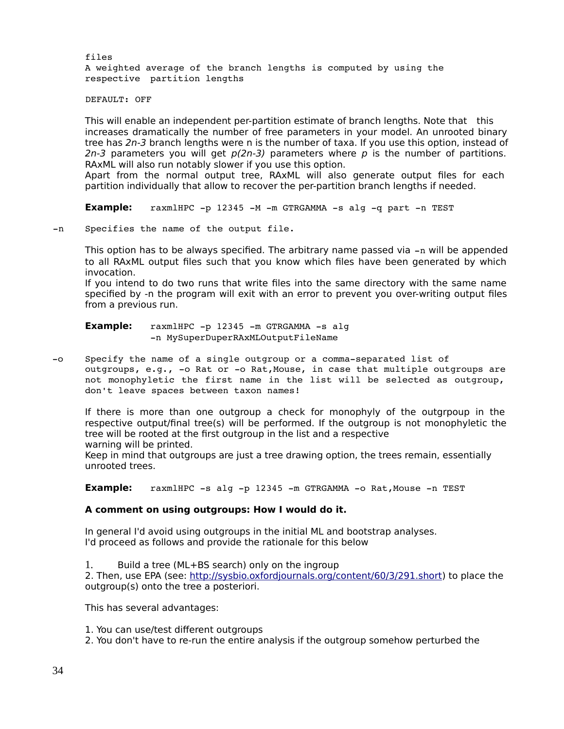files A weighted average of the branch lengths is computed by using the respective partition lengths

DEFAULT: OFF

This will enable an independent per-partition estimate of branch lengths. Note that this increases dramatically the number of free parameters in your model. An unrooted binary tree has 2n-3 branch lengths were n is the number of taxa. If you use this option, instead of 2n-3 parameters you will get  $p(2n-3)$  parameters where p is the number of partitions. RAxML will also run notably slower if you use this option.

Apart from the normal output tree, RAxML will also generate output files for each partition individually that allow to recover the per-partition branch lengths if needed.

**Example:** raxmlHPC -p 12345 -M -m GTRGAMMA -s alg -q part -n TEST

-n Specifies the name of the output file.

This option has to be always specified. The arbitrary name passed via  $-n$  will be appended to all RAxML output files such that you know which files have been generated by which invocation.

If you intend to do two runs that write files into the same directory with the same name specified by -n the program will exit with an error to prevent you over-writing output files from a previous run.

**Example:** raxmlHPC -p 12345 -m GTRGAMMA -s alg n MySuperDuperRAxMLOutputFileName

-o Specify the name of a single outgroup or a comma-separated list of outgroups, e.g., -o Rat or -o Rat, Mouse, in case that multiple outgroups are not monophyletic the first name in the list will be selected as outgroup, don't leave spaces between taxon names!

If there is more than one outgroup a check for monophyly of the outgrpoup in the respective output/final tree(s) will be performed. If the outgroup is not monophyletic the tree will be rooted at the first outgroup in the list and a respective warning will be printed.

Keep in mind that outgroups are just a tree drawing option, the trees remain, essentially unrooted trees.

**Example:** raxmlHPC -s alg -p 12345 -m GTRGAMMA -o Rat, Mouse -n TEST

#### **A comment on using outgroups: How I would do it.**

In general I'd avoid using outgroups in the initial ML and bootstrap analyses. I'd proceed as follows and provide the rationale for this below

1. Build a tree (ML+BS search) only on the ingroup

2. Then, use EPA (see: [http://sysbio.oxfordjournals.org/content/60/3/291.short\)](http://sysbio.oxfordjournals.org/content/60/3/291.short) to place the outgroup(s) onto the tree a posteriori.

This has several advantages:

- 1. You can use/test different outgroups
- 2. You don't have to re-run the entire analysis if the outgroup somehow perturbed the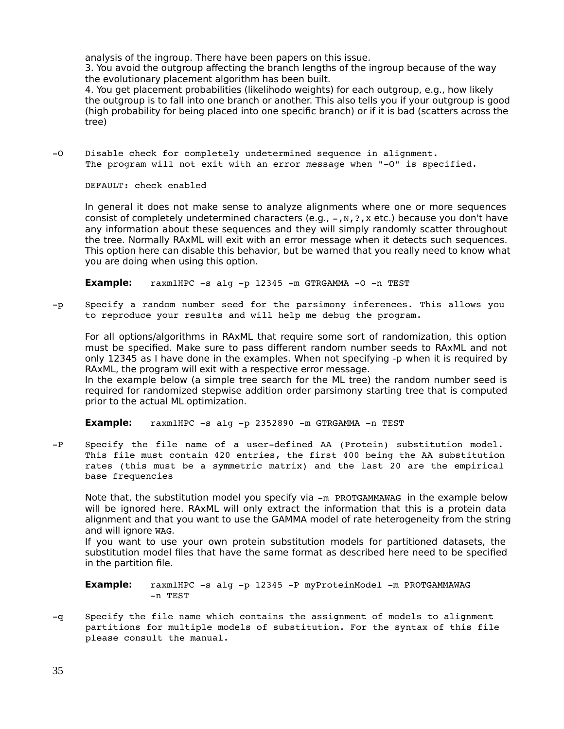analysis of the ingroup. There have been papers on this issue.

3. You avoid the outgroup affecting the branch lengths of the ingroup because of the way the evolutionary placement algorithm has been built.

4. You get placement probabilities (likelihodo weights) for each outgroup, e.g., how likely the outgroup is to fall into one branch or another. This also tells you if your outgroup is good (high probability for being placed into one specific branch) or if it is bad (scatters across the tree)

-0 Disable check for completely undetermined sequence in alignment. The program will not exit with an error message when "-O" is specified.

DEFAULT: check enabled

In general it does not make sense to analyze alignments where one or more sequences consist of completely undetermined characters (e.g.,  $-$ ,  $N$ ,  $?$ ,  $X$  etc.) because you don't have any information about these sequences and they will simply randomly scatter throughout the tree. Normally RAxML will exit with an error message when it detects such sequences. This option here can disable this behavior, but be warned that you really need to know what you are doing when using this option.

**Example:** raxmlHPC -s alg -p 12345 -m GTRGAMMA -0 -n TEST

-p Specify a random number seed for the parsimony inferences. This allows you to reproduce your results and will help me debug the program.

For all options/algorithms in RAxML that require some sort of randomization, this option must be specified. Make sure to pass different random number seeds to RAxML and not only 12345 as I have done in the examples. When not specifying -p when it is required by RAxML, the program will exit with a respective error message.

In the example below (a simple tree search for the ML tree) the random number seed is required for randomized stepwise addition order parsimony starting tree that is computed prior to the actual ML optimization.

**Example:**  $raxmHPC -s$  alg  $-p$  2352890  $-m$  GTRGAMMA  $-n$  TEST

-P Specify the file name of a user-defined AA (Protein) substitution model. This file must contain 420 entries, the first 400 being the AA substitution rates (this must be a symmetric matrix) and the last 20 are the empirical base frequencies

Note that, the substitution model you specify via  $-m$  PROTGAMMAWAG in the example below will be ignored here. RAxML will only extract the information that this is a protein data alignment and that you want to use the GAMMA model of rate heterogeneity from the string and will ignore WAG.

If you want to use your own protein substitution models for partitioned datasets, the substitution model files that have the same format as described here need to be specified in the partition file.

**Example:** raxmlHPC -s alg -p 12345 -P myProteinModel -m PROTGAMMAWAG n TEST

q Specify the file name which contains the assignment of models to alignment partitions for multiple models of substitution. For the syntax of this file please consult the manual.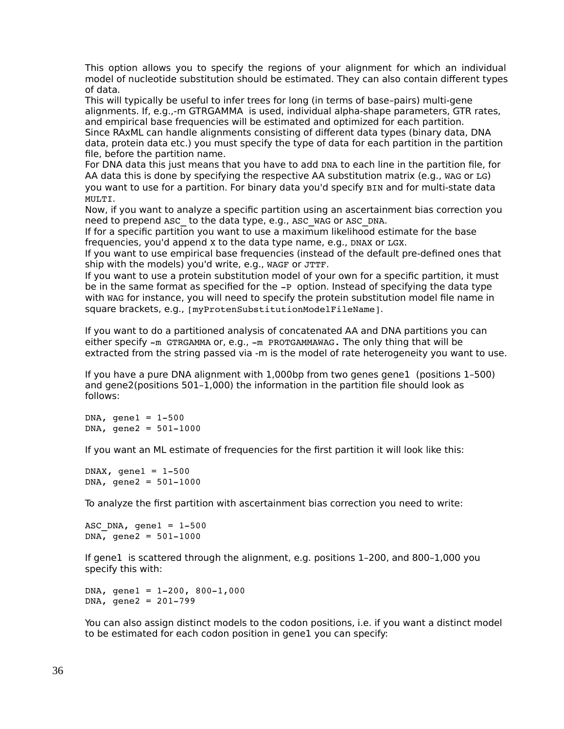This option allows you to specify the regions of your alignment for which an individual model of nucleotide substitution should be estimated. They can also contain different types of data.

This will typically be useful to infer trees for long (in terms of base–pairs) multi-gene alignments. If, e.g.,-m GTRGAMMA is used, individual alpha-shape parameters, GTR rates, and empirical base frequencies will be estimated and optimized for each partition. Since RAxML can handle alignments consisting of different data types (binary data, DNA data, protein data etc.) you must specify the type of data for each partition in the partition file, before the partition name.

For DNA data this just means that you have to add DNA to each line in the partition file, for AA data this is done by specifying the respective AA substitution matrix (e.g., WAG or LG) you want to use for a partition. For binary data you'd specify BIN and for multi-state data MULTI.

Now, if you want to analyze a specific partition using an ascertainment bias correction you need to prepend ASC to the data type, e.g., ASC WAG or ASC DNA.

If for a specific partition you want to use a maximum likelihood estimate for the base frequencies, you'd append X to the data type name, e.g., DNAX or LGX.

If you want to use empirical base frequencies (instead of the default pre-defined ones that ship with the models) you'd write, e.g., WAGF or JTTF.

If you want to use a protein substitution model of your own for a specific partition, it must be in the same format as specified for the  $-P$  option. Instead of specifying the data type with WAG for instance, you will need to specify the protein substitution model file name in square brackets, e.g., [myProtenSubstitutionModelFileName].

If you want to do a partitioned analysis of concatenated AA and DNA partitions you can either specify  $-m$  GTRGAMMA or, e.g.,  $-m$  PROTGAMMAWAG. The only thing that will be extracted from the string passed via -m is the model of rate heterogeneity you want to use.

If you have a pure DNA alignment with 1,000bp from two genes gene1 (positions 1–500) and gene2(positions 501–1,000) the information in the partition file should look as follows:

 $DNA,$  qene $1 = 1-500$  $DNA, gene2 = 501-1000$ 

If you want an ML estimate of frequencies for the first partition it will look like this:

DNAX, gene $1 = 1-500$  $DNA, gene2 = 501-1000$ 

To analyze the first partition with ascertainment bias correction you need to write:

ASC DNA, gene $1 = 1-500$  $DNA,$  gene2 = 501-1000

If gene1 is scattered through the alignment, e.g. positions 1–200, and 800–1,000 you specify this with:

DNA, gene $1 = 1 - 200$ , 800-1,000  $DNA, gene2 = 201-799$ 

You can also assign distinct models to the codon positions, i.e. if you want a distinct model to be estimated for each codon position in gene1 you can specify: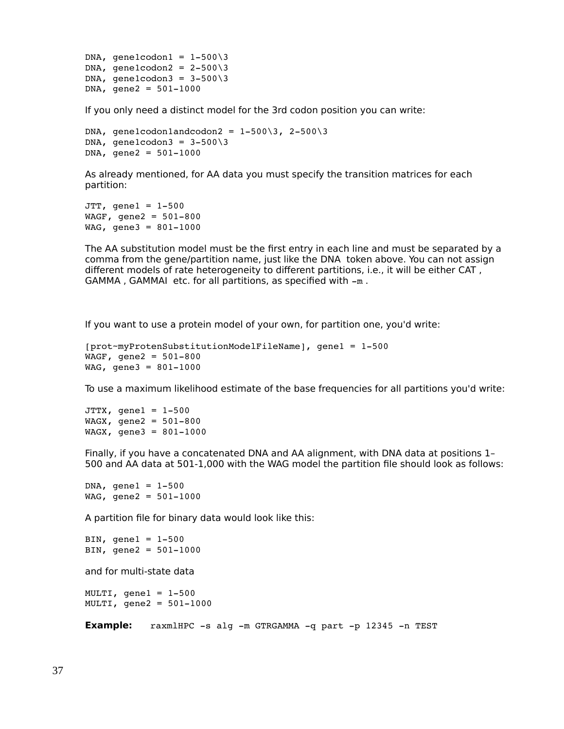DNA, gene1codon1 =  $1-500\overline{\smash{3}}$ DNA, gene1codon2 =  $2-500\overline{3}$ DNA, gene1codon3 =  $3-500\overline{3}$  $DNA, gene2 = 501-1000$ 

If you only need a distinct model for the 3rd codon position you can write:

```
DNA, gene1codon1andcodon2 = 1-500\overline{3}, 2-500\overline{3}DNA, gene1codon3 = 3-500\overline{3}DNA, gene2 = 501-1000
```
As already mentioned, for AA data you must specify the transition matrices for each partition:

```
JTT, gene1 = 1 - 500WAGF, gene2 = 501-800
WAG, gene3 = 801-1000
```
The AA substitution model must be the first entry in each line and must be separated by a comma from the gene/partition name, just like the DNA token above. You can not assign different models of rate heterogeneity to different partitions, i.e., it will be either CAT ,  $GAMMA$ ,  $GAMMAI$  etc. for all partitions, as specified with  $-m$ .

If you want to use a protein model of your own, for partition one, you'd write:

```
[prot~myProtenSubstitutionModelFileName], gene1 = 1500
WAGF, gene2 = 501-800
WAG, gene3 = 801-1000
```
To use a maximum likelihood estimate of the base frequencies for all partitions you'd write:

```
JTTX, gene1 = 1-500WAGX, gene2 = 501-800
WAGX, gene3 = 801-1000
```
Finally, if you have a concatenated DNA and AA alignment, with DNA data at positions 1– 500 and AA data at 501-1,000 with the WAG model the partition file should look as follows:

 $DNA,$  qene $1 = 1 - 500$  $WAG$ , gene2 = 501-1000

A partition file for binary data would look like this:

```
BIN, gene1 = 1 - 500BIN, qene2 = 501 - 1000
```
and for multi-state data

 $MULTI, gene1 = 1-500$  $MULTI, gene2 = 501-1000$ 

**Example:** raxmlHPC -s alg -m GTRGAMMA -q part -p 12345 -n TEST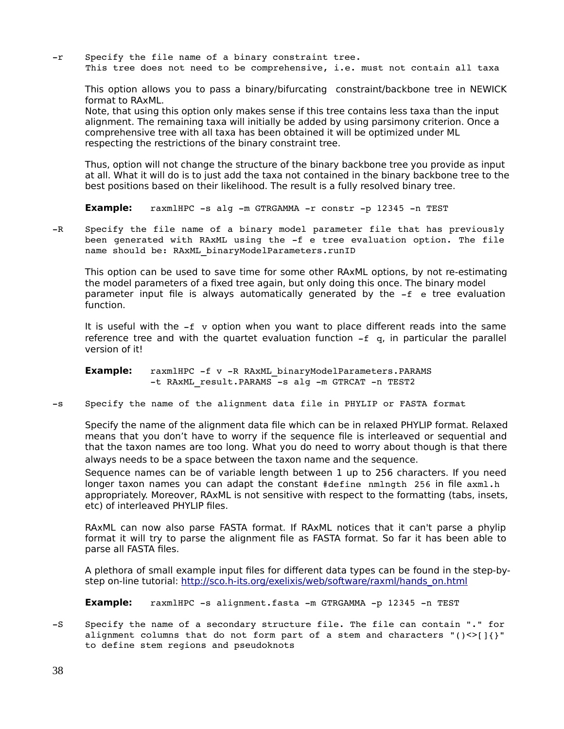-r Specify the file name of a binary constraint tree. This tree does not need to be comprehensive, i.e. must not contain all taxa

This option allows you to pass a binary/bifurcating constraint/backbone tree in NEWICK format to RAxML.

Note, that using this option only makes sense if this tree contains less taxa than the input alignment. The remaining taxa will initially be added by using parsimony criterion. Once a comprehensive tree with all taxa has been obtained it will be optimized under ML respecting the restrictions of the binary constraint tree.

Thus, option will not change the structure of the binary backbone tree you provide as input at all. What it will do is to just add the taxa not contained in the binary backbone tree to the best positions based on their likelihood. The result is a fully resolved binary tree.

**Example:** raxmlHPC -s alg -m GTRGAMMA -r constr -p 12345 -n TEST

-R Specify the file name of a binary model parameter file that has previously been generated with RAxML using the -f e tree evaluation option. The file name should be: RAxML binaryModelParameters.runID

This option can be used to save time for some other RAxML options, by not re-estimating the model parameters of a fixed tree again, but only doing this once. The binary model parameter input file is always automatically generated by the  $-f$  e tree evaluation function.

It is useful with the  $-f$  v option when you want to place different reads into the same reference tree and with the quartet evaluation function  $-f \, g$ , in particular the parallel version of it!

**Example:** raxmlHPC -f v -R RAxML binaryModelParameters.PARAMS -t RAxML result. PARAMS -s alg -m GTRCAT -n TEST2

-s Specify the name of the alignment data file in PHYLIP or FASTA format

Specify the name of the alignment data file which can be in relaxed PHYLIP format. Relaxed means that you don't have to worry if the sequence file is interleaved or sequential and that the taxon names are too long. What you do need to worry about though is that there always needs to be a space between the taxon name and the sequence.

Sequence names can be of variable length between 1 up to 256 characters. If you need longer taxon names you can adapt the constant #define nmlngth 256 in file axml.h appropriately. Moreover, RAxML is not sensitive with respect to the formatting (tabs, insets, etc) of interleaved PHYLIP files.

RAxML can now also parse FASTA format. If RAxML notices that it can't parse a phylip format it will try to parse the alignment file as FASTA format. So far it has been able to parse all FASTA files.

A plethora of small example input files for different data types can be found in the step-bystep on-line tutorial: [http://sco.h-its.org/exelixis/web/software/raxml/hands\\_on.html](http://sco.h-its.org/exelixis/web/software/raxml/hands_on.html)

**Example:** raxmlHPC -s alignment.fasta -m GTRGAMMA -p 12345 -n TEST

-S Specify the name of a secondary structure file. The file can contain "." for alignment columns that do not form part of a stem and characters " $() \leq |{}'{}'$ " to define stem regions and pseudoknots

38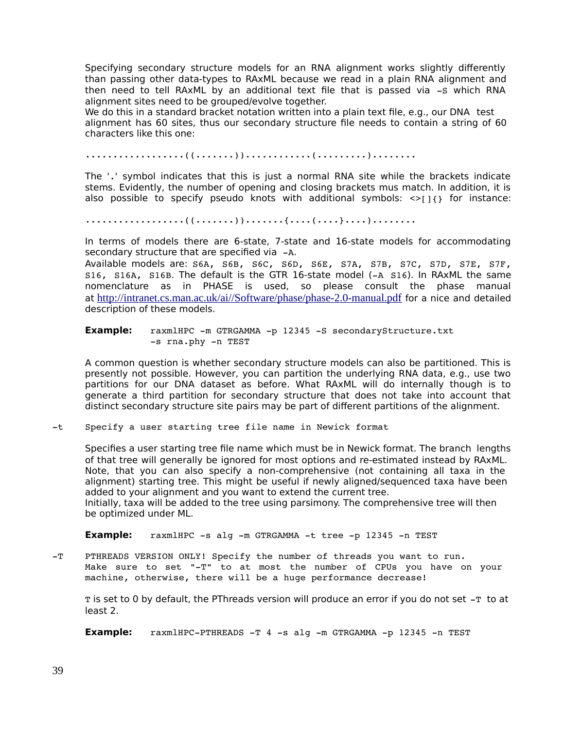Specifying secondary structure models for an RNA alignment works slightly differently than passing other data-types to RAxML because we read in a plain RNA alignment and then need to tell RAxML by an additional text file that is passed via  $-$ s which RNA alignment sites need to be grouped/evolve together.

We do this in a standard bracket notation written into a plain text file, e.g., our DNA test alignment has 60 sites, thus our secondary structure file needs to contain a string of 60 characters like this one:

..................((.......))............(.........)........

The '.' symbol indicates that this is just a normal RNA site while the brackets indicate stems. Evidently, the number of opening and closing brackets mus match. In addition, it is also possible to specify pseudo knots with additional symbols:  $\langle \rangle$ [14] for instance:

..................((.......)).......{....(....}....)........

In terms of models there are 6-state, 7-state and 16-state models for accommodating secondary structure that are specified via  $-A$ .

Available models are: S6A, S6B, S6C, S6D, S6E, S7A, S7B, S7C, S7D, S7E, S7F,  $S16$ ,  $S16A$ ,  $S16B$ . The default is the GTR 16-state model ( $-A$   $S16$ ). In RAxML the same nomenclature as in PHASE is used, so please consult the phase manual at <http://intranet.cs.man.ac.uk/ai//Software/phase/phase-2.0-manual.pdf> for a nice and detailed description of these models.

**Example:** raxmlHPC -m GTRGAMMA -p 12345 -S secondaryStructure.txt -s rna.phy -n TEST

A common question is whether secondary structure models can also be partitioned. This is presently not possible. However, you can partition the underlying RNA data, e.g., use two partitions for our DNA dataset as before. What RAxML will do internally though is to generate a third partition for secondary structure that does not take into account that distinct secondary structure site pairs may be part of different partitions of the alignment.

t Specify a user starting tree file name in Newick format

Specifies a user starting tree file name which must be in Newick format. The branch lengths of that tree will generally be ignored for most options and re-estimated instead by RAxML. Note, that you can also specify a non-comprehensive (not containing all taxa in the alignment) starting tree. This might be useful if newly aligned/sequenced taxa have been added to your alignment and you want to extend the current tree. Initially, taxa will be added to the tree using parsimony. The comprehensive tree will then

be optimized under ML.

**Example:** raxmlHPC -s alg -m GTRGAMMA -t tree -p 12345 -n TEST

-T PTHREADS VERSION ONLY! Specify the number of threads you want to run. Make sure to set "-T" to at most the number of CPUs you have on your machine, otherwise, there will be a huge performance decrease!

 $T$  is set to 0 by default, the PThreads version will produce an error if you do not set  $-T$  to at least 2.

**Example:** raxmlHPC-PTHREADS -T 4 -s alg -m GTRGAMMA -p 12345 -n TEST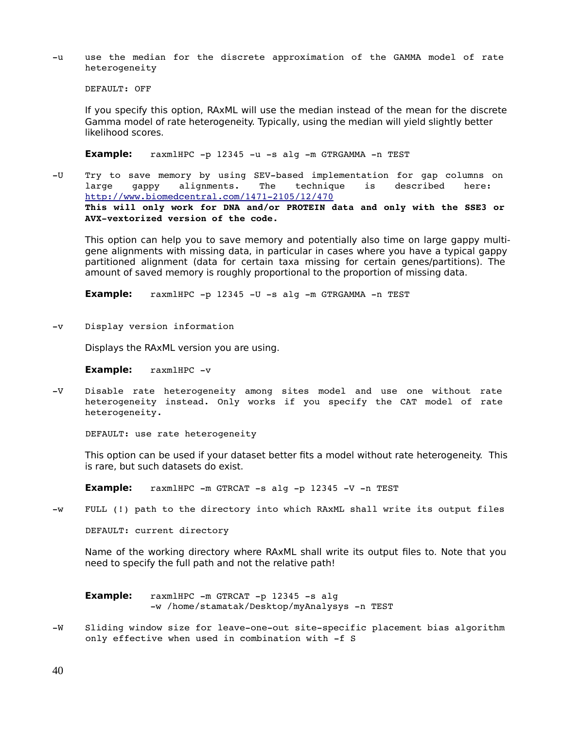-u use the median for the discrete approximation of the GAMMA model of rate heterogeneity

DEFAULT: OFF

If you specify this option, RAxML will use the median instead of the mean for the discrete Gamma model of rate heterogeneity. Typically, using the median will yield slightly better likelihood scores.

Example: raxmlHPC -p 12345 -u -s alg -m GTRGAMMA -n TEST

-U Try to save memory by using SEV-based implementation for gap columns on large gappy alignments. The technique is described here: http://www.biomedcentral.com/1471-2105/12/470 **This will only work for DNA and/or PROTEIN data and only with the SSE3 or**  AVX-vextorized version of the code.

This option can help you to save memory and potentially also time on large gappy multigene alignments with missing data, in particular in cases where you have a typical gappy partitioned alignment (data for certain taxa missing for certain genes/partitions). The amount of saved memory is roughly proportional to the proportion of missing data.

**Example:** raxmlHPC -p 12345 -U -s alg -m GTRGAMMA -n TEST

-v Display version information

Displays the RAxML version you are using.

**Example:** raxmlHPC -v

-V Disable rate heterogeneity among sites model and use one without rate heterogeneity instead. Only works if you specify the CAT model of rate heterogeneity.

DEFAULT: use rate heterogeneity

This option can be used if your dataset better fits a model without rate heterogeneity. This is rare, but such datasets do exist.

**Example:** raxmlHPC -m GTRCAT -s alg -p 12345 -V -n TEST

-W FULL (!) path to the directory into which RAxML shall write its output files

DEFAULT: current directory

Name of the working directory where RAxML shall write its output files to. Note that you need to specify the full path and not the relative path!

**Example:** raxmlHPC -m GTRCAT -p 12345 -s alg -w /home/stamatak/Desktop/myAnalysys -n TEST

-W Sliding window size for leave-one-out site-specific placement bias algorithm only effective when used in combination with  $-f S$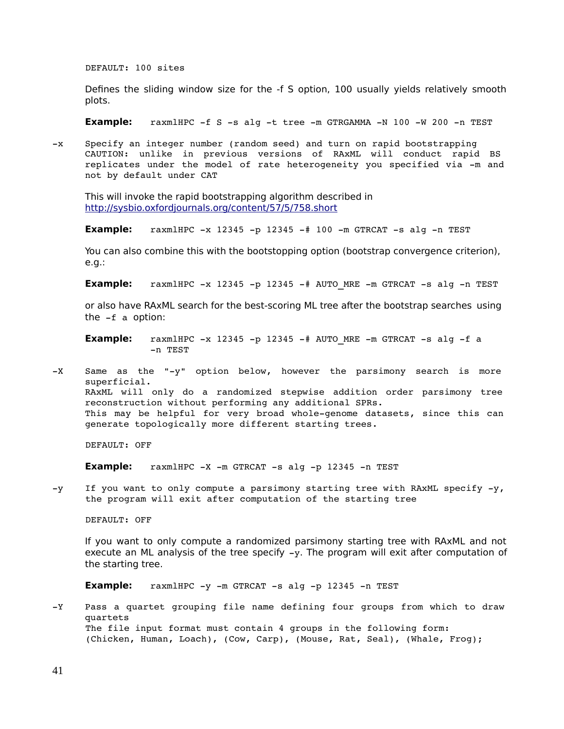DEFAULT: 100 sites

Defines the sliding window size for the -f S option, 100 usually yields relatively smooth plots.

**Example:**  $raxmHPC -f S -s alg -t tree -m GTRGAMMA -N 100 -W 200 -n TEST$ 

x Specify an integer number (random seed) and turn on rapid bootstrapping CAUTION: unlike in previous versions of RAxML will conduct rapid BS replicates under the model of rate heterogeneity you specified via -m and not by default under CAT

This will invoke the rapid bootstrapping algorithm described in <http://sysbio.oxfordjournals.org/content/57/5/758.short>

**Example:**  $raxmHPC -x$  12345 -p 12345 -# 100 -m GTRCAT -s alg -n TEST

You can also combine this with the bootstopping option (bootstrap convergence criterion), e.g.:

**Example:**  $raxmHPC -x$  12345 -p 12345 -# AUTO MRE -m GTRCAT -s alg -n TEST

or also have RAxML search for the best-scoring ML tree after the bootstrap searches using the  $-f$  a option:

**Example:** raxmlHPC  $-x$  12345  $-p$  12345  $-#$  AUTO MRE  $-m$  GTRCAT  $-s$  alg  $-f$  a n TEST

 $-X$  Same as the "-y" option below, however the parsimony search is more superficial. RAxML will only do a randomized stepwise addition order parsimony tree reconstruction without performing any additional SPRs. This may be helpful for very broad whole-genome datasets, since this can generate topologically more different starting trees.

DEFAULT: OFF

**Example:**  $raxmHPC -X -m$  GTRCAT  $-s$  alg  $-p$  12345  $-n$  TEST

 $-y$  If you want to only compute a parsimony starting tree with RAxML specify  $-y$ , the program will exit after computation of the starting tree

DEFAULT: OFF

If you want to only compute a randomized parsimony starting tree with RAxML and not execute an ML analysis of the tree specify  $-y$ . The program will exit after computation of the starting tree.

**Example:** raxmlHPC -y -m GTRCAT -s alg -p 12345 -n TEST

-Y Pass a quartet grouping file name defining four groups from which to draw quartets The file input format must contain 4 groups in the following form: (Chicken, Human, Loach), (Cow, Carp), (Mouse, Rat, Seal), (Whale, Frog);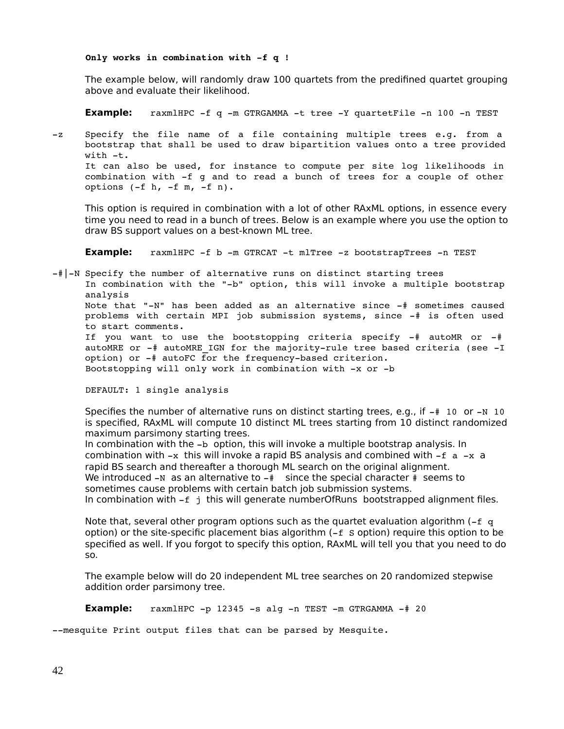#### Only works in combination with -f q !

The example below, will randomly draw 100 quartets from the predifined quartet grouping above and evaluate their likelihood.

**Example:** raxmlHPC -f q -m GTRGAMMA -t tree -Y quartetFile -n 100 -n TEST

-z Specify the file name of a file containing multiple trees e.g. from a bootstrap that shall be used to draw bipartition values onto a tree provided with  $-t$ . It can also be used, for instance to compute per site log likelihoods in

combination with -f g and to read a bunch of trees for a couple of other options  $(-f h, -f m, -f n)$ .

This option is required in combination with a lot of other RAxML options, in essence every time you need to read in a bunch of trees. Below is an example where you use the option to draw BS support values on a best-known ML tree.

**Example:** raxmlHPC -f b -m GTRCAT -t mlTree -z bootstrapTrees -n TEST

 $-\#$ |-N Specify the number of alternative runs on distinct starting trees In combination with the "-b" option, this will invoke a multiple bootstrap analysis Note that " $-N$ " has been added as an alternative since  $-\#$  sometimes caused problems with certain MPI job submission systems, since  $-\frac{4}{3}$  is often used to start comments. If you want to use the bootstopping criteria specify  $-$ # autoMR or  $-$ #

autoMRE or  $-$ # autoMRE IGN for the majority-rule tree based criteria (see  $-I$ option) or -# autoFC for the frequency-based criterion. Bootstopping will only work in combination with  $-x$  or  $-b$ 

DEFAULT: 1 single analysis

Specifies the number of alternative runs on distinct starting trees, e.g., if  $-\#$  10 or  $-N$  10 is specified, RAxML will compute 10 distinct ML trees starting from 10 distinct randomized maximum parsimony starting trees.

In combination with the  $-b$  option, this will invoke a multiple bootstrap analysis. In combination with  $-x$  this will invoke a rapid BS analysis and combined with  $-f$  a  $-x$  a rapid BS search and thereafter a thorough ML search on the original alignment. We introduced  $-N$  as an alternative to  $-\#$  since the special character  $\#$  seems to sometimes cause problems with certain batch job submission systems.

In combination with  $-f \, j$  this will generate numberOfRuns bootstrapped alignment files.

Note that, several other program options such as the quartet evaluation algorithm  $(-f q)$ option) or the site-specific placement bias algorithm  $(-f \text{ s}$  option) require this option to be specified as well. If you forgot to specify this option, RAxML will tell you that you need to do so.

The example below will do 20 independent ML tree searches on 20 randomized stepwise addition order parsimony tree.

**Example:**  $raxmHPC -p 12345 -s$  alg  $-n$  TEST  $-m$  GTRGAMMA  $-\frac{4}{3}$  20

--mesquite Print output files that can be parsed by Mesquite.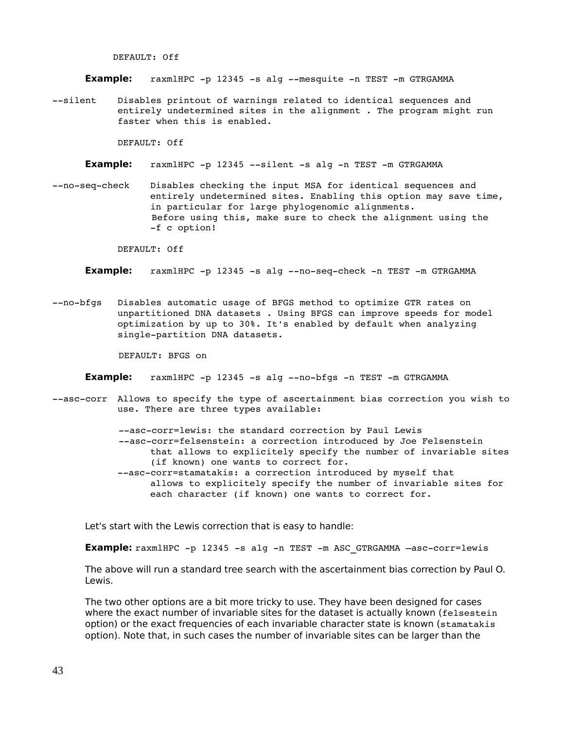DEFAULT: Off

**Example:** raxmlHPC -p 12345 -s alg --mesquite -n TEST -m GTRGAMMA

--silent Disables printout of warnings related to identical sequences and entirely undetermined sites in the alignment . The program might run faster when this is enabled.

DEFAULT: Off

**Example:** raxmlHPC -p 12345 --silent -s alg -n TEST -m GTRGAMMA

--no-seq-check Disables checking the input MSA for identical sequences and entirely undetermined sites. Enabling this option may save time, in particular for large phylogenomic alignments. Before using this, make sure to check the alignment using the -f c option!

DEFAULT: Off

**Example:** raxmlHPC -p 12345 -s alg --no-seq-check -n TEST -m GTRGAMMA

--no-bfgs Disables automatic usage of BFGS method to optimize GTR rates on unpartitioned DNA datasets . Using BFGS can improve speeds for model optimization by up to 30%. It's enabled by default when analyzing single-partition DNA datasets.

DEFAULT: BFGS on

**Example:** raxmlHPC -p 12345 -s alg --no-bfgs -n TEST -m GTRGAMMA

--asc-corr Allows to specify the type of ascertainment bias correction you wish to use. There are three types available:

> --asc-corr=lewis: the standard correction by Paul Lewis --asc-corr=felsenstein: a correction introduced by Joe Felsenstein that allows to explicitely specify the number of invariable sites (if known) one wants to correct for. --asc-corr=stamatakis: a correction introduced by myself that allows to explicitely specify the number of invariable sites for each character (if known) one wants to correct for.

Let's start with the Lewis correction that is easy to handle:

**Example:** raxmlHPC -p 12345 -s alg -n TEST -m ASC GTRGAMMA -asc-corr=lewis

The above will run a standard tree search with the ascertainment bias correction by Paul O. Lewis.

The two other options are a bit more tricky to use. They have been designed for cases where the exact number of invariable sites for the dataset is actually known (felsestein option) or the exact frequencies of each invariable character state is known (stamatakis option). Note that, in such cases the number of invariable sites can be larger than the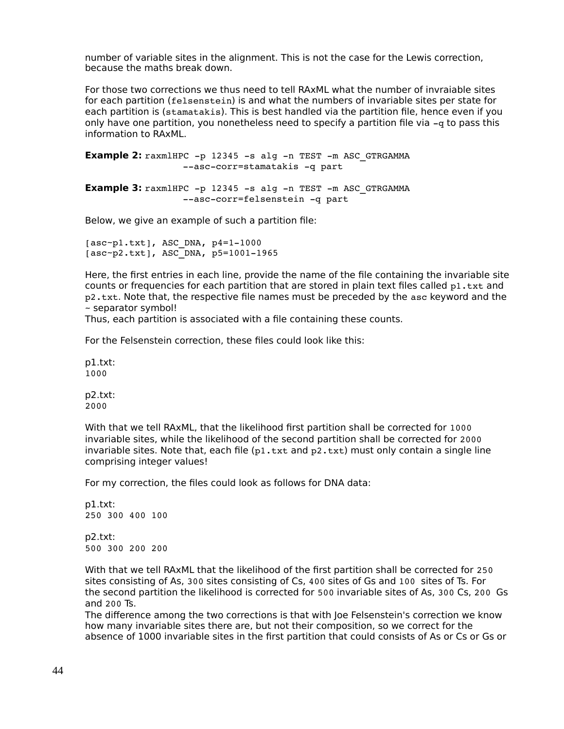number of variable sites in the alignment. This is not the case for the Lewis correction, because the maths break down.

For those two corrections we thus need to tell RAxML what the number of invraiable sites for each partition (felsenstein) is and what the numbers of invariable sites per state for each partition is (stamatakis). This is best handled via the partition file, hence even if you only have one partition, you nonetheless need to specify a partition file via  $-\alpha$  to pass this information to RAxML.

**Example 2:** raxmlHPC -p 12345 -s alg -n TEST -m ASC GTRGAMMA --asc-corr=stamatakis -q part

**Example 3:** raxmlHPC -p 12345 -s alg -n TEST -m ASC GTRGAMMA --asc-corr=felsenstein -q part

Below, we give an example of such a partition file:

 $[asc\text{-}pl.txt]$ , ASC\_DNA,  $p4=1-1000$  $[asc-p2.txt]$ , ASC\_DNA, p5=1001-1965

Here, the first entries in each line, provide the name of the file containing the invariable site counts or frequencies for each partition that are stored in plain text files called  $p1.txt$  and p2.txt. Note that, the respective file names must be preceded by the asc keyword and the ~ separator symbol!

Thus, each partition is associated with a file containing these counts.

For the Felsenstein correction, these files could look like this:

p1.txt: 1000

p2.txt: 2000

With that we tell RAxML, that the likelihood first partition shall be corrected for 1000 invariable sites, while the likelihood of the second partition shall be corrected for 2000 invariable sites. Note that, each file  $(p1.txt$  and  $p2.txt$ ) must only contain a single line comprising integer values!

For my correction, the files could look as follows for DNA data:

p1.txt: 250 300 400 100 p2.txt: 500 300 200 200

With that we tell RAxML that the likelihood of the first partition shall be corrected for 250 sites consisting of As, 300 sites consisting of Cs, 400 sites of Gs and 100 sites of Ts. For the second partition the likelihood is corrected for 500 invariable sites of As, 300 Cs, 200 Gs and 200 Ts.

The difference among the two corrections is that with Joe Felsenstein's correction we know how many invariable sites there are, but not their composition, so we correct for the absence of 1000 invariable sites in the first partition that could consists of As or Cs or Gs or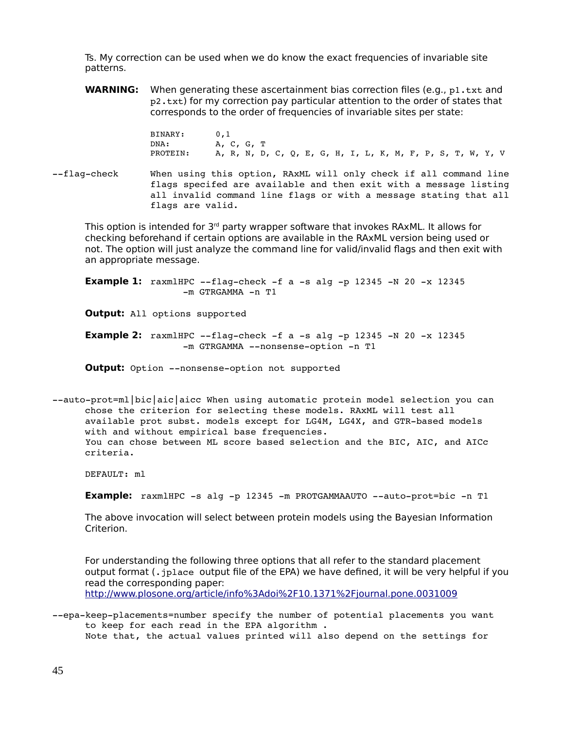Ts. My correction can be used when we do know the exact frequencies of invariable site patterns.

**WARNING:** When generating these ascertainment bias correction files (e.g., p1.txt and p2.txt) for my correction pay particular attention to the order of states that corresponds to the order of frequencies of invariable sites per state:

> BINARY: 0,1 DNA: A, C, G, T<br>PROTEIN: A, R, N, D A, R, N, D, C, Q, E, G, H, I, L, K, M, F, P, S, T, W, Y, V

--flag-check When using this option, RAxML will only check if all command line flags specifed are available and then exit with a message listing all invalid command line flags or with a message stating that all flags are valid.

This option is intended for  $3<sup>rd</sup>$  party wrapper software that invokes RAxML. It allows for checking beforehand if certain options are available in the RAxML version being used or not. The option will just analyze the command line for valid/invalid flags and then exit with an appropriate message.

**Example 1:**  $raxmHPC -flaq-check -f a -s alq -p 12345 -N 20 -x 12345$  $-m$  GTRGAMMA  $-n$  T1

**Output:** All options supported

**Example 2:** raxmlHPC --flag-check -f a -s alg -p 12345 -N 20 -x 12345 -m GTRGAMMA --nonsense-option -n T1

**Output:** Option --nonsense-option not supported

--auto-prot=ml|bic|aic|aicc When using automatic protein model selection you can chose the criterion for selecting these models. RAxML will test all available prot subst. models except for LG4M, LG4X, and GTR-based models with and without empirical base frequencies. You can chose between ML score based selection and the BIC, AIC, and AICc criteria.

DEFAULT: ml

**Example:** raxmlHPC -s alg -p 12345 -m PROTGAMMAAUTO --auto-prot=bic -n T1

The above invocation will select between protein models using the Bayesian Information Criterion.

For understanding the following three options that all refer to the standard placement output format (. jplace output file of the EPA) we have defined, it will be very helpful if you read the corresponding paper: <http://www.plosone.org/article/info%3Adoi%2F10.1371%2Fjournal.pone.0031009>

--epa-keep-placements=number specify the number of potential placements you want to keep for each read in the EPA algorithm . Note that, the actual values printed will also depend on the settings for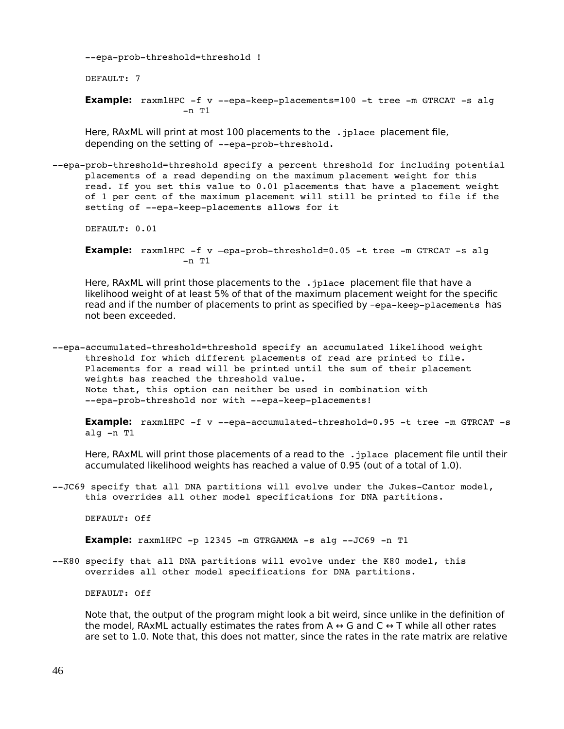--epa-prob-threshold=threshold !

DEFAULT: 7

**Example:** raxmlHPC -f v --epa-keep-placements=100 -t tree -m GTRCAT -s alg  $-n$  T1

Here, RAxML will print at most 100 placements to the . jplace placement file, depending on the setting of --epa-prob-threshold.

--epa-prob-threshold=threshold specify a percent threshold for including potential placements of a read depending on the maximum placement weight for this read. If you set this value to 0.01 placements that have a placement weight of 1 per cent of the maximum placement will still be printed to file if the setting of --epa-keep-placements allows for it

DEFAULT: 0.01

**Example:** raxmlHPC -f v -epa-prob-threshold=0.05 -t tree -m GTRCAT -s alg  $-n$  T1

Here, RAxML will print those placements to the . jplace placement file that have a likelihood weight of at least 5% of that of the maximum placement weight for the specific read and if the number of placements to print as specified by -epa-keep-placements has not been exceeded.

--epa-accumulated-threshold=threshold specify an accumulated likelihood weight threshold for which different placements of read are printed to file. Placements for a read will be printed until the sum of their placement weights has reached the threshold value. Note that, this option can neither be used in combination with --epa-prob-threshold nor with --epa-keep-placements!

**Example:** raxmlHPC -f v --epa-accumulated-threshold=0.95 -t tree -m GTRCAT -s alg  $-n$  T1

Here, RAxML will print those placements of a read to the . jplace placement file until their accumulated likelihood weights has reached a value of 0.95 (out of a total of 1.0).

 $-JC69$  specify that all DNA partitions will evolve under the Jukes-Cantor model, this overrides all other model specifications for DNA partitions.

DEFAULT: Off

**Example:**  $raxmHPC -p 12345 -m GTRGAMMA -s alg -JC69 -n T1$ 

--K80 specify that all DNA partitions will evolve under the K80 model, this overrides all other model specifications for DNA partitions.

DEFAULT: Off

Note that, the output of the program might look a bit weird, since unlike in the definition of the model, RAxML actually estimates the rates from A  $\leftrightarrow$  G and C  $\leftrightarrow$  T while all other rates are set to 1.0. Note that, this does not matter, since the rates in the rate matrix are relative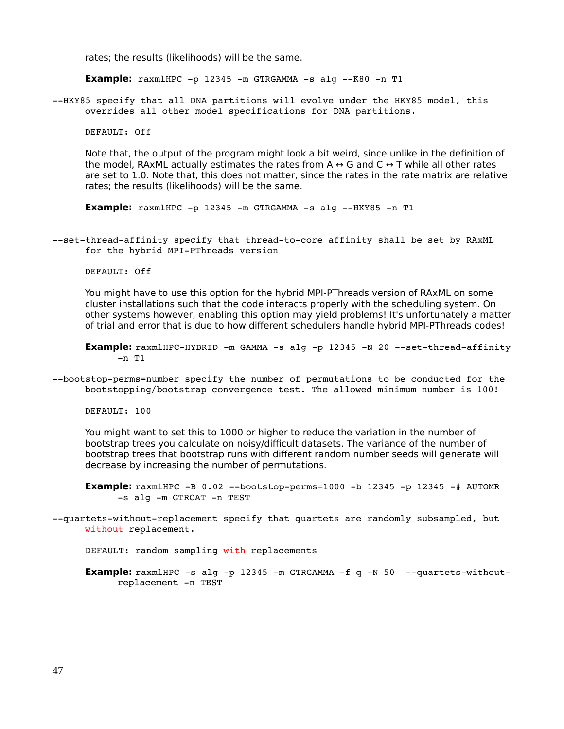rates; the results (likelihoods) will be the same.

**Example:**  $raxmHPC -p 12345 -m GTRGAMMA -s alq -K80 -n T1$ 

--HKY85 specify that all DNA partitions will evolve under the HKY85 model, this overrides all other model specifications for DNA partitions.

DEFAULT: Off

Note that, the output of the program might look a bit weird, since unlike in the definition of the model, RAxML actually estimates the rates from A  $\leftrightarrow$  G and C  $\leftrightarrow$  T while all other rates are set to 1.0. Note that, this does not matter, since the rates in the rate matrix are relative rates; the results (likelihoods) will be the same.

**Example:**  $raxm1HPC -p 12345 -m GTRGAMMA -s alg -HKY85 -n T1$ 

--set-thread-affinity specify that thread-to-core affinity shall be set by RAxML for the hybrid MPI-PThreads version

DEFAULT: Off

You might have to use this option for the hybrid MPI-PThreads version of RAxML on some cluster installations such that the code interacts properly with the scheduling system. On other systems however, enabling this option may yield problems! It's unfortunately a matter of trial and error that is due to how different schedulers handle hybrid MPI-PThreads codes!

**Example:**  $raxmHPPc-HYBRID -m GAMMA -s alg -p 12345 -N 20 -set-thread-affinity$  $-n$  T1

--bootstop-perms=number specify the number of permutations to be conducted for the bootstopping/bootstrap convergence test. The allowed minimum number is 100!

DEFAULT: 100

You might want to set this to 1000 or higher to reduce the variation in the number of bootstrap trees you calculate on noisy/difficult datasets. The variance of the number of bootstrap trees that bootstrap runs with different random number seeds will generate will decrease by increasing the number of permutations.

**Example:**  $raxm1HPC -B 0.02$  --bootstop-perms=1000 -b 12345 -p 12345 -# AUTOMR -s alg -m GTRCAT -n TEST

--quartets-without-replacement specify that quartets are randomly subsampled, but without replacement.

DEFAULT: random sampling with replacements

**Example:** raxmlHPC -s alg -p 12345 -m GTRGAMMA -f q -N 50 --quartets-withoutreplacement -n TEST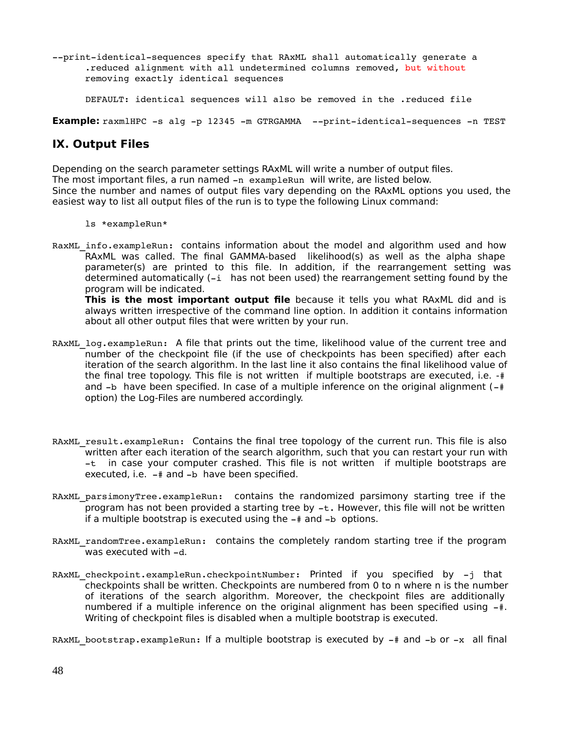--print-identical-sequences specify that RAxML shall automatically generate a .reduced alignment with all undetermined columns removed, but without removing exactly identical sequences

DEFAULT: identical sequences will also be removed in the .reduced file

**Example:** raxmlHPC -s alg -p 12345 -m GTRGAMMA --print-identical-sequences -n TEST

### **IX. Output Files**

Depending on the search parameter settings RAxML will write a number of output files. The most important files, a run named  $-n$  exampleRun will write, are listed below. Since the number and names of output files vary depending on the RAxML options you used, the easiest way to list all output files of the run is to type the following Linux command:

ls \*exampleRun\*

RaxML info.exampleRun: contains information about the model and algorithm used and how RAxML was called. The final GAMMA-based likelihood(s) as well as the alpha shape parameter(s) are printed to this file. In addition, if the rearrangement setting was determined automatically  $(-i \quad \text{has not been used})$  the rearrangement setting found by the program will be indicated.

**This is the most important output file** because it tells you what RAxML did and is always written irrespective of the command line option. In addition it contains information about all other output files that were written by your run.

- RAXML log.exampleRun: A file that prints out the time, likelihood value of the current tree and number of the checkpoint file (if the use of checkpoints has been specified) after each iteration of the search algorithm. In the last line it also contains the final likelihood value of the final tree topology. This file is not written if multiple bootstraps are executed, i.e. -# and  $-b$  have been specified. In case of a multiple inference on the original alignment ( $-\#$ option) the Log-Files are numbered accordingly.
- RAXML result.exampleRun: Contains the final tree topology of the current run. This file is also written after each iteration of the search algorithm, such that you can restart your run with  $-t$  in case your computer crashed. This file is not written if multiple bootstraps are executed, i.e.  $-$  # and  $-$ b have been specified.
- RAXML parsimonyTree.exampleRun: contains the randomized parsimony starting tree if the program has not been provided a starting tree by  $-t$ . However, this file will not be written if a multiple bootstrap is executed using the  $-\frac{4}{3}$  and  $-\frac{1}{3}$  options.
- RAXML randomTree.exampleRun: contains the completely random starting tree if the program was executed with  $-d$ .
- RAxML checkpoint.exampleRun.checkpointNumber: Printed if you specified by -j that checkpoints shall be written. Checkpoints are numbered from 0 to n where n is the number of iterations of the search algorithm. Moreover, the checkpoint files are additionally numbered if a multiple inference on the original alignment has been specified using  $-\frac{4}{3}$ . Writing of checkpoint files is disabled when a multiple bootstrap is executed.

RAXML bootstrap.exampleRun: If a multiple bootstrap is executed by  $-$ # and  $-$ b or  $-x$  all final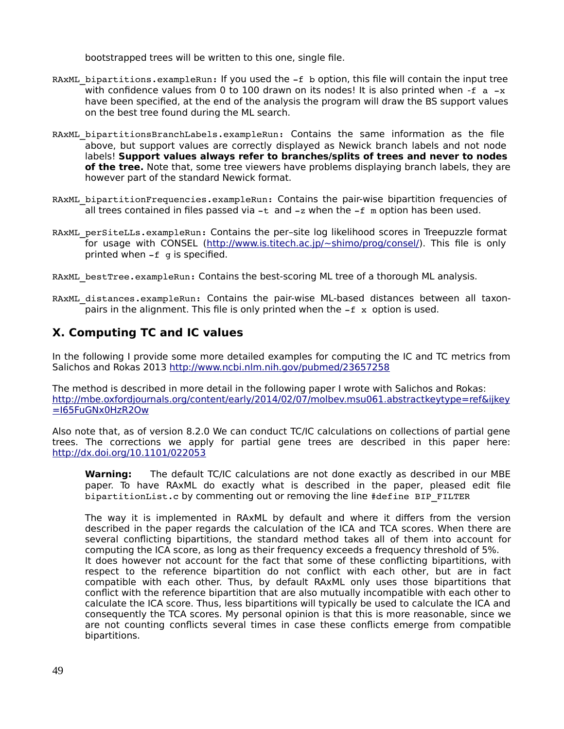bootstrapped trees will be written to this one, single file.

- RAXML bipartitions.exampleRun: If you used the  $-f$  b option, this file will contain the input tree with confidence values from 0 to 100 drawn on its nodes! It is also printed when  $-f_a - x$ have been specified, at the end of the analysis the program will draw the BS support values on the best tree found during the ML search.
- RAXML bipartitionsBranchLabels.exampleRun: Contains the same information as the file above, but support values are correctly displayed as Newick branch labels and not node labels! **Support values always refer to branches/splits of trees and never to nodes of the tree.** Note that, some tree viewers have problems displaying branch labels, they are however part of the standard Newick format.
- RAxML\_bipartitionFrequencies.exampleRun: Contains the pair-wise bipartition frequencies of all trees contained in files passed via  $-t$  and  $-z$  when the  $-f$  m option has been used.
- RAXML perSiteLLs.exampleRun: Contains the per-site log likelihood scores in Treepuzzle format for usage with CONSEL [\(http://www.is.titech.ac.jp/~shimo/prog/consel/\)](http://www.is.titech.ac.jp/~shimo/prog/consel/). This file is only printed when  $-f$  q is specified.
- RAXML bestTree.exampleRun: Contains the best-scoring ML tree of a thorough ML analysis.
- RAXML distances.exampleRun: Contains the pair-wise ML-based distances between all taxonpairs in the alignment. This file is only printed when the  $-f x$  option is used.

# **X. Computing TC and IC values**

In the following I provide some more detailed examples for computing the IC and TC metrics from Salichos and Rokas 2013<http://www.ncbi.nlm.nih.gov/pubmed/23657258>

The method is described in more detail in the following paper I wrote with Salichos and Rokas: http://mbe.oxfordjournals.org/content/early/2014/02/07/molbev.msu061.abstract[keytype=ref&ijkey](http://mbe.oxfordjournals.org/content/early/2014/02/07/molbev.msu061.abstract?keytype=ref&ijkey=I65FuGNx0HzR2Ow) [=I65FuGNx0HzR2Ow](http://mbe.oxfordjournals.org/content/early/2014/02/07/molbev.msu061.abstract?keytype=ref&ijkey=I65FuGNx0HzR2Ow)

Also note that, as of version 8.2.0 We can conduct TC/IC calculations on collections of partial gene trees. The corrections we apply for partial gene trees are described in this paper here: <http://dx.doi.org/10.1101/022053>

**Warning:** The default TC/IC calculations are not done exactly as described in our MBE paper. To have RAxML do exactly what is described in the paper, pleased edit file bipartitionList.c by commenting out or removing the line #define BIP\_FILTER

The way it is implemented in RAxML by default and where it differs from the version described in the paper regards the calculation of the ICA and TCA scores. When there are several conflicting bipartitions, the standard method takes all of them into account for computing the ICA score, as long as their frequency exceeds a frequency threshold of 5%. It does however not account for the fact that some of these conflicting bipartitions, with respect to the reference bipartition do not conflict with each other, but are in fact compatible with each other. Thus, by default RAxML only uses those bipartitions that conflict with the reference bipartition that are also mutually incompatible with each other to calculate the ICA score. Thus, less bipartitions will typically be used to calculate the ICA and consequently the TCA scores. My personal opinion is that this is more reasonable, since we are not counting conflicts several times in case these conflicts emerge from compatible bipartitions.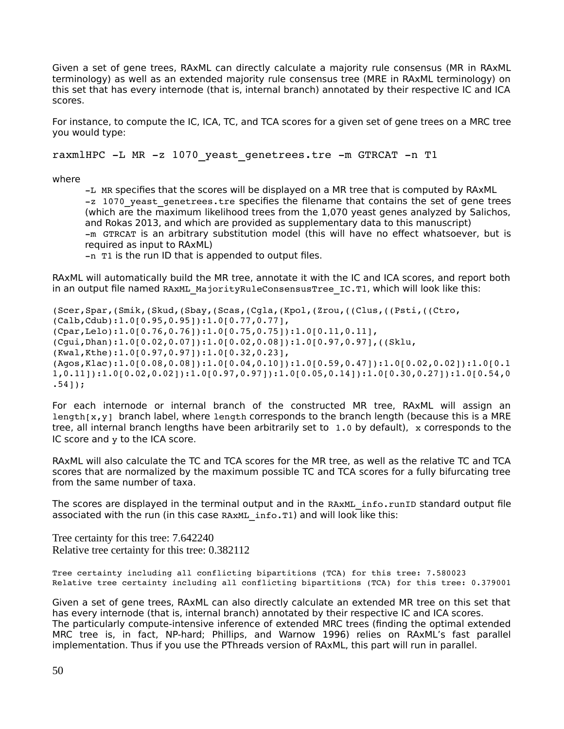Given a set of gene trees, RAxML can directly calculate a majority rule consensus (MR in RAxML terminology) as well as an extended majority rule consensus tree (MRE in RAxML terminology) on this set that has every internode (that is, internal branch) annotated by their respective IC and ICA scores.

For instance, to compute the IC, ICA, TC, and TCA scores for a given set of gene trees on a MRC tree you would type:

raxmlHPC -L MR -z 1070 yeast genetrees.tre -m GTRCAT -n T1

where

L MR specifies that the scores will be displayed on a MR tree that is computed by RAxML -z 1070 yeast genetrees.tre specifies the filename that contains the set of gene trees (which are the maximum likelihood trees from the 1,070 yeast genes analyzed by Salichos, and Rokas 2013, and which are provided as supplementary data to this manuscript) m GTRCAT is an arbitrary substitution model (this will have no effect whatsoever, but is required as input to RAxML)

 $-n$  T<sub>1</sub> is the run ID that is appended to output files.

RAxML will automatically build the MR tree, annotate it with the IC and ICA scores, and report both in an output file named RAxML MajorityRuleConsensusTree IC.T1, which will look like this:

(Scer,Spar,(Smik,(Skud,(Sbay,(Scas,(Cgla,(Kpol,(Zrou,((Clus,((Psti,((Ctro, (Calb,Cdub):1.0[0.95,0.95]):1.0[0.77,0.77], (Cpar,Lelo):1.0[0.76,0.76]):1.0[0.75,0.75]):1.0[0.11,0.11], (Cgui,Dhan):1.0[0.02,0.07]):1.0[0.02,0.08]):1.0[0.97,0.97],((Sklu, (Kwal,Kthe):1.0[0.97,0.97]):1.0[0.32,0.23], (Agos,Klac):1.0[0.08,0.08]):1.0[0.04,0.10]):1.0[0.59,0.47]):1.0[0.02,0.02]):1.0[0.1 1,0.11]):1.0[0.02,0.02]):1.0[0.97,0.97]):1.0[0.05,0.14]):1.0[0.30,0.27]):1.0[0.54,0 .54]);

For each internode or internal branch of the constructed MR tree, RAxML will assign an Length $[x,y]$  branch label, where length corresponds to the branch length (because this is a MRE tree, all internal branch lengths have been arbitrarily set to  $1.0$  by default), x corresponds to the IC score and y to the ICA score.

RAxML will also calculate the TC and TCA scores for the MR tree, as well as the relative TC and TCA scores that are normalized by the maximum possible TC and TCA scores for a fully bifurcating tree from the same number of taxa.

The scores are displayed in the terminal output and in the RAXML info.runID standard output file associated with the run (in this case RAxML info.T1) and will look like this:

Tree certainty for this tree: 7.642240 Relative tree certainty for this tree: 0.382112

Tree certainty including all conflicting bipartitions (TCA) for this tree: 7.580023 Relative tree certainty including all conflicting bipartitions (TCA) for this tree: 0.379001

Given a set of gene trees, RAxML can also directly calculate an extended MR tree on this set that has every internode (that is, internal branch) annotated by their respective IC and ICA scores. The particularly compute-intensive inference of extended MRC trees (finding the optimal extended MRC tree is, in fact, NP-hard; Phillips, and Warnow 1996) relies on RAxML's fast parallel implementation. Thus if you use the PThreads version of RAxML, this part will run in parallel.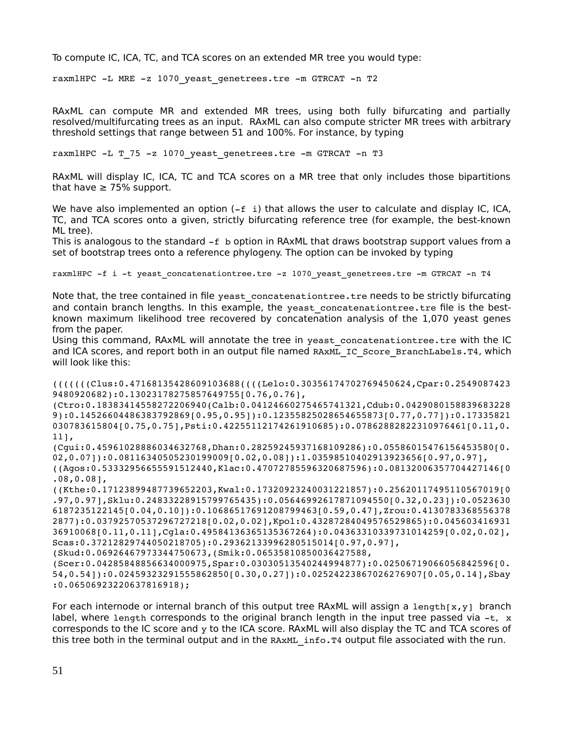To compute IC, ICA, TC, and TCA scores on an extended MR tree you would type:

raxmlHPC -L MRE -z 1070 yeast genetrees.tre -m GTRCAT -n T2

RAxML can compute MR and extended MR trees, using both fully bifurcating and partially resolved/multifurcating trees as an input. RAxML can also compute stricter MR trees with arbitrary threshold settings that range between 51 and 100%. For instance, by typing

raxmlHPC -L T 75 -z 1070 yeast genetrees.tre -m GTRCAT -n T3

RAxML will display IC, ICA, TC and TCA scores on a MR tree that only includes those bipartitions that have  $\geq 75\%$  support.

We have also implemented an option  $(-f \; i)$  that allows the user to calculate and display IC, ICA, TC, and TCA scores onto a given, strictly bifurcating reference tree (for example, the best-known ML tree).

This is analogous to the standard  $-f$  b option in RAxML that draws bootstrap support values from a set of bootstrap trees onto a reference phylogeny. The option can be invoked by typing

```
raxmlHPC -f i -t yeast concatenationtree.tre -z 1070 yeast genetrees.tre -m GTRCAT -n T4
```
Note that, the tree contained in file yeast concatenationtree.tre needs to be strictly bifurcating and contain branch lengths. In this example, the yeast concatenationtree.tre file is the bestknown maximum likelihood tree recovered by concatenation analysis of the 1,070 yeast genes from the paper.

Using this command, RAxML will annotate the tree in yeast concatenationtree.tre with the IC and ICA scores, and report both in an output file named RAXML\_IC\_Score\_BranchLabels.T4, which will look like this:

```
(((((((Clus:0.47168135428609103688((((Lelo:0.30356174702769450624,Cpar:0.2549087423
9480920682):0.13023178275857649755[0.76,0.76],
(Ctro:0.18383414558272206940(Calb:0.04124660275465741321,Cdub:0.0429080158839683228
9):0.14526604486383792869[0.95,0.95]):0.12355825028654655873[0.77,0.77]):0.17335821
030783615804[0.75,0.75],Psti:0.42255112174261910685):0.07862882822310976461[0.11,0.
11],
(Cgui:0.45961028886034632768,Dhan:0.28259245937168109286):0.05586015476156453580[0.
02,0.07]):0.08116340505230199009[0.02,0.08]):1.03598510402913923656[0.97,0.97],
((Agos:0.53332956655591512440,Klac:0.47072785596320687596):0.08132006357704427146[0
.08,0.08],
((Kthe:0.17123899487739652203,Kwal:0.17320923240031221857):0.25620117495110567019[0
.97,0.97],Sklu:0.24833228915799765435):0.05646992617871094550[0.32,0.23]):0.0523630
6187235122145[0.04,0.10]):0.10686517691208799463[0.59,0.47],Zrou:0.4130783368556378
2877):0.03792570537296727218[0.02,0.02],Kpol:0.43287284049576529865):0.045603416931
36910068[0.11,0.11],Cgla:0.49584136365135367264):0.04363310339731014259[0.02,0.02],
Scas:0.37212829744050218705):0.29362133996280515014[0.97,0.97],
(Skud:0.06926467973344750673,(Smik:0.06535810850036427588,
(Scer:0.04285848856634000975,Spar:0.03030513540244994877):0.02506719066056842596[0.
54,0.54]):0.02459323291555862850[0.30,0.27]):0.02524223867026276907[0.05,0.14],Sbay
```
:0.06506923220637816918);

For each internode or internal branch of this output tree RAxML will assign a length[x,y] branch label, where length corresponds to the original branch length in the input tree passed via  $-t$ , x corresponds to the IC score and y to the ICA score. RAxML will also display the TC and TCA scores of this tree both in the terminal output and in the RAXML info.T4 output file associated with the run.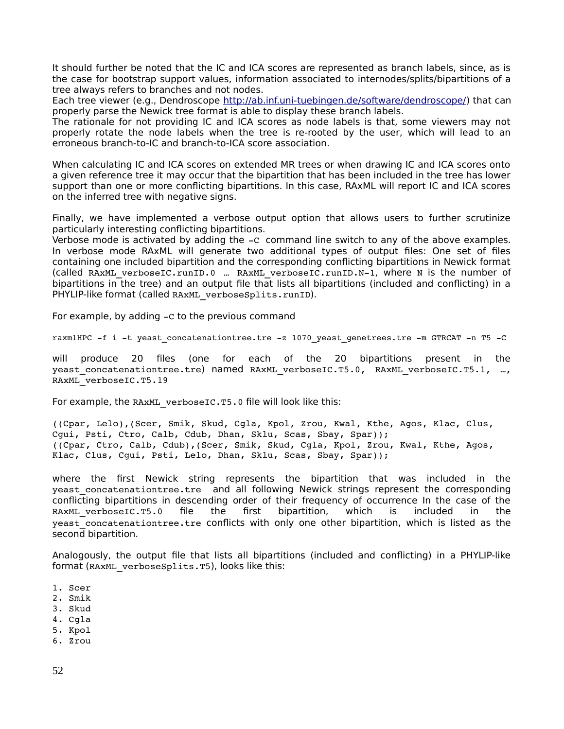It should further be noted that the IC and ICA scores are represented as branch labels, since, as is the case for bootstrap support values, information associated to internodes/splits/bipartitions of a tree always refers to branches and not nodes.

Each tree viewer (e.g., Dendroscope [http://ab.inf.uni-tuebingen.de/software/dendroscope/\)](http://ab.inf.uni-tuebingen.de/software/dendroscope/) that can properly parse the Newick tree format is able to display these branch labels.

The rationale for not providing IC and ICA scores as node labels is that, some viewers may not properly rotate the node labels when the tree is re-rooted by the user, which will lead to an erroneous branch-to-IC and branch-to-ICA score association.

When calculating IC and ICA scores on extended MR trees or when drawing IC and ICA scores onto a given reference tree it may occur that the bipartition that has been included in the tree has lower support than one or more conflicting bipartitions. In this case, RAxML will report IC and ICA scores on the inferred tree with negative signs.

Finally, we have implemented a verbose output option that allows users to further scrutinize particularly interesting conflicting bipartitions.

Verbose mode is activated by adding the -c command line switch to any of the above examples. In verbose mode RAxML will generate two additional types of output files: One set of files containing one included bipartition and the corresponding conflicting bipartitions in Newick format (called RAxML verboseIC.runID.0 ... RAxML verboseIC.runID.N-1, where N is the number of bipartitions in the tree) and an output file that lists all bipartitions (included and conflicting) in a PHYLIP-like format (called RAXML verboseSplits.runID).

For example, by adding  $-c$  to the previous command

raxmlHPC -f i -t yeast concatenationtree.tre -z 1070 yeast genetrees.tre -m GTRCAT -n T5 -C

will produce 20 files (one for each of the 20 bipartitions present in the yeast concatenationtree.tre) named RAxML verboseIC.T5.0, RAxML verboseIC.T5.1, …, RAxML\_verboseIC.T5.19

For example, the RAXML verboseIC.T5.0 file will look like this:

((Cpar, Lelo),(Scer, Smik, Skud, Cgla, Kpol, Zrou, Kwal, Kthe, Agos, Klac, Clus, Cgui, Psti, Ctro, Calb, Cdub, Dhan, Sklu, Scas, Sbay, Spar)); ((Cpar, Ctro, Calb, Cdub),(Scer, Smik, Skud, Cgla, Kpol, Zrou, Kwal, Kthe, Agos, Klac, Clus, Cgui, Psti, Lelo, Dhan, Sklu, Scas, Sbay, Spar));

where the first Newick string represents the bipartition that was included in the yeast concatenationtree.tre and all following Newick strings represent the corresponding conflicting bipartitions in descending order of their frequency of occurrence In the case of the RAXML verboseIC.T5.0 file the first bipartition, which is included in the yeast concatenationtree.tre conflicts with only one other bipartition, which is listed as the second bipartition.

Analogously, the output file that lists all bipartitions (included and conflicting) in a PHYLIP-like format (RAxML verboseSplits.T5), looks like this:

- 1. Scer
- 2. Smik
- 3. Skud
- 4. Cgla
- 5. Kpol
- 6. Zrou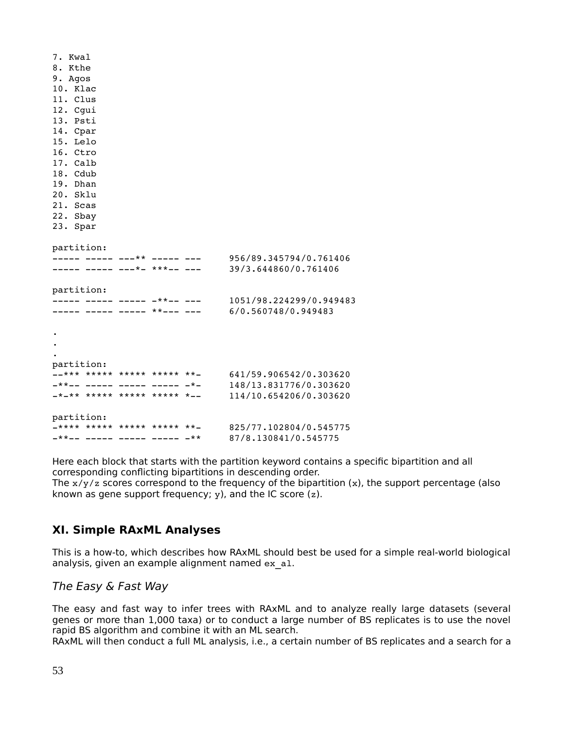| 7. Kwal                              |  |                         |  |  |  |  |  |
|--------------------------------------|--|-------------------------|--|--|--|--|--|
| 8. Kthe                              |  |                         |  |  |  |  |  |
| 9. Agos                              |  |                         |  |  |  |  |  |
| 10. Klac                             |  |                         |  |  |  |  |  |
| 11. Clus                             |  |                         |  |  |  |  |  |
| 12. Cgui                             |  |                         |  |  |  |  |  |
| 13. Psti                             |  |                         |  |  |  |  |  |
| 14. Cpar                             |  |                         |  |  |  |  |  |
| 15. Lelo                             |  |                         |  |  |  |  |  |
| 16. Ctro                             |  |                         |  |  |  |  |  |
| 17. Calb                             |  |                         |  |  |  |  |  |
| 18. Cdub                             |  |                         |  |  |  |  |  |
| 19. Dhan                             |  |                         |  |  |  |  |  |
| 20. Sklu                             |  |                         |  |  |  |  |  |
| 21. Scas                             |  |                         |  |  |  |  |  |
| 22. Sbay                             |  |                         |  |  |  |  |  |
| 23. Spar                             |  |                         |  |  |  |  |  |
|                                      |  |                         |  |  |  |  |  |
| partition:                           |  |                         |  |  |  |  |  |
| _____ _____ ___** _____ __           |  | 956/89.345794/0.761406  |  |  |  |  |  |
| ----- ----- ---*- ***-- ---          |  | 39/3.644860/0.761406    |  |  |  |  |  |
|                                      |  |                         |  |  |  |  |  |
| partition:                           |  |                         |  |  |  |  |  |
| $-   +$ $    -$<br>_____ _____ __    |  | 1051/98.224299/0.949483 |  |  |  |  |  |
| ____  _____  _____  **___  ___       |  | 6/0.560748/0.949483     |  |  |  |  |  |
|                                      |  |                         |  |  |  |  |  |
|                                      |  |                         |  |  |  |  |  |
|                                      |  |                         |  |  |  |  |  |
|                                      |  |                         |  |  |  |  |  |
| partition:                           |  |                         |  |  |  |  |  |
| $-$ *** ***** ***** ***** **-        |  | 641/59.906542/0.303620  |  |  |  |  |  |
| _**__ _____ _____ ____ ____ _*_      |  | 148/13.831776/0.303620  |  |  |  |  |  |
| $-$ * $-$ ** ***** ***** ***** * $-$ |  | 114/10.654206/0.303620  |  |  |  |  |  |
|                                      |  |                         |  |  |  |  |  |
| partition:                           |  |                         |  |  |  |  |  |
| -**** ***** ***** ***** **-          |  | 825/77.102804/0.545775  |  |  |  |  |  |
| _**__ _____ _____ _____ _____ _**    |  | 87/8.130841/0.545775    |  |  |  |  |  |

Here each block that starts with the partition keyword contains a specific bipartition and all corresponding conflicting bipartitions in descending order.

The  $x/y/z$  scores correspond to the frequency of the bipartition  $(x)$ , the support percentage (also known as gene support frequency;  $y$ ), and the IC score  $(z)$ .

# **XI. Simple RAxML Analyses**

This is a how-to, which describes how RAxML should best be used for a simple real-world biological analysis, given an example alignment named ex\_al.

### The Easy & Fast Way

The easy and fast way to infer trees with RAxML and to analyze really large datasets (several genes or more than 1,000 taxa) or to conduct a large number of BS replicates is to use the novel rapid BS algorithm and combine it with an ML search.

RAxML will then conduct a full ML analysis, i.e., a certain number of BS replicates and a search for a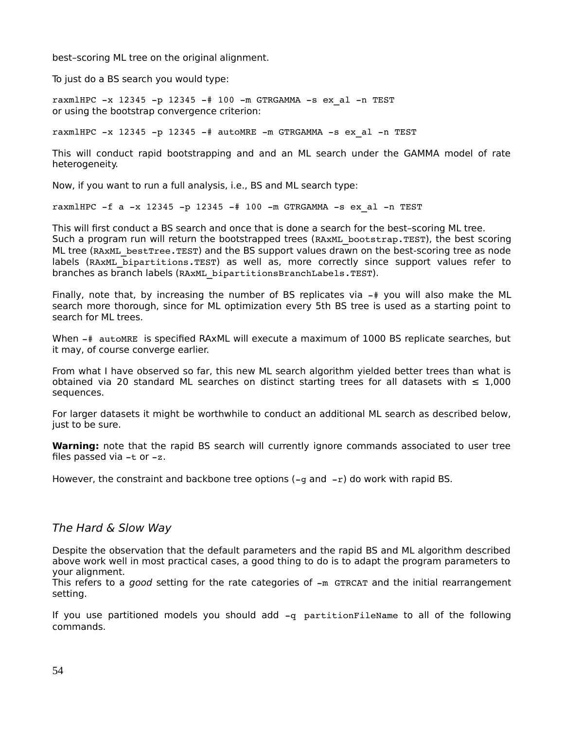best–scoring ML tree on the original alignment.

To just do a BS search you would type:

raxmlHPC  $-x$  12345  $-p$  12345  $-\#$  100  $-m$  GTRGAMMA  $-s$  ex al  $-n$  TEST or using the bootstrap convergence criterion:

raxmlHPC  $-x$  12345 -p 12345 -# autoMRE -m GTRGAMMA -s ex al -n TEST

This will conduct rapid bootstrapping and and an ML search under the GAMMA model of rate heterogeneity.

Now, if you want to run a full analysis, i.e., BS and ML search type:

raxmlHPC  $-f$  a  $-x$  12345  $-p$  12345  $-#$  100  $-m$  GTRGAMMA  $-s$  ex al  $-n$  TEST

This will first conduct a BS search and once that is done a search for the best–scoring ML tree. Such a program run will return the bootstrapped trees (RAXML bootstrap.TEST), the best scoring ML tree (RAxML bestTree.TEST) and the BS support values drawn on the best-scoring tree as node labels (RAxML\_bipartitions.TEST) as well as, more correctly since support values refer to branches as branch labels (RAxML bipartitionsBranchLabels.TEST).

Finally, note that, by increasing the number of BS replicates via  $-$  you will also make the ML search more thorough, since for ML optimization every 5th BS tree is used as a starting point to search for ML trees.

When  $-\#$  autoMRE is specified RAxML will execute a maximum of 1000 BS replicate searches, but it may, of course converge earlier.

From what I have observed so far, this new ML search algorithm yielded better trees than what is obtained via 20 standard ML searches on distinct starting trees for all datasets with  $\leq 1,000$ sequences.

For larger datasets it might be worthwhile to conduct an additional ML search as described below, just to be sure.

**Warning:** note that the rapid BS search will currently ignore commands associated to user tree files passed via  $-t$  or  $-z$ .

However, the constraint and backbone tree options  $(-g$  and  $-r)$  do work with rapid BS.

### The Hard & Slow Way

Despite the observation that the default parameters and the rapid BS and ML algorithm described above work well in most practical cases, a good thing to do is to adapt the program parameters to your alignment.

This refers to a good setting for the rate categories of  $-m$  GTRCAT and the initial rearrangement setting.

If you use partitioned models you should add -q partitionFileName to all of the following commands.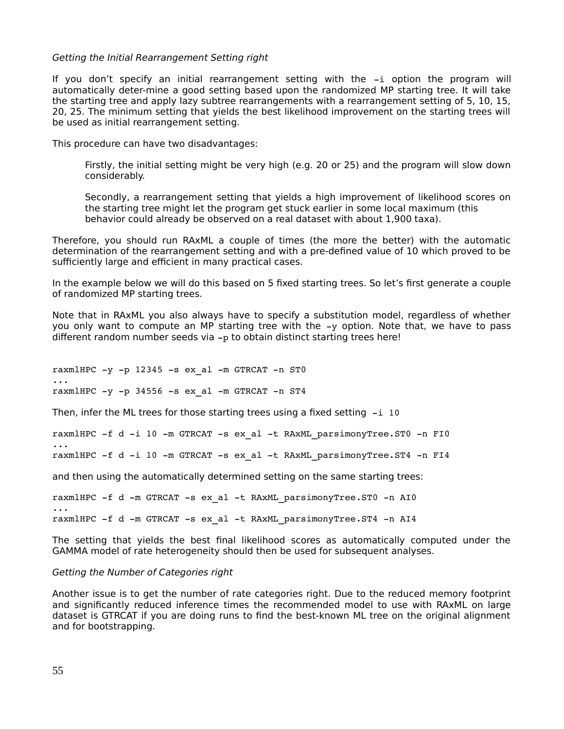#### Getting the Initial Rearrangement Setting right

If you don't specify an initial rearrangement setting with the -i option the program will automatically deter-mine a good setting based upon the randomized MP starting tree. It will take the starting tree and apply lazy subtree rearrangements with a rearrangement setting of 5, 10, 15, 20, 25. The minimum setting that yields the best likelihood improvement on the starting trees will be used as initial rearrangement setting.

This procedure can have two disadvantages:

Firstly, the initial setting might be very high (e.g. 20 or 25) and the program will slow down considerably.

Secondly, a rearrangement setting that yields a high improvement of likelihood scores on the starting tree might let the program get stuck earlier in some local maximum (this behavior could already be observed on a real dataset with about 1,900 taxa).

Therefore, you should run RAxML a couple of times (the more the better) with the automatic determination of the rearrangement setting and with a pre-defined value of 10 which proved to be sufficiently large and efficient in many practical cases.

In the example below we will do this based on 5 fixed starting trees. So let's first generate a couple of randomized MP starting trees.

Note that in RAxML you also always have to specify a substitution model, regardless of whether you only want to compute an MP starting tree with the  $-y$  option. Note that, we have to pass different random number seeds via  $-p$  to obtain distinct starting trees here!

raxmlHPC  $-y$  -p 12345 -s ex al  $-m$  GTRCAT -n ST0 ... raxmlHPC  $-y$  -p 34556 -s ex al -m GTRCAT -n ST4

Then, infer the ML trees for those starting trees using a fixed setting  $-i$  10

raxmlHPC -f d -i 10 -m GTRCAT -s ex al -t RAxML parsimonyTree.ST0 -n FI0

raxmlHPC -f d -i 10 -m GTRCAT -s ex al -t RAxML parsimonyTree.ST4 -n FI4

and then using the automatically determined setting on the same starting trees:

raxmlHPC -f d -m GTRCAT -s ex al -t RAxML parsimonyTree.ST0 -n AI0

raxmlHPC -f d -m GTRCAT -s ex al -t RAxML parsimonyTree.ST4 -n AI4

The setting that yields the best final likelihood scores as automatically computed under the GAMMA model of rate heterogeneity should then be used for subsequent analyses.

#### Getting the Number of Categories right

Another issue is to get the number of rate categories right. Due to the reduced memory footprint and significantly reduced inference times the recommended model to use with RAxML on large dataset is GTRCAT if you are doing runs to find the best-known ML tree on the original alignment and for bootstrapping.

...

...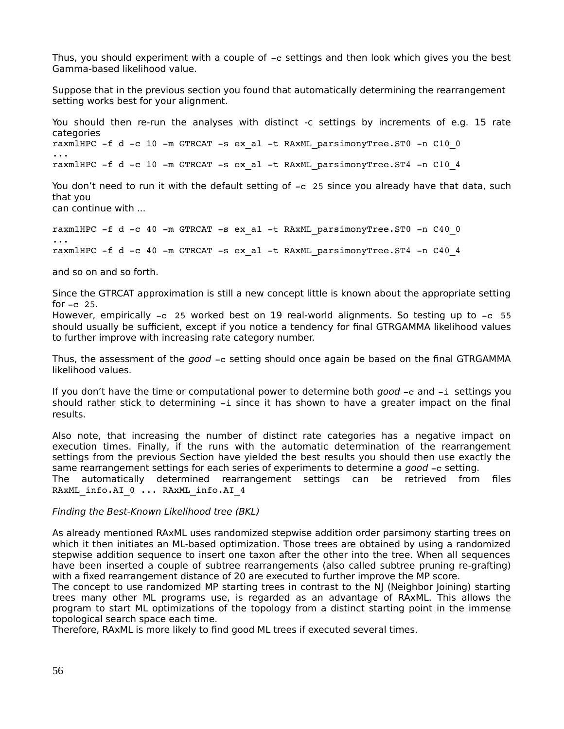Thus, you should experiment with a couple of  $-c$  settings and then look which gives you the best Gamma-based likelihood value.

Suppose that in the previous section you found that automatically determining the rearrangement setting works best for your alignment.

You should then re-run the analyses with distinct -c settings by increments of e.g. 15 rate categories raxmlHPC  $-f$  d  $-c$  10  $-m$  GTRCAT  $-s$  ex al  $-t$  RAxML parsimonyTree.ST0  $-n$  C10 0 ... raxmlHPC  $-f$  d  $-c$  10  $-m$  GTRCAT  $-s$  ex al  $-t$  RAxML parsimonyTree.ST4  $-n$  C10 4

You don't need to run it with the default setting of -c 25 since you already have that data, such that you can continue with ...

raxmlHPC  $-f$  d  $-c$  40  $-m$  GTRCAT  $-s$  ex al  $-t$  RAxML parsimonyTree.ST0  $-n$  C40 0

... raxmlHPC  $-f$  d  $-c$  40  $-m$  GTRCAT  $-s$  ex al  $-t$  RAxML parsimonyTree.ST4  $-n$  C40 4

and so on and so forth.

Since the GTRCAT approximation is still a new concept little is known about the appropriate setting for  $-c$  25.

However, empirically  $-c$  25 worked best on 19 real-world alignments. So testing up to  $-c$  55 should usually be sufficient, except if you notice a tendency for final GTRGAMMA likelihood values to further improve with increasing rate category number.

Thus, the assessment of the  $good - c$  setting should once again be based on the final GTRGAMMA likelihood values.

If you don't have the time or computational power to determine both  $qood -c$  and  $-i$  settings you should rather stick to determining  $-i$  since it has shown to have a greater impact on the final results.

Also note, that increasing the number of distinct rate categories has a negative impact on execution times. Finally, if the runs with the automatic determination of the rearrangement settings from the previous Section have yielded the best results you should then use exactly the same rearrangement settings for each series of experiments to determine a good -c setting.

The automatically determined rearrangement settings can be retrieved from files RAxML\_info.AI\_0 ... RAxML\_info.AI\_4

### Finding the Best-Known Likelihood tree (BKL)

As already mentioned RAxML uses randomized stepwise addition order parsimony starting trees on which it then initiates an ML-based optimization. Those trees are obtained by using a randomized stepwise addition sequence to insert one taxon after the other into the tree. When all sequences have been inserted a couple of subtree rearrangements (also called subtree pruning re-grafting) with a fixed rearrangement distance of 20 are executed to further improve the MP score.

The concept to use randomized MP starting trees in contrast to the NJ (Neighbor Joining) starting trees many other ML programs use, is regarded as an advantage of RAxML. This allows the program to start ML optimizations of the topology from a distinct starting point in the immense topological search space each time.

Therefore, RAxML is more likely to find good ML trees if executed several times.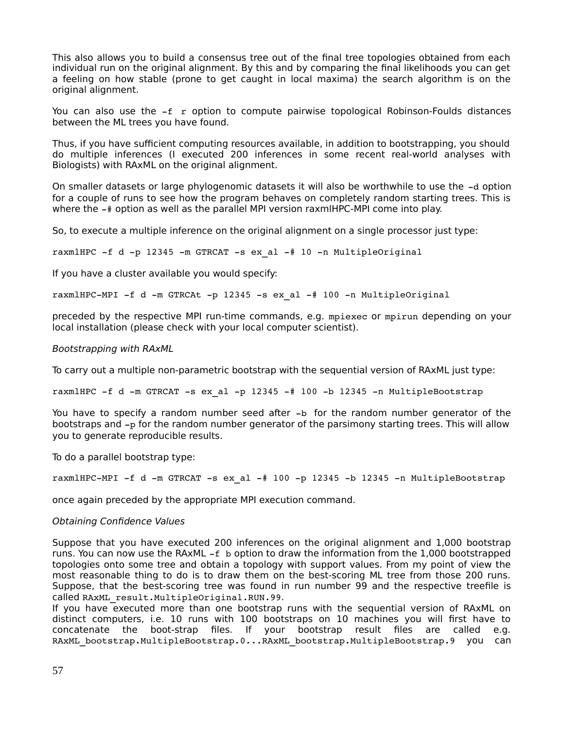This also allows you to build a consensus tree out of the final tree topologies obtained from each individual run on the original alignment. By this and by comparing the final likelihoods you can get a feeling on how stable (prone to get caught in local maxima) the search algorithm is on the original alignment.

You can also use the  $-f$   $r$  option to compute pairwise topological Robinson-Foulds distances between the ML trees you have found.

Thus, if you have sufficient computing resources available, in addition to bootstrapping, you should do multiple inferences (I executed 200 inferences in some recent real-world analyses with Biologists) with RAxML on the original alignment.

On smaller datasets or large phylogenomic datasets it will also be worthwhile to use the -d option for a couple of runs to see how the program behaves on completely random starting trees. This is where the  $-\#$  option as well as the parallel MPI version raxmlHPC-MPI come into play.

So, to execute a multiple inference on the original alignment on a single processor just type:

raxmlHPC  $-f$  d -p 12345 -m GTRCAT -s ex al  $-$ # 10 -n MultipleOriginal

If you have a cluster available you would specify:

raxmlHPC-MPI -f d -m GTRCAt -p 12345 -s ex al  $-$ # 100 -n MultipleOriginal

preceded by the respective MPI run-time commands, e.g. mpiexec or mpirun depending on your local installation (please check with your local computer scientist).

#### Bootstrapping with RAxML

To carry out a multiple non-parametric bootstrap with the sequential version of RAxML just type:

raxmlHPC  $-f$  d  $-m$  GTRCAT  $-s$  ex al  $-p$  12345  $-\#$  100  $-b$  12345  $-n$  MultipleBootstrap

You have to specify a random number seed after -b for the random number generator of the bootstraps and  $-p$  for the random number generator of the parsimony starting trees. This will allow you to generate reproducible results.

To do a parallel bootstrap type:

raxmlHPC-MPI -f d -m GTRCAT -s ex al  $-#$  100 -p 12345 -b 12345 -n MultipleBootstrap

once again preceded by the appropriate MPI execution command.

#### Obtaining Confidence Values

Suppose that you have executed 200 inferences on the original alignment and 1,000 bootstrap runs. You can now use the RAxML  $-f$  b option to draw the information from the 1,000 bootstrapped topologies onto some tree and obtain a topology with support values. From my point of view the most reasonable thing to do is to draw them on the best-scoring ML tree from those 200 runs. Suppose, that the best-scoring tree was found in run number 99 and the respective treefile is called RAxML\_result.MultipleOriginal.RUN.99.

If you have executed more than one bootstrap runs with the sequential version of RAxML on distinct computers, i.e. 10 runs with 100 bootstraps on 10 machines you will first have to concatenate the boot-strap files. If your bootstrap result files are called e.g. RAxML\_bootstrap.MultipleBootstrap.0...RAxML\_bootstrap.MultipleBootstrap.9 you can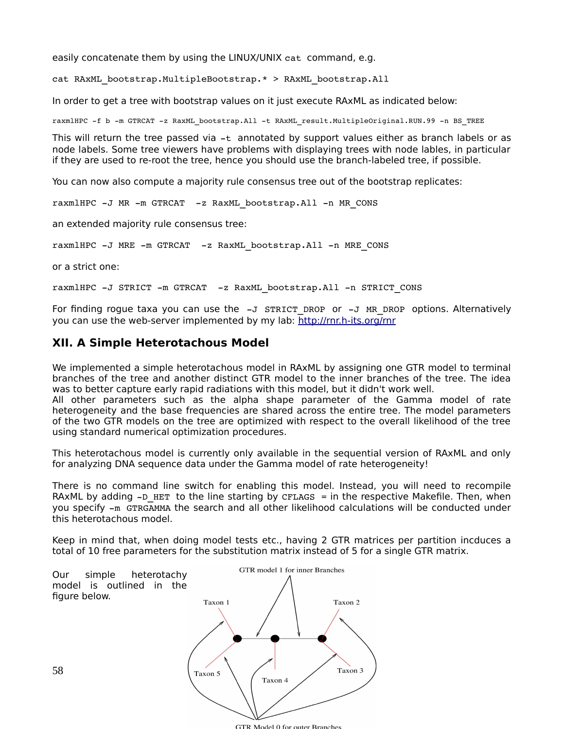easily concatenate them by using the LINUX/UNIX cat command, e.g.

cat RAxML\_bootstrap.MultipleBootstrap.\* > RAxML\_bootstrap.All

In order to get a tree with bootstrap values on it just execute RAxML as indicated below:

raxmlHPC -f b -m GTRCAT -z RaxML\_bootstrap.All -t RAxML\_result.MultipleOriginal.RUN.99 -n BS\_TREE

This will return the tree passed via  $-t$  annotated by support values either as branch labels or as node labels. Some tree viewers have problems with displaying trees with node lables, in particular if they are used to re-root the tree, hence you should use the branch-labeled tree, if possible.

You can now also compute a majority rule consensus tree out of the bootstrap replicates:

raxmlHPC -J MR -m GTRCAT -z RaxML bootstrap.All -n MR CONS

an extended majority rule consensus tree:

raxmlHPC -J MRE -m GTRCAT -z RaxML bootstrap.All -n MRE CONS

or a strict one:

raxmlHPC -J STRICT -m GTRCAT -z RaxML bootstrap.All -n STRICT CONS

For finding rogue taxa you can use the  $-J$  STRICT DROP or  $-J$  MR DROP options. Alternatively you can use the web-server implemented by my lab:<http://rnr.h-its.org/rnr>

# **XII. A Simple Heterotachous Model**

We implemented a simple heterotachous model in RAxML by assigning one GTR model to terminal branches of the tree and another distinct GTR model to the inner branches of the tree. The idea was to better capture early rapid radiations with this model, but it didn't work well.

All other parameters such as the alpha shape parameter of the Gamma model of rate heterogeneity and the base frequencies are shared across the entire tree. The model parameters of the two GTR models on the tree are optimized with respect to the overall likelihood of the tree using standard numerical optimization procedures.

This heterotachous model is currently only available in the sequential version of RAxML and only for analyzing DNA sequence data under the Gamma model of rate heterogeneity!

There is no command line switch for enabling this model. Instead, you will need to recompile RAXML by adding  $-D$  HET to the line starting by CFLAGS = in the respective Makefile. Then, when you specify  $-m$  GTRGAMMA the search and all other likelihood calculations will be conducted under this heterotachous model.

Keep in mind that, when doing model tests etc., having 2 GTR matrices per partition incduces a total of 10 free parameters for the substitution matrix instead of 5 for a single GTR matrix.



GTR Model 0 for outer Branches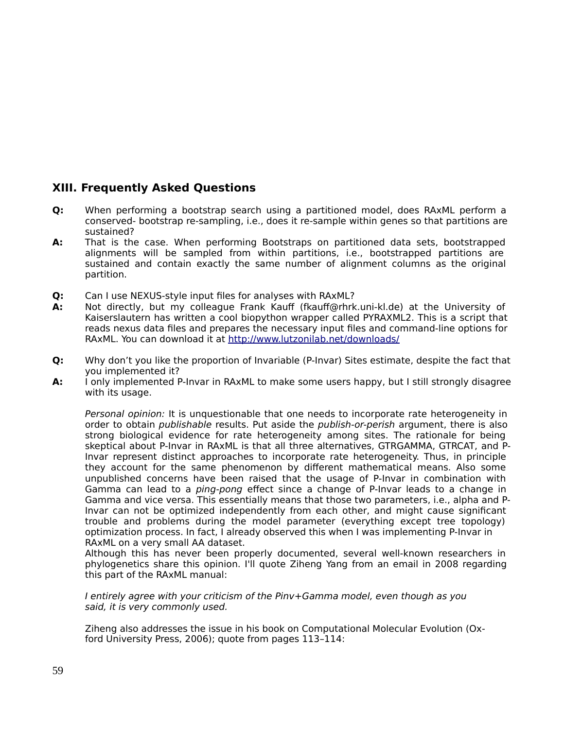# **XIII. Frequently Asked Questions**

- **Q:** When performing a bootstrap search using a partitioned model, does RAxML perform a conserved- bootstrap re-sampling, i.e., does it re-sample within genes so that partitions are sustained?
- **A:** That is the case. When performing Bootstraps on partitioned data sets, bootstrapped alignments will be sampled from within partitions, i.e., bootstrapped partitions are sustained and contain exactly the same number of alignment columns as the original partition.
- **Q:** Can I use NEXUS-style input files for analyses with RAxML?
- **A:** Not directly, but my colleague Frank Kauff (fkauff@rhrk.uni-kl.de) at the University of Kaiserslautern has written a cool biopython wrapper called PYRAXML2. This is a script that reads nexus data files and prepares the necessary input files and command-line options for RAxML. You can download it at<http://www.lutzonilab.net/downloads/>
- **Q:** Why don't you like the proportion of Invariable (P-Invar) Sites estimate, despite the fact that you implemented it?
- **A:** I only implemented P-Invar in RAxML to make some users happy, but I still strongly disagree with its usage.

Personal opinion: It is unquestionable that one needs to incorporate rate heterogeneity in order to obtain *publishable* results. Put aside the *publish-or-perish* argument, there is also strong biological evidence for rate heterogeneity among sites. The rationale for being skeptical about P-Invar in RAxML is that all three alternatives, GTRGAMMA, GTRCAT, and P-Invar represent distinct approaches to incorporate rate heterogeneity. Thus, in principle they account for the same phenomenon by different mathematical means. Also some unpublished concerns have been raised that the usage of P-Invar in combination with Gamma can lead to a ping-pong effect since a change of P-Invar leads to a change in Gamma and vice versa. This essentially means that those two parameters, i.e., alpha and P-Invar can not be optimized independently from each other, and might cause significant trouble and problems during the model parameter (everything except tree topology) optimization process. In fact, I already observed this when I was implementing P-Invar in RAxML on a very small AA dataset.

Although this has never been properly documented, several well-known researchers in phylogenetics share this opinion. I'll quote Ziheng Yang from an email in 2008 regarding this part of the RAxML manual:

I entirely agree with your criticism of the Pinv+Gamma model, even though as you said, it is very commonly used.

Ziheng also addresses the issue in his book on Computational Molecular Evolution (Oxford University Press, 2006); quote from pages 113–114: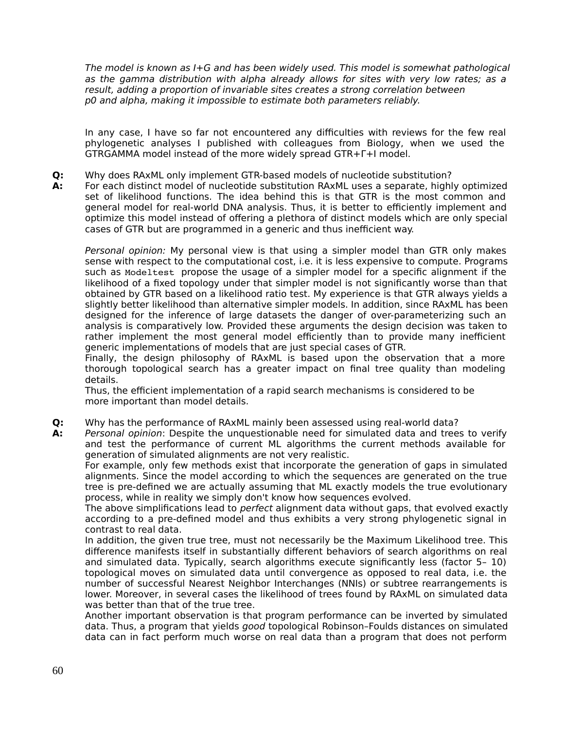The model is known as I+G and has been widely used. This model is somewhat pathological as the gamma distribution with alpha already allows for sites with very low rates; as a result, adding a proportion of invariable sites creates a strong correlation between p0 and alpha, making it impossible to estimate both parameters reliably.

In any case, I have so far not encountered any difficulties with reviews for the few real phylogenetic analyses I published with colleagues from Biology, when we used the GTRGAMMA model instead of the more widely spread GTR+Γ+I model.

**Q:** Why does RAxML only implement GTR-based models of nucleotide substitution?

**A:** For each distinct model of nucleotide substitution RAxML uses a separate, highly optimized set of likelihood functions. The idea behind this is that GTR is the most common and general model for real-world DNA analysis. Thus, it is better to efficiently implement and optimize this model instead of offering a plethora of distinct models which are only special cases of GTR but are programmed in a generic and thus inefficient way.

Personal opinion: My personal view is that using a simpler model than GTR only makes sense with respect to the computational cost, i.e. it is less expensive to compute. Programs such as Modeltest propose the usage of a simpler model for a specific alignment if the likelihood of a fixed topology under that simpler model is not significantly worse than that obtained by GTR based on a likelihood ratio test. My experience is that GTR always yields a slightly better likelihood than alternative simpler models. In addition, since RAxML has been designed for the inference of large datasets the danger of over-parameterizing such an analysis is comparatively low. Provided these arguments the design decision was taken to rather implement the most general model efficiently than to provide many inefficient generic implementations of models that are just special cases of GTR.

Finally, the design philosophy of RAxML is based upon the observation that a more thorough topological search has a greater impact on final tree quality than modeling details.

Thus, the efficient implementation of a rapid search mechanisms is considered to be more important than model details.

**Q:** Why has the performance of RAxML mainly been assessed using real-world data?

**A:** Personal opinion: Despite the unquestionable need for simulated data and trees to verify and test the performance of current ML algorithms the current methods available for generation of simulated alignments are not very realistic.

For example, only few methods exist that incorporate the generation of gaps in simulated alignments. Since the model according to which the sequences are generated on the true tree is pre-defined we are actually assuming that ML exactly models the true evolutionary process, while in reality we simply don't know how sequences evolved.

The above simplifications lead to *perfect* alignment data without gaps, that evolved exactly according to a pre-defined model and thus exhibits a very strong phylogenetic signal in contrast to real data.

In addition, the given true tree, must not necessarily be the Maximum Likelihood tree. This difference manifests itself in substantially different behaviors of search algorithms on real and simulated data. Typically, search algorithms execute significantly less (factor 5– 10) topological moves on simulated data until convergence as opposed to real data, i.e. the number of successful Nearest Neighbor Interchanges (NNIs) or subtree rearrangements is lower. Moreover, in several cases the likelihood of trees found by RAxML on simulated data was better than that of the true tree.

Another important observation is that program performance can be inverted by simulated data. Thus, a program that yields good topological Robinson–Foulds distances on simulated data can in fact perform much worse on real data than a program that does not perform